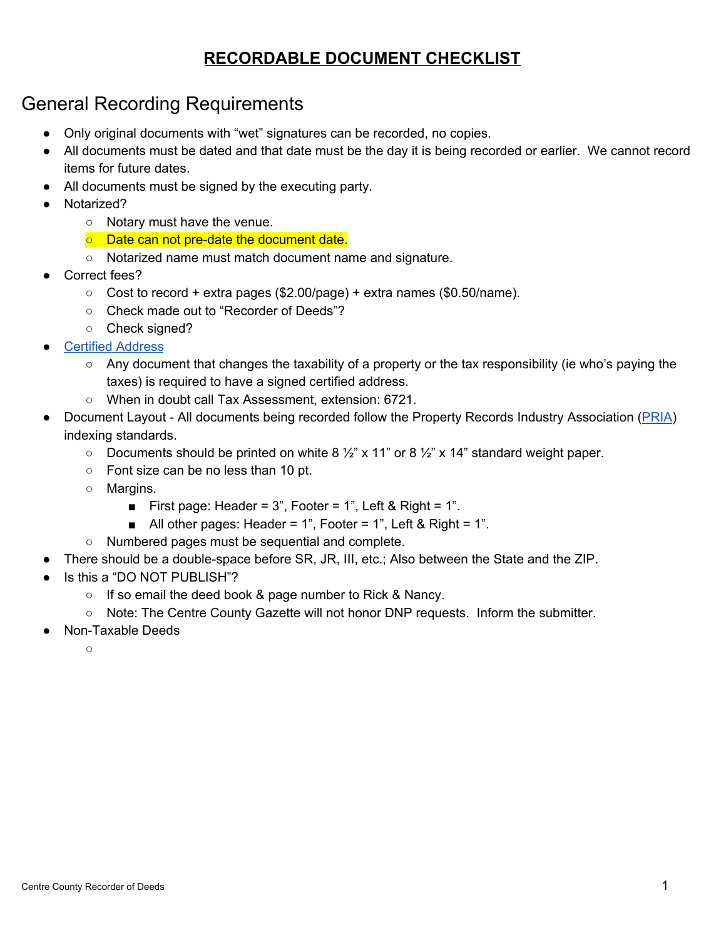### **RECORDABLE DOCUMENT CHECKLIST**

### General Recording Requirements

- Only original documents with "wet" signatures can be recorded, no copies.
- All documents must be dated and that date must be the day it is being recorded or earlier. We cannot record items for future dates.
- All documents must be signed by the executing party.
- Notarized?
	- Notary must have the venue.
	- Date can not pre-date the document date.
	- Notarized name must match document name and signature.
- Correct fees?
	- Cost to record + extra pages (\$2.00/page) + extra names (\$0.50/name).
	- Check made out to "Recorder of Deeds"?
	- Check signed?
- **[Certified](#page-6-0) Address** 
	- Any document that changes the taxability of a property or the tax responsibility (ie who's paying the taxes) is required to have a signed certified address.
	- When in doubt call Tax Assessment, extension: 6721.
- Document Layout All documents being recorded follow the Property Records Industry Association ([PRIA](https://www.pria.us/i4a/doclibrary/getfile.cfm?doc_id=130)) indexing standards.
	- $\circ$  Documents should be printed on white 8  $\frac{1}{2}$ " x 11" or 8  $\frac{1}{2}$ " x 14" standard weight paper.
	- Font size can be no less than 10 pt.
	- Margins.
		- First page: Header =  $3$ ", Footer =  $1$ ", Left & Right =  $1$ ".
		- All other pages: Header = 1", Footer = 1", Left & Right = 1".
	- Numbered pages must be sequential and complete.
- There should be a double-space before SR, JR, III, etc.; Also between the State and the ZIP.
- Is this a "DO NOT PUBLISH"?
	- If so email the deed book & page number to Rick & Nancy.
	- Note: The Centre County Gazette will not honor DNP requests. Inform the submitter.
- Non-Taxable Deeds

 $\Omega$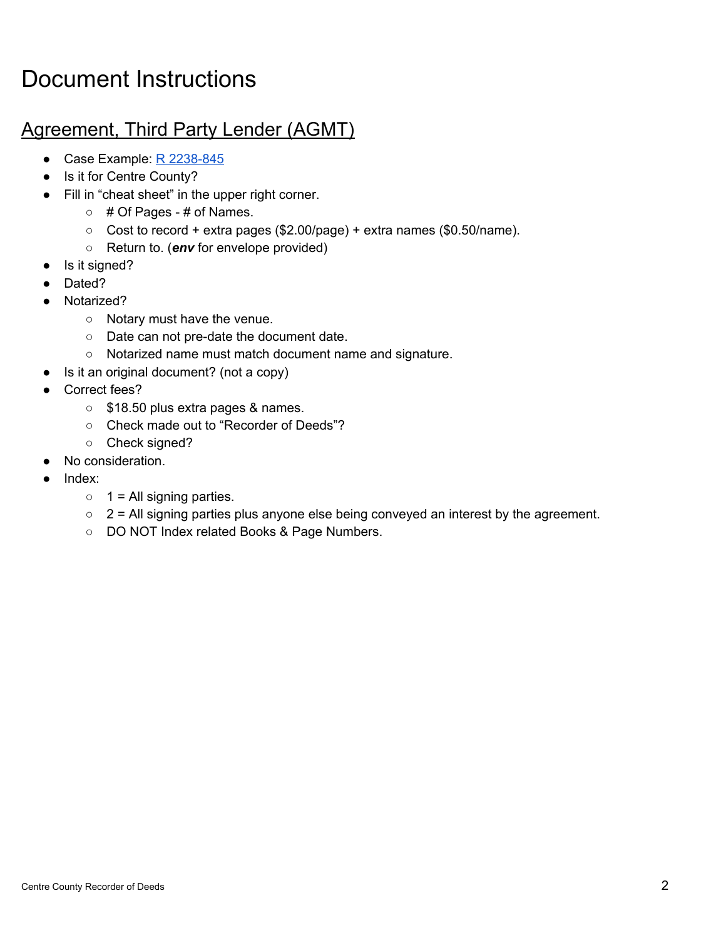# Document Instructions

### Agreement, Third Party Lender (AGMT)

- Case Example: R [2238-845](https://webia.centrecountypa.gov/ccg/rod/rodrsp2?rod=58784781¤tlist=788&8eaa0c08-7d24-4e92-b22c-49f71d10fb42)
- Is it for Centre County?
- Fill in "cheat sheet" in the upper right corner.
	- $\circ$  # Of Pages # of Names.
	- Cost to record + extra pages (\$2.00/page) + extra names (\$0.50/name).
	- Return to. (*env* for envelope provided)
- Is it signed?
- Dated?
- Notarized?
	- Notary must have the venue.
	- Date can not pre-date the document date.
	- Notarized name must match document name and signature.
- Is it an original document? (not a copy)
- Correct fees?
	- \$18.50 plus extra pages & names.
	- Check made out to "Recorder of Deeds"?
	- Check signed?
- No consideration.
- Index:
	- $\circ$  1 = All signing parties.
	- $\circ$  2 = All signing parties plus anyone else being conveyed an interest by the agreement.
	- DO NOT Index related Books & Page Numbers.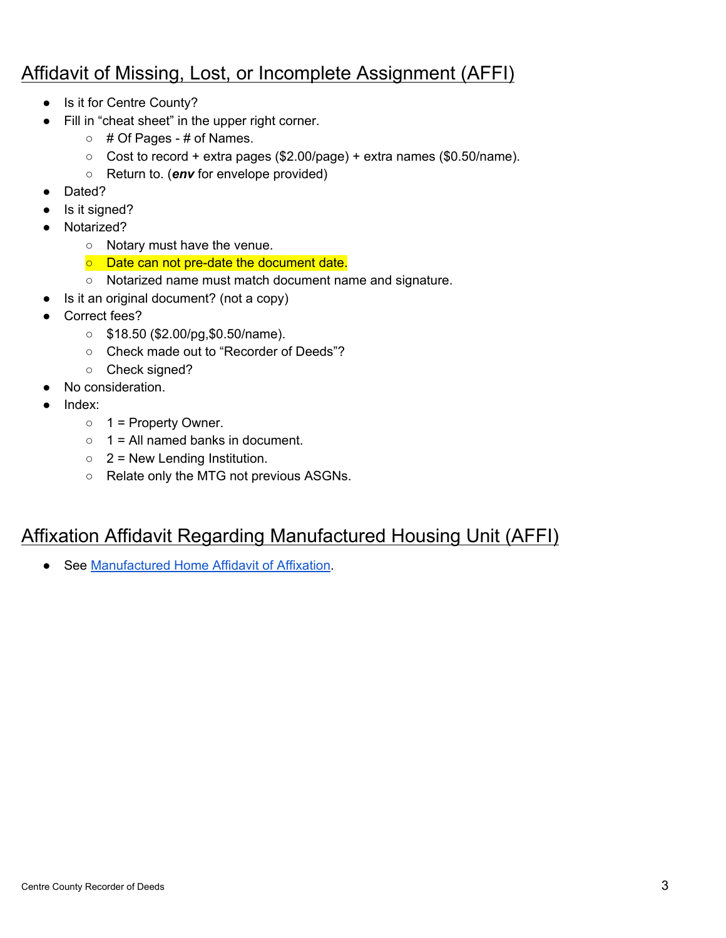## Affidavit of Missing, Lost, or Incomplete Assignment (AFFI)

- Is it for Centre County?
- Fill in "cheat sheet" in the upper right corner.
	- $\circ$  # Of Pages # of Names.
	- $\circ$  Cost to record + extra pages (\$2.00/page) + extra names (\$0.50/name).
	- Return to. (*env* for envelope provided)
- Dated?
- Is it signed?
- Notarized?
	- Notary must have the venue.
	- Date can not pre-date the document date.
	- Notarized name must match document name and signature.
- Is it an original document? (not a copy)
- Correct fees?
	- \$18.50 (\$2.00/pg,\$0.50/name).
	- Check made out to "Recorder of Deeds"?
	- Check signed?
	- No consideration.
- Index:
	- $\circ$  1 = Property Owner.
	- $\circ$  1 = All named banks in document.
	- $\circ$  2 = New Lending Institution.
	- Relate only the MTG not previous ASGNs.

### Affixation Affidavit Regarding Manufactured Housing Unit (AFFI)

● See Manufactured Home Affidavit of Affixation.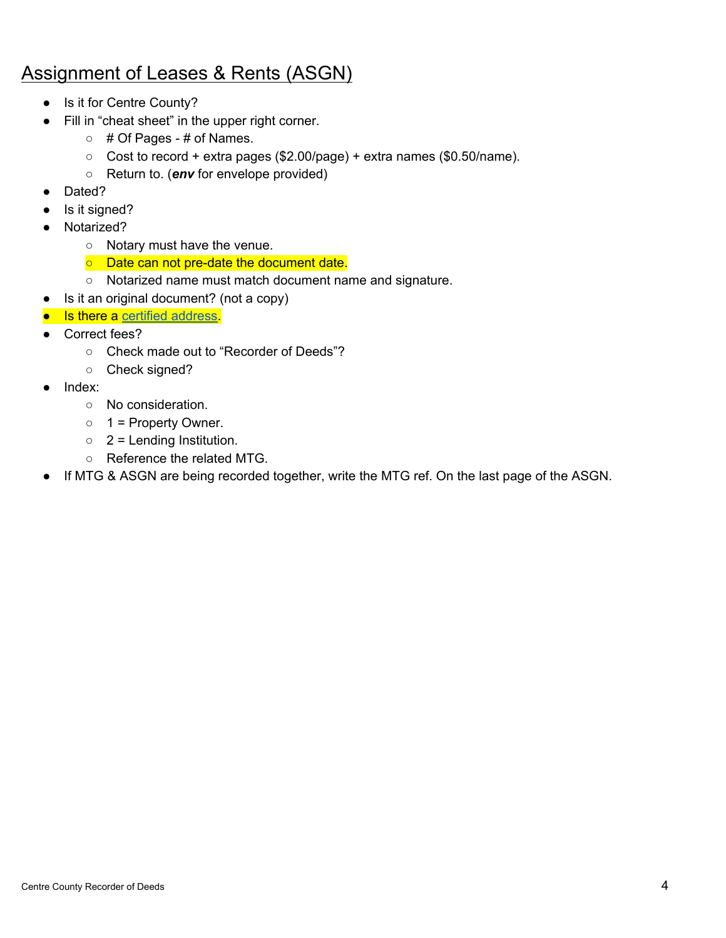# Assignment of Leases & Rents (ASGN)

- Is it for Centre County?
- Fill in "cheat sheet" in the upper right corner.
	- $\circ$  # Of Pages # of Names.
	- Cost to record + extra pages (\$2.00/page) + extra names (\$0.50/name).
	- Return to. (*env* for envelope provided)
- Dated?
- Is it signed?
- Notarized?
	- Notary must have the venue.
	- Date can not pre-date the document date.
	- Notarized name must match document name and signature.
- Is it an original document? (not a copy)
- **•** Is there a certified [address.](#page-6-0)
- Correct fees?
	- Check made out to "Recorder of Deeds"?
	- Check signed?
- Index:
	- No consideration.
	- $\circ$  1 = Property Owner.
	- $\circ$  2 = Lending Institution.
	- Reference the related MTG.
- If MTG & ASGN are being recorded together, write the MTG ref. On the last page of the ASGN.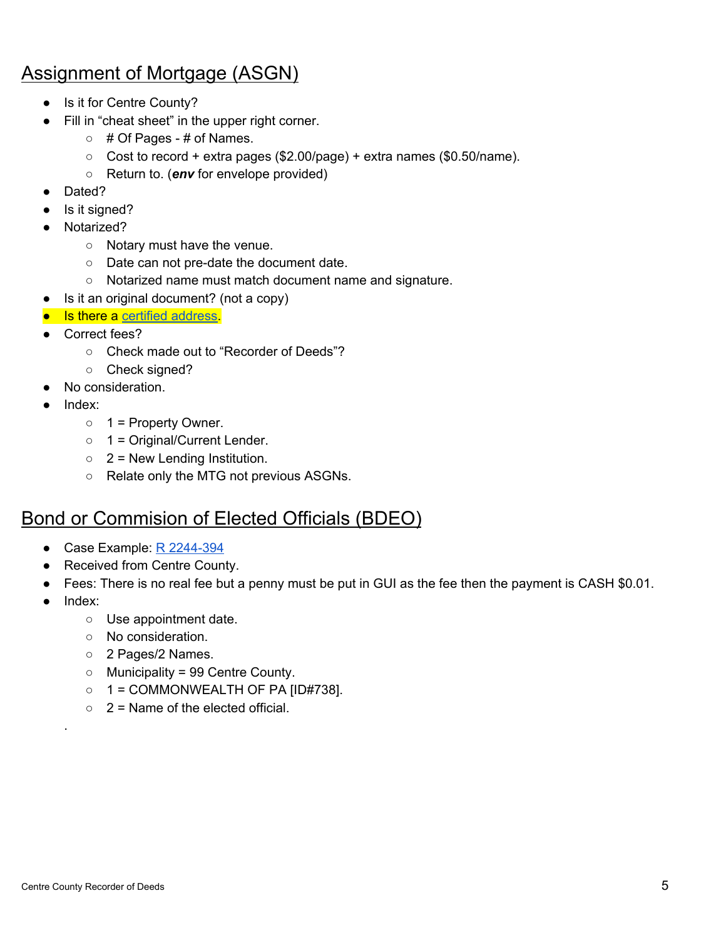## Assignment of Mortgage (ASGN)

- Is it for Centre County?
- Fill in "cheat sheet" in the upper right corner.
	- $\circ$  # Of Pages # of Names.
	- $\circ$  Cost to record + extra pages (\$2.00/page) + extra names (\$0.50/name).
	- Return to. (*env* for envelope provided)
- Dated?
- Is it signed?
- Notarized?
	- Notary must have the venue.
	- Date can not pre-date the document date.
	- Notarized name must match document name and signature.
- Is it an original document? (not a copy)
- Is there a certified [address.](#page-7-0)
- Correct fees?
	- Check made out to "Recorder of Deeds"?
	- Check signed?
	- No consideration.
- Index:
	- $\circ$  1 = Property Owner.
	- $\circ$  1 = Original/Current Lender.
	- $\circ$  2 = New Lending Institution.
	- Relate only the MTG not previous ASGNs.

### Bond or Commision of Elected Officials (BDEO)

- Case Example: R [2244-394](https://webia.centrecountypa.gov/ccg/rod/rodrsp2?rod=59059978¤tlist=372&863966e8-6430-4f12-bf1a-67bea08ef251)
- Received from Centre County.
- Fees: There is no real fee but a penny must be put in GUI as the fee then the payment is CASH \$0.01.
- Index:

.

- Use appointment date.
- No consideration.
- 2 Pages/2 Names.
- $\circ$  Municipality = 99 Centre County.
- $\circ$  1 = COMMONWEALTH OF PA [ID#738].
- $\circ$  2 = Name of the elected official.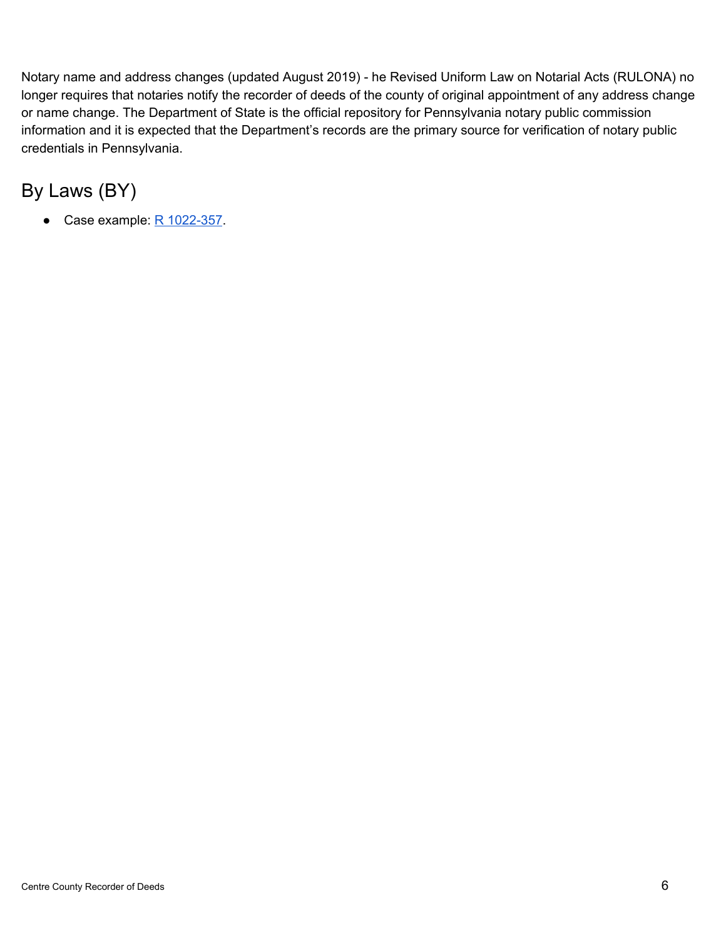Notary name and address changes (updated August 2019) - he Revised Uniform Law on Notarial Acts (RULONA) no longer requires that notaries notify the recorder of deeds of the county of original appointment of any address change or name change. The Department of State is the official repository for Pennsylvania notary public commission information and it is expected that the Department's records are the primary source for verification of notary public credentials in Pennsylvania.

# By Laws (BY)

● Case example: R [1022-357.](https://webia.centrecountypa.gov/ccg/rod/rodrsp2?rod=14695426¤tlist=1&86e7bbe0-2e04-44b7-bac2-65bc31e19159)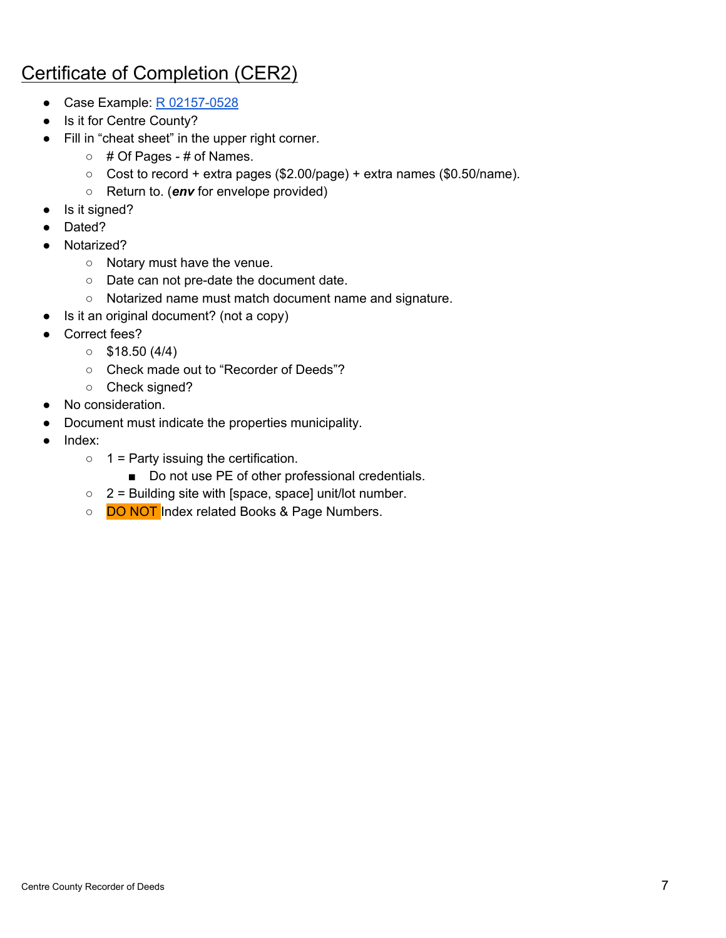## Certificate of Completion (CER2)

- Case Example: R [02157-0528](https://webia.centrecountypa.gov/ccg/rod/rodrsp2?rod=58102538)
- Is it for Centre County?
- Fill in "cheat sheet" in the upper right corner.
	- $\circ$  # Of Pages # of Names.
	- $\circ$  Cost to record + extra pages (\$2.00/page) + extra names (\$0.50/name).
	- Return to. (*env* for envelope provided)
- Is it signed?
- Dated?
- Notarized?
	- Notary must have the venue.
	- Date can not pre-date the document date.
	- Notarized name must match document name and signature.
- Is it an original document? (not a copy)
- Correct fees?
	- $\circ$  \$18.50 (4/4)
	- Check made out to "Recorder of Deeds"?
	- Check signed?
- No consideration.
- Document must indicate the properties municipality.
- <span id="page-6-0"></span>● Index:
	- $\circ$  1 = Party issuing the certification.
		- Do not use PE of other professional credentials.
	- $\circ$  2 = Building site with [space, space] unit/lot number.
	- o DO NOT Index related Books & Page Numbers.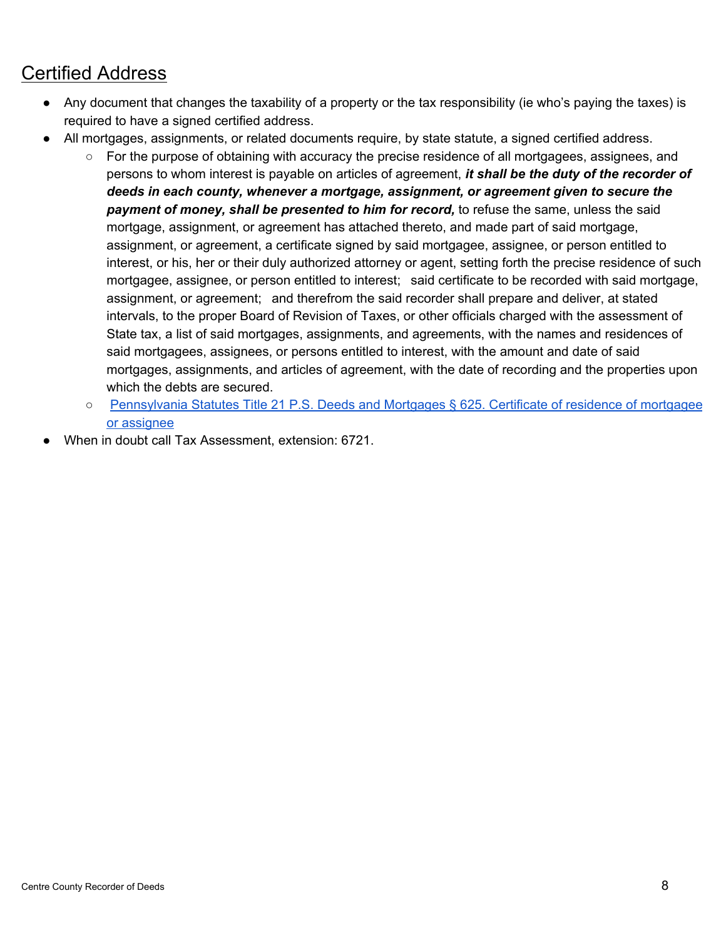### <span id="page-7-0"></span>Certified Address

- Any document that changes the taxability of a property or the tax responsibility (ie who's paying the taxes) is required to have a signed certified address.
- All mortgages, assignments, or related documents require, by state statute, a signed certified address.
	- For the purpose of obtaining with accuracy the precise residence of all mortgagees, assignees, and persons to whom interest is payable on articles of agreement, *it shall be the duty of the recorder of deeds in each county, whenever a mortgage, assignment, or agreement given to secure the payment of money, shall be presented to him for record,* to refuse the same, unless the said mortgage, assignment, or agreement has attached thereto, and made part of said mortgage, assignment, or agreement, a certificate signed by said mortgagee, assignee, or person entitled to interest, or his, her or their duly authorized attorney or agent, setting forth the precise residence of such mortgagee, assignee, or person entitled to interest; said certificate to be recorded with said mortgage, assignment, or agreement; and therefrom the said recorder shall prepare and deliver, at stated intervals, to the proper Board of Revision of Taxes, or other officials charged with the assessment of State tax, a list of said mortgages, assignments, and agreements, with the names and residences of said mortgagees, assignees, or persons entitled to interest, with the amount and date of said mortgages, assignments, and articles of agreement, with the date of recording and the properties upon which the debts are secured.
	- [Pennsylvania](https://codes.findlaw.com/pa/title-21-ps-deeds-and-mortgages/pa-st-sect-21-625.html) Statutes Title 21 P.S. Deeds and Mortgages § 625. Certificate of residence of mortgagee or [assignee](https://codes.findlaw.com/pa/title-21-ps-deeds-and-mortgages/pa-st-sect-21-625.html)
- When in doubt call Tax Assessment, extension: 6721.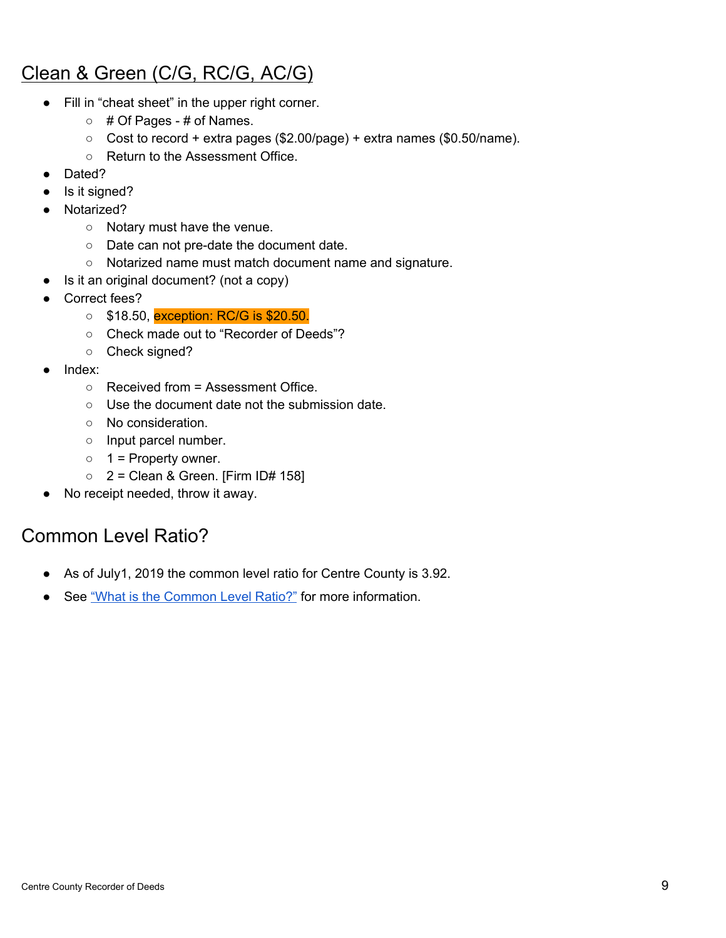# Clean & Green (C/G, RC/G, AC/G)

- Fill in "cheat sheet" in the upper right corner.
	- $\circ$  # Of Pages # of Names.
	- $\circ$  Cost to record + extra pages (\$2.00/page) + extra names (\$0.50/name).
	- Return to the Assessment Office.
- Dated?
- Is it signed?
- Notarized?
	- Notary must have the venue.
	- Date can not pre-date the document date.
	- Notarized name must match document name and signature.
- Is it an original document? (not a copy)
- Correct fees?
	- \$18.50, exception: RC/G is \$20.50.
	- Check made out to "Recorder of Deeds"?
	- Check signed?
- Index:
	- $\circ$  Received from = Assessment Office.
	- Use the document date not the submission date.
	- No consideration.
	- Input parcel number.
	- $\circ$  1 = Property owner.
	- $\circ$  2 = Clean & Green. [Firm ID# 158]
- No receipt needed, throw it away.

### Common Level Ratio?

- As of July1, 2019 the common level ratio for Centre County is 3.92.
- See "What is the Common Level Ratio?" for more information.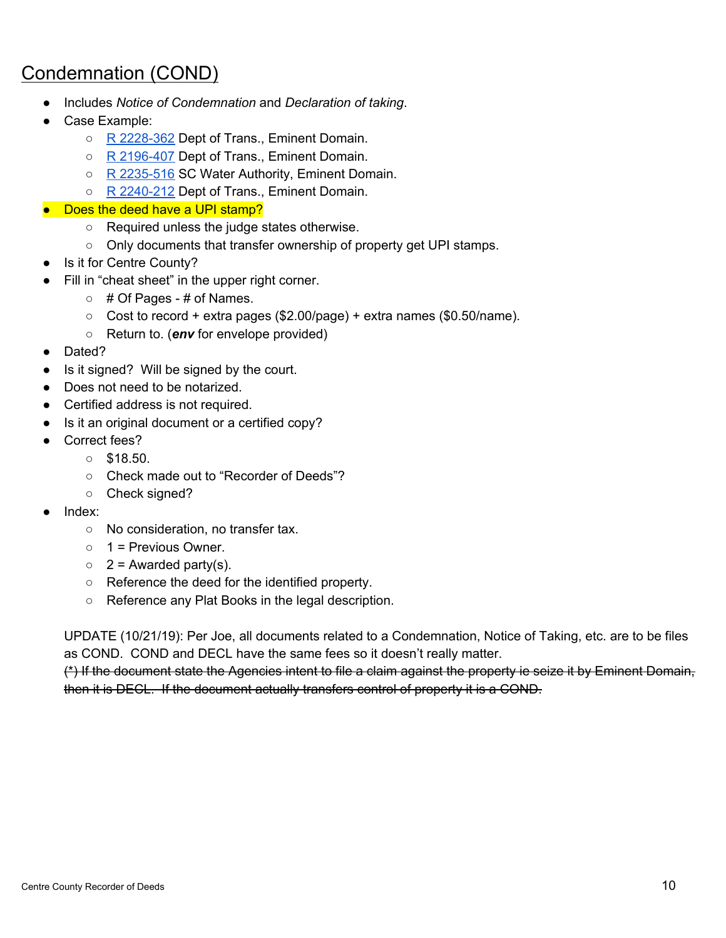### <span id="page-9-0"></span>Condemnation (COND)

- Includes *Notice of Condemnation* and *Declaration of taking*.
- Case Example:
	- R [2228-362](https://webia.centrecountypa.gov/ccg/rod/rodrsp2?rod=58263305) Dept of Trans., Eminent Domain.
	- R [2196-407](https://webia.centrecountypa.gov/ccg/rod/rodrsp2?rod=56699141) Dept of Trans., Eminent Domain.
	- R [2235-516](https://webia.centrecountypa.gov/ccg/rod/rodrsp2?rod=58615810¤tlist=491&6477ca69-820c-4690-9c9c-673069752839) SC Water Authority, Eminent Domain.
	- R [2240-212](https://webia.centrecountypa.gov/ccg/rod/rodrsp2?rod=58852353¤tlist=203&d570fc3e-a16c-401f-af76-cd3e851b3bf3) Dept of Trans., Eminent Domain.

#### Does the deed have a UPI stamp?

- Required unless the judge states otherwise.
- Only documents that transfer ownership of property get UPI stamps.
- Is it for Centre County?
- Fill in "cheat sheet" in the upper right corner.
	- $\circ$  # Of Pages # of Names.
	- Cost to record + extra pages (\$2.00/page) + extra names (\$0.50/name).
	- Return to. (*env* for envelope provided)
- Dated?
- Is it signed? Will be signed by the court.
- Does not need to be notarized.
- Certified address is not required.
- Is it an original document or a certified copy?
- Correct fees?
	- $\circ$  \$18.50.
	- Check made out to "Recorder of Deeds"?
	- Check signed?
- Index:
	- No consideration, no transfer tax.
	- $\circ$  1 = Previous Owner.
	- $\circ$  2 = Awarded party(s).
	- Reference the deed for the identified property.
	- Reference any Plat Books in the legal description.

UPDATE (10/21/19): Per Joe, all documents related to a Condemnation, Notice of Taking, etc. are to be files as COND. COND and DECL have the same fees so it doesn't really matter.

(\*) If the document state the Agencies intent to file a claim against the property ie seize it by Eminent Domain, then it is DECL. If the document actually transfers control of property it is a COND.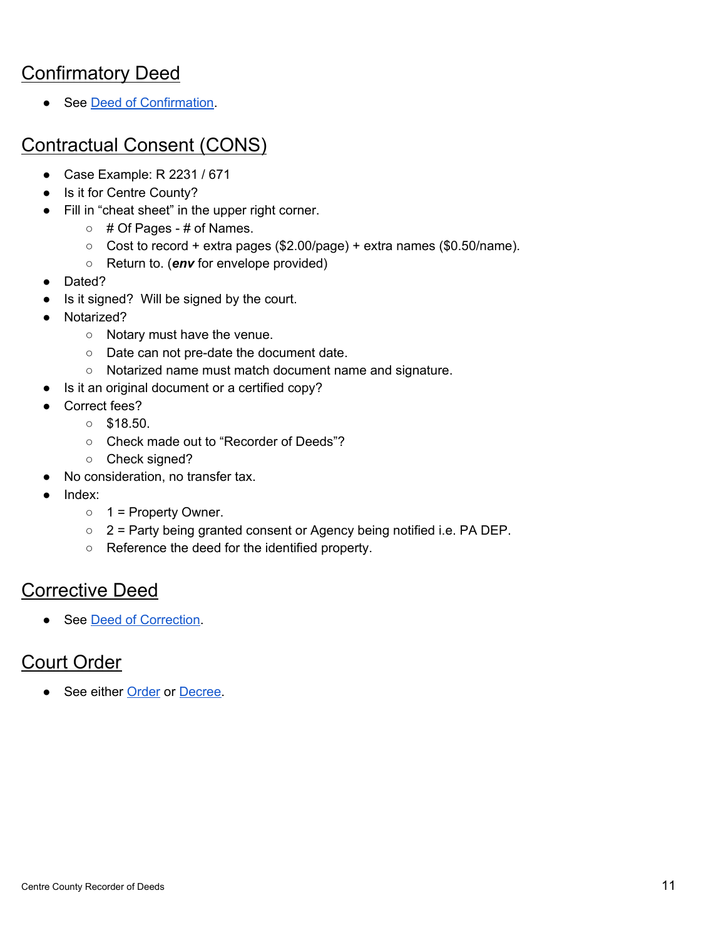### Confirmatory Deed

● See Deed of [Confirmation.](#page-16-0)

### Contractual Consent (CONS)

- Case Example: R 2231 / 671
- Is it for Centre County?
- Fill in "cheat sheet" in the upper right corner.
	- # Of Pages # of Names.
	- Cost to record + extra pages (\$2.00/page) + extra names (\$0.50/name).
	- Return to. (*env* for envelope provided)
- Dated?
- Is it signed? Will be signed by the court.
- Notarized?
	- Notary must have the venue.
	- Date can not pre-date the document date.
	- Notarized name must match document name and signature.
- Is it an original document or a certified copy?
- Correct fees?
	- $\circ$  \$18.50.
	- Check made out to "Recorder of Deeds"?
	- Check signed?
- No consideration, no transfer tax.
- Index:
	- $\circ$  1 = Property Owner.
	- 2 = Party being granted consent or Agency being notified i.e. PA DEP.
	- Reference the deed for the identified property.

### Corrective Deed

● See Deed of [Correction.](#page-17-0)

### Court Order

● See either [Order](#page-31-0) or [Decree.](#page-13-0)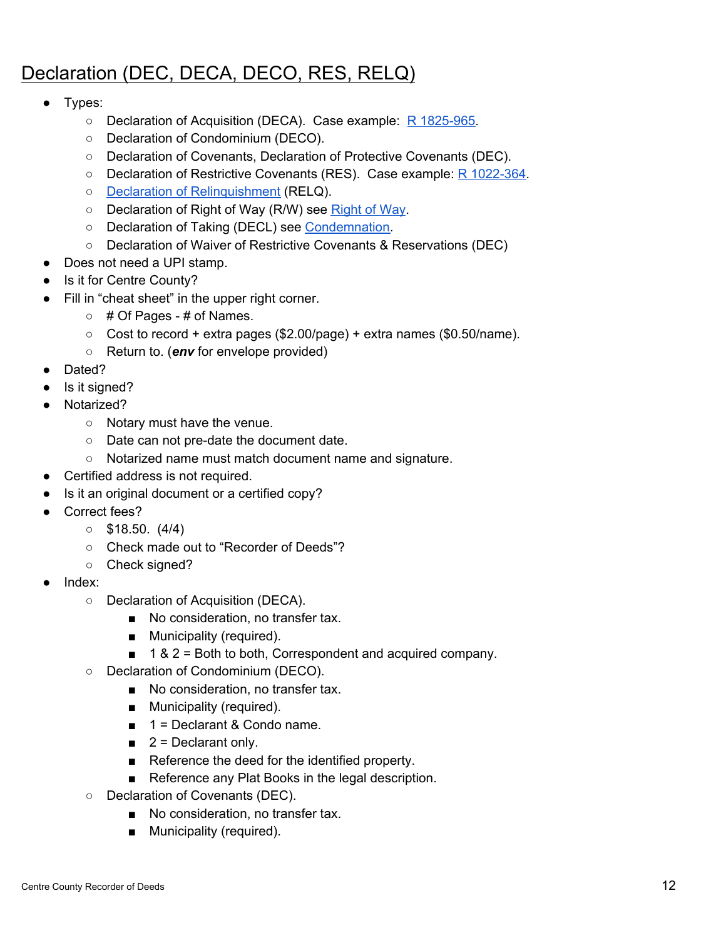# Declaration (DEC, DECA, DECO, RES, RELQ)

- Types:
	- Declaration of Acquisition (DECA). Case example: R [1825-965.](https://webia.centrecountypa.gov/ccg/rod/rodrsp2?rod=27190276¤tlist=105&86e7bbe0-2e04-44b7-bac2-65bc31e19159)
	- Declaration of Condominium (DECO).
	- Declaration of Covenants, Declaration of Protective Covenants (DEC).
	- Declaration of Restrictive Covenants (RES). Case example: R [1022-364.](https://webia.centrecountypa.gov/ccg/rod/rodrsp2?rod=14695430)
	- Declaration of Relinquishment (RELQ).
	- Declaration of [Right](#page-38-0) of Way (R/W) see Right of Way.
	- o Declaration of Taking (DECL) see [Condemnation.](#page-9-0)
	- Declaration of Waiver of Restrictive Covenants & Reservations (DEC)
- Does not need a UPI stamp.
- Is it for Centre County?
- Fill in "cheat sheet" in the upper right corner.
	- $\circ$  # Of Pages # of Names.
	- $\circ$  Cost to record + extra pages (\$2.00/page) + extra names (\$0.50/name).
	- Return to. (*env* for envelope provided)
- Dated?
- Is it signed?
- Notarized?
	- Notary must have the venue.
	- Date can not pre-date the document date.
	- Notarized name must match document name and signature.
- Certified address is not required.
- Is it an original document or a certified copy?
- Correct fees?
	- $\circ$  \$18.50. (4/4)
	- Check made out to "Recorder of Deeds"?
	- Check signed?
- Index:
	- Declaration of Acquisition (DECA).
		- No consideration, no transfer tax.
		- Municipality (required).
		- $\blacksquare$  1 & 2 = Both to both, Correspondent and acquired company.
	- Declaration of Condominium (DECO).
		- No consideration, no transfer tax.
		- Municipality (required).
		- 1 = Declarant & Condo name.
		- $\blacksquare$  2 = Declarant only.
		- Reference the deed for the identified property.
		- Reference any Plat Books in the legal description.
	- Declaration of Covenants (DEC).
		- No consideration, no transfer tax.
		- Municipality (required).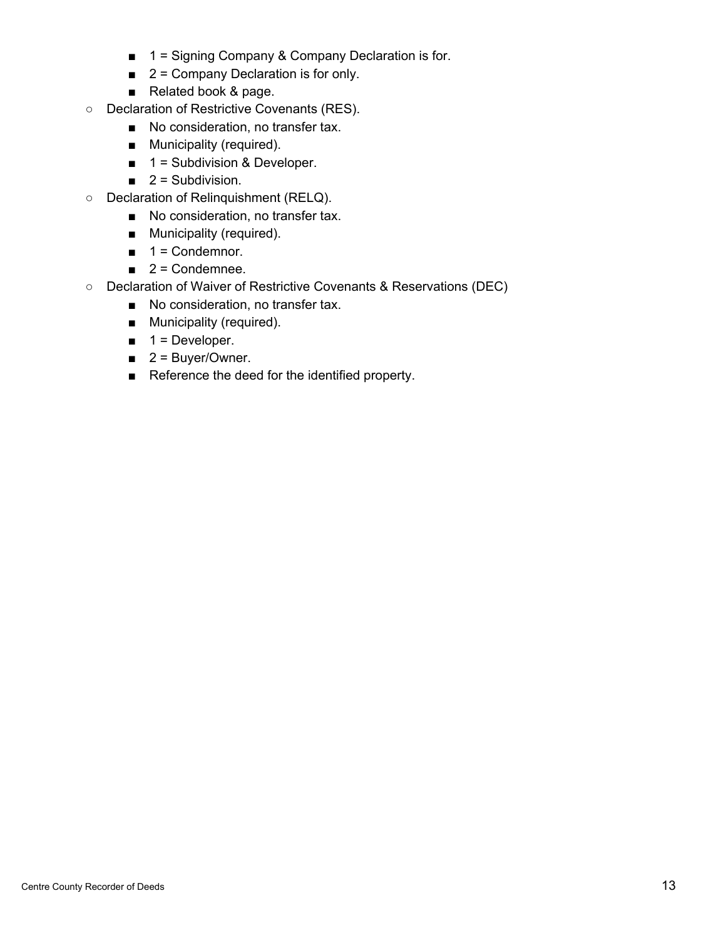- 1 = Signing Company & Company Declaration is for.
- 2 = Company Declaration is for only.
- Related book & page.
- Declaration of Restrictive Covenants (RES).
	- No consideration, no transfer tax.
	- Municipality (required).
	- $\blacksquare$  1 = Subdivision & Developer.
	- $\Box$  2 = Subdivision.
- Declaration of Relinquishment (RELQ).
	- No consideration, no transfer tax.
	- Municipality (required).
	- $\blacksquare$  1 = Condemnor.
	- $\blacksquare$  2 = Condemnee.
- Declaration of Waiver of Restrictive Covenants & Reservations (DEC)
	- No consideration, no transfer tax.
	- Municipality (required).
	- $\blacksquare$  1 = Developer.
	- $\blacksquare$  2 = Buyer/Owner.
	- Reference the deed for the identified property.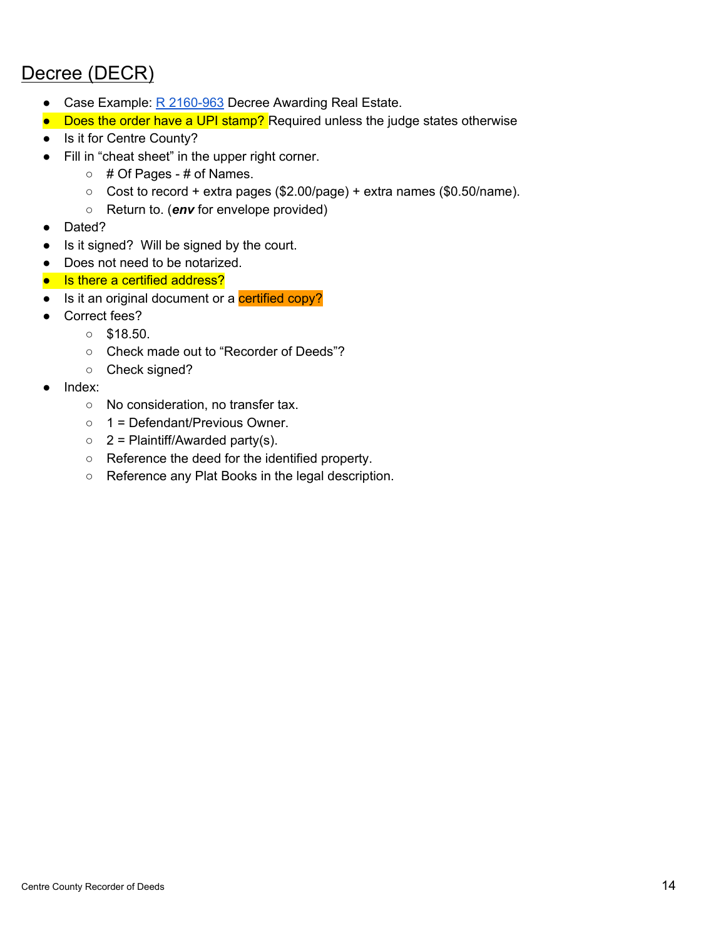## <span id="page-13-0"></span>Decree (DECR)

- Case Example: R [2160-963](https://webia.centrecountypa.gov/ccg/rod/rodrsp2?rod=54985228) Decree Awarding Real Estate.
- Does the order have a UPI stamp? Required unless the judge states otherwise
- Is it for Centre County?
- Fill in "cheat sheet" in the upper right corner.
	- $\circ$  # Of Pages # of Names.
	- $\circ$  Cost to record + extra pages (\$2.00/page) + extra names (\$0.50/name).
	- Return to. (*env* for envelope provided)
- Dated?
- Is it signed? Will be signed by the court.
- Does not need to be notarized.
- Is there a certified address?
- Is it an original document or a **certified copy?**
- Correct fees?
	- $\circ$  \$18.50.
	- Check made out to "Recorder of Deeds"?
	- Check signed?
- Index:
	- No consideration, no transfer tax.
	- $\circ$  1 = Defendant/Previous Owner.
	- $\circ$  2 = Plaintiff/Awarded party(s).
	- Reference the deed for the identified property.
	- Reference any Plat Books in the legal description.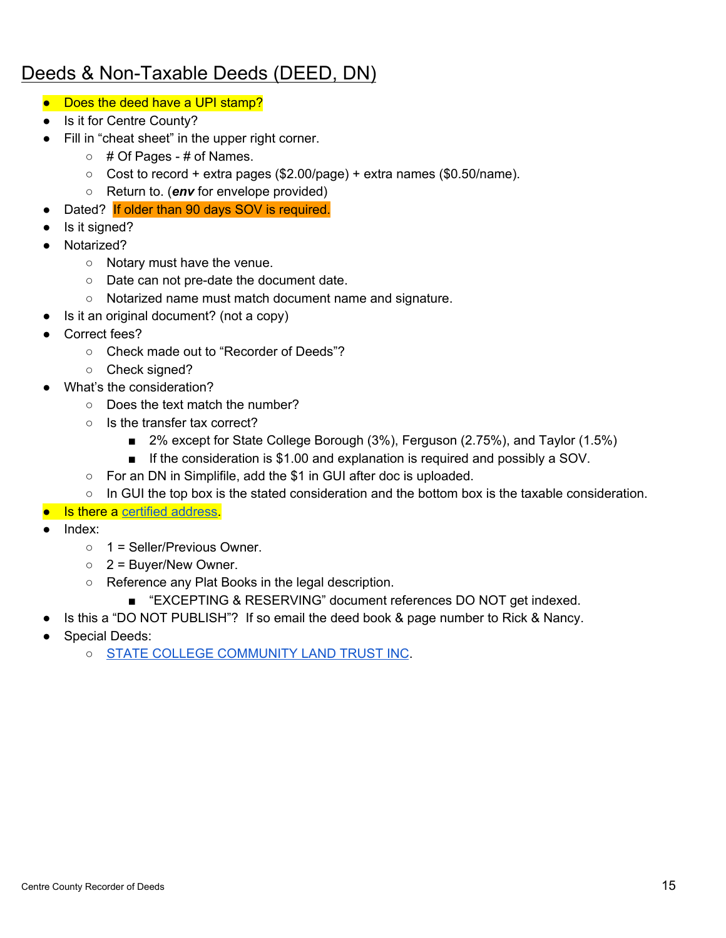# Deeds & Non-Taxable Deeds (DEED, DN)

- Does the deed have a UPI stamp?
- Is it for Centre County?
- Fill in "cheat sheet" in the upper right corner.
	- $\circ$  # Of Pages # of Names.
	- $\circ$  Cost to record + extra pages (\$2.00/page) + extra names (\$0.50/name).
	- Return to. (*env* for envelope provided)
- Dated? If older than 90 days SOV is required.
- Is it signed?
- Notarized?
	- Notary must have the venue.
	- Date can not pre-date the document date.
	- Notarized name must match document name and signature.
- Is it an original document? (not a copy)
- Correct fees?
	- Check made out to "Recorder of Deeds"?
	- Check signed?
- What's the consideration?
	- Does the text match the number?
	- Is the transfer tax correct?
		- 2% except for State College Borough (3%), Ferguson (2.75%), and Taylor (1.5%)
		- If the consideration is \$1.00 and explanation is required and possibly a SOV.
	- For an DN in Simplifile, add the \$1 in GUI after doc is uploaded.
	- In GUI the top box is the stated consideration and the bottom box is the taxable consideration.
- Is there a certified [address.](#page-6-0)
- Index:
	- $\circ$  1 = Seller/Previous Owner.
	- $\circ$  2 = Buyer/New Owner.
	- Reference any Plat Books in the legal description.
		- "EXCEPTING & RESERVING" document references DO NOT get indexed.
- Is this a "DO NOT PUBLISH"? If so email the deed book & page number to Rick & Nancy.
- Special Deeds:
	- STATE COLLEGE [COMMUNITY](#page-39-0) LAND TRUST INC.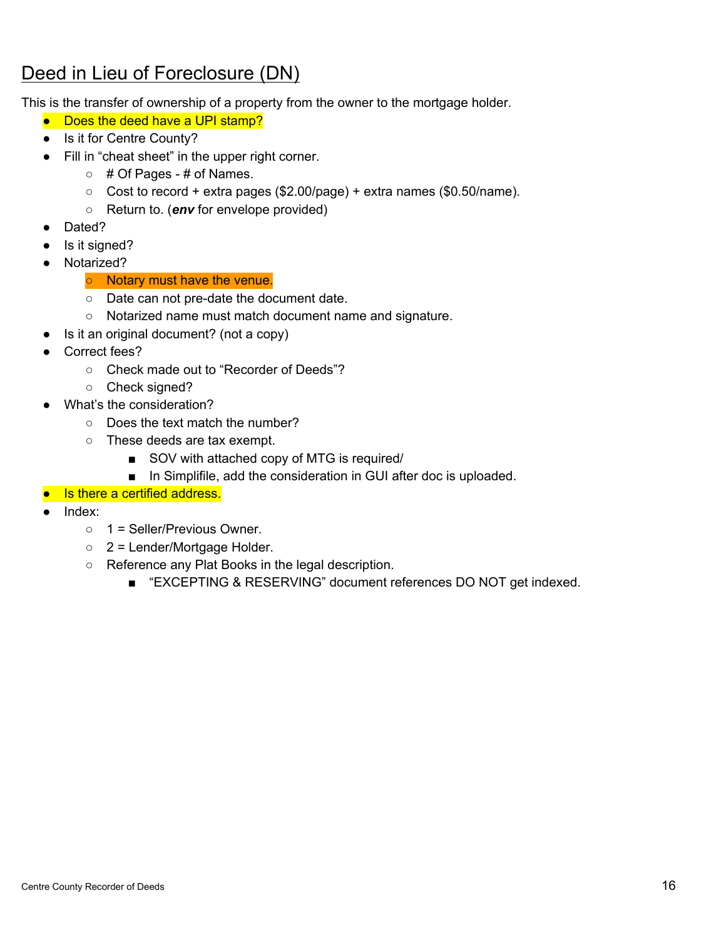## Deed in Lieu of Foreclosure (DN)

This is the transfer of ownership of a property from the owner to the mortgage holder.

- Does the deed have a UPI stamp?
- Is it for Centre County?
- Fill in "cheat sheet" in the upper right corner.
	- $\circ$  # Of Pages # of Names.
	- Cost to record + extra pages (\$2.00/page) + extra names (\$0.50/name).
	- Return to. (*env* for envelope provided)
- Dated?
- Is it signed?
- Notarized?

#### ○ Notary must have the venue.

- Date can not pre-date the document date.
- Notarized name must match document name and signature.
- Is it an original document? (not a copy)
- Correct fees?
	- Check made out to "Recorder of Deeds"?
	- Check signed?
	- What's the consideration?
		- Does the text match the number?
		- These deeds are tax exempt.
			- SOV with attached copy of MTG is required/
			- In Simplifile, add the consideration in GUI after doc is uploaded.

#### Is there a certified address.

- Index:
	- $\circ$  1 = Seller/Previous Owner.
	- $\circ$  2 = Lender/Mortgage Holder.
	- Reference any Plat Books in the legal description.
		- "EXCEPTING & RESERVING" document references DO NOT get indexed.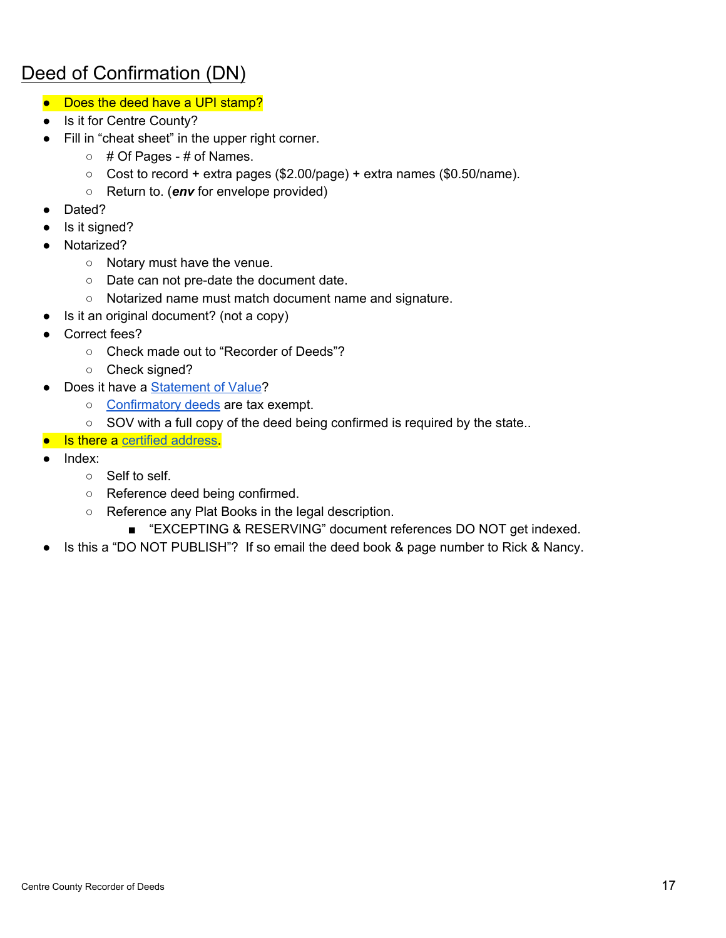# <span id="page-16-0"></span>Deed of Confirmation (DN)

- Does the deed have a UPI stamp?
- Is it for Centre County?
- Fill in "cheat sheet" in the upper right corner.
	- # Of Pages # of Names.
	- $\circ$  Cost to record + extra pages (\$2.00/page) + extra names (\$0.50/name).
	- Return to. (*env* for envelope provided)
- Dated?
- Is it signed?
- Notarized?
	- Notary must have the venue.
	- Date can not pre-date the document date.
	- Notarized name must match document name and signature.
- Is it an original document? (not a copy)
- Correct fees?
	- Check made out to "Recorder of Deeds"?
	- Check signed?
- Does it have a Statement of Value?
	- [Confirmatory](https://casetext.com/regulation/pennsylvania-code-rules-and-regulations/title-61-revenue/part-i-department-of-revenue/subpart-b-general-fund-revenues/article-iv-county-collections/chapter-91-realty-transfer-tax/subchapter-h-special-situations/section-91152-confirmatory-deed) deeds are tax exempt.
	- SOV with a full copy of the deed being confirmed is required by the state..
- **Is there a certified [address.](#page-6-0)**
- Index:
	- Self to self.
	- Reference deed being confirmed.
	- Reference any Plat Books in the legal description.
		- "EXCEPTING & RESERVING" document references DO NOT get indexed.
- Is this a "DO NOT PUBLISH"? If so email the deed book & page number to Rick & Nancy.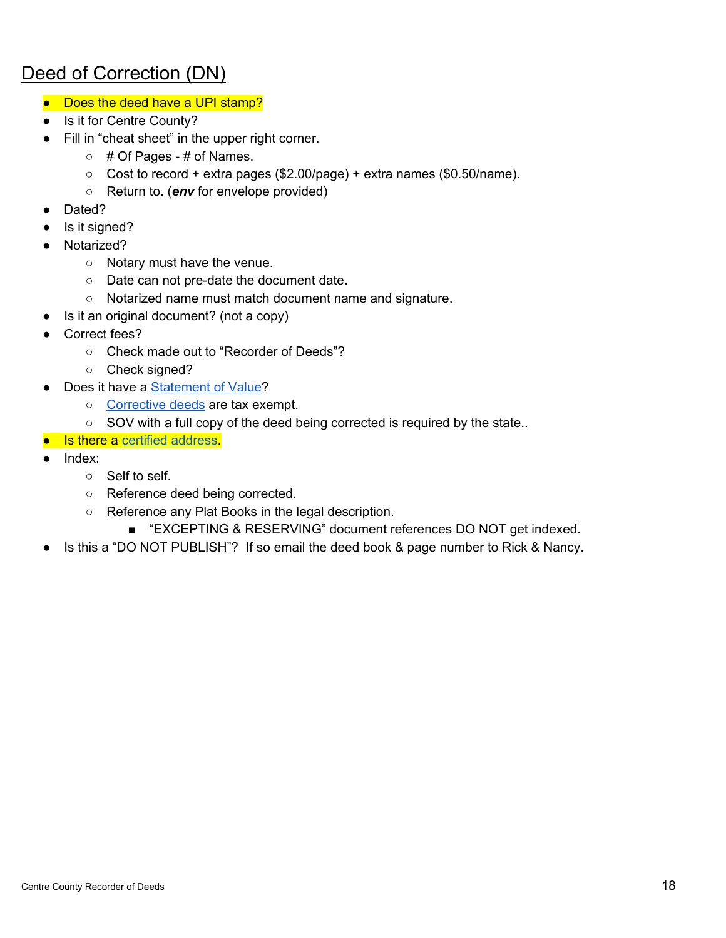# <span id="page-17-0"></span>Deed of Correction (DN)

- Does the deed have a UPI stamp?
- Is it for Centre County?
- Fill in "cheat sheet" in the upper right corner.
	- # Of Pages # of Names.
	- $\circ$  Cost to record + extra pages (\$2.00/page) + extra names (\$0.50/name).
	- Return to. (*env* for envelope provided)
- Dated?
- Is it signed?
- Notarized?
	- Notary must have the venue.
	- Date can not pre-date the document date.
	- Notarized name must match document name and signature.
- Is it an original document? (not a copy)
- Correct fees?
	- Check made out to "Recorder of Deeds"?
	- Check signed?
- Does it have a **Statement of Value?** 
	- [Corrective](https://casetext.com/regulation/pennsylvania-code-rules-and-regulations/title-61-revenue/part-i-department-of-revenue/subpart-b-general-fund-revenues/article-iv-county-collections/chapter-91-realty-transfer-tax/subchapter-h-special-situations/section-91151-correctional-deed) deeds are tax exempt.
	- SOV with a full copy of the deed being corrected is required by the state..
- **Is there a certified [address.](#page-6-0)**
- Index:
	- Self to self.
	- Reference deed being corrected.
	- Reference any Plat Books in the legal description.
		- "EXCEPTING & RESERVING" document references DO NOT get indexed.
- Is this a "DO NOT PUBLISH"? If so email the deed book & page number to Rick & Nancy.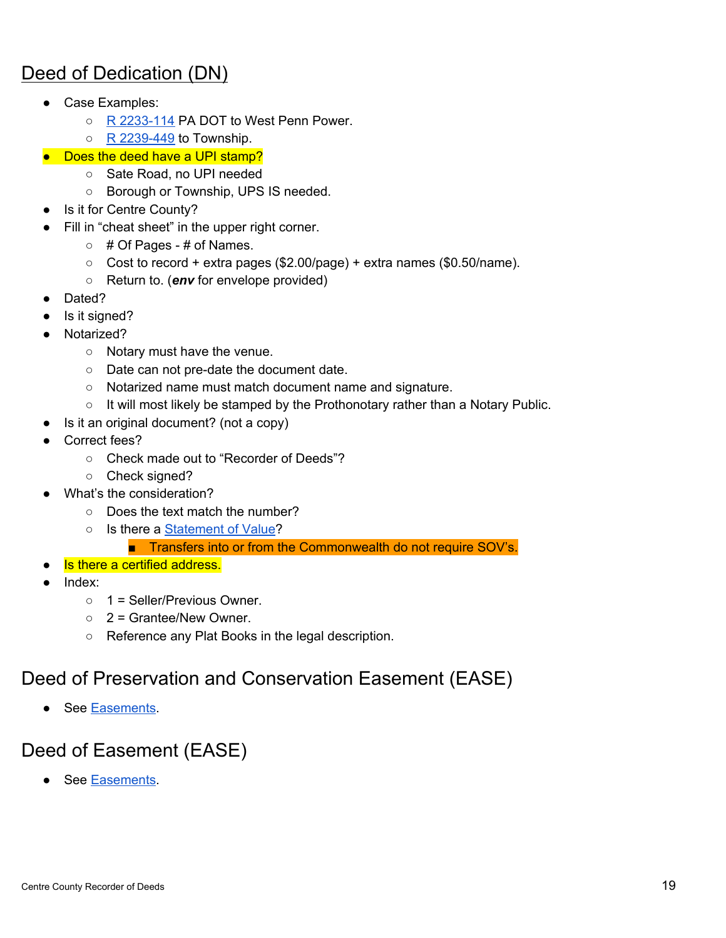## Deed of Dedication (DN)

- Case Examples:
	- R [2233-114](https://webia.centrecountypa.gov/ccg/rod/rodrsp2?rod=58497793) PA DOT to West Penn Power.
	- $\circ$  R [2239-449](https://webia.centrecountypa.gov/ccg/rod/rodrsp2?rod=58814721¤tlist=428&1f2d0ca9-86fe-4cf1-b433-4bd695509de9) to Township.

#### **Does the deed have a UPI stamp?**

- Sate Road, no UPI needed
- Borough or Township, UPS IS needed.
- Is it for Centre County?
- Fill in "cheat sheet" in the upper right corner.
	- $\circ$  # Of Pages # of Names.
	- $\circ$  Cost to record + extra pages (\$2.00/page) + extra names (\$0.50/name).
	- Return to. (*env* for envelope provided)
- Dated?
- Is it signed?
- Notarized?
	- Notary must have the venue.
	- Date can not pre-date the document date.
	- Notarized name must match document name and signature.
	- $\circ$  It will most likely be stamped by the Prothonotary rather than a Notary Public.
- Is it an original document? (not a copy)
- Correct fees?
	- Check made out to "Recorder of Deeds"?
	- Check signed?
- What's the consideration?
	- Does the text match the number?
	- o Is there a Statement of Value?
		- Transfers into or from the Commonwealth do not require SOV's.
- Is there a certified address.
- Index:
	- 1 = Seller/Previous Owner.
	- $\circ$  2 = Grantee/New Owner.
	- Reference any Plat Books in the legal description.

### Deed of Preservation and Conservation Easement (EASE)

● See [Easements](#page-21-0).

# Deed of Easement (EASE)

● See [Easements](#page-21-0).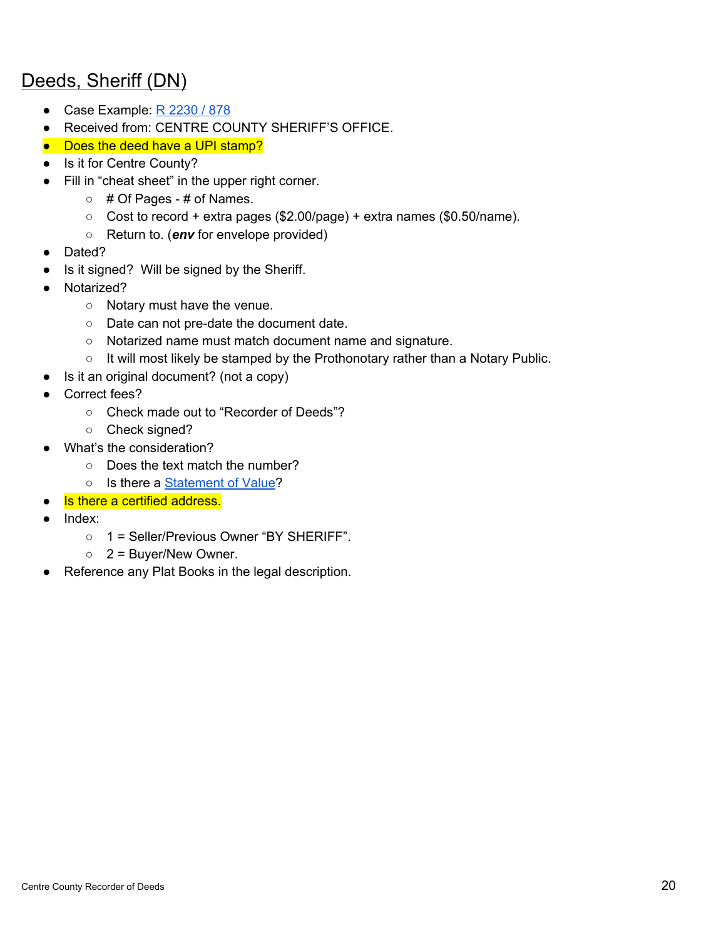### Deeds, Sheriff (DN)

- Case Example: R [2230](https://webia.centrecountypa.gov/ccg/rod/rodrsp2?rod=58387469) / 878
- Received from: CENTRE COUNTY SHERIFF'S OFFICE.
- Does the deed have a UPI stamp?
- Is it for Centre County?
- Fill in "cheat sheet" in the upper right corner.
	- $\circ$  # Of Pages # of Names.
	- Cost to record + extra pages (\$2.00/page) + extra names (\$0.50/name).
	- Return to. (*env* for envelope provided)
- Dated?
- Is it signed? Will be signed by the Sheriff.
- Notarized?
	- Notary must have the venue.
	- Date can not pre-date the document date.
	- Notarized name must match document name and signature.
	- $\circ$  It will most likely be stamped by the Prothonotary rather than a Notary Public.
- Is it an original document? (not a copy)
- Correct fees?
	- Check made out to "Recorder of Deeds"?
	- Check signed?
- What's the consideration?
	- Does the text match the number?
	- o Is there a Statement of Value?
- Is there a certified address.
- Index:
	- 1 = Seller/Previous Owner "BY SHERIFF".
	- $\circ$  2 = Buyer/New Owner.
- Reference any Plat Books in the legal description.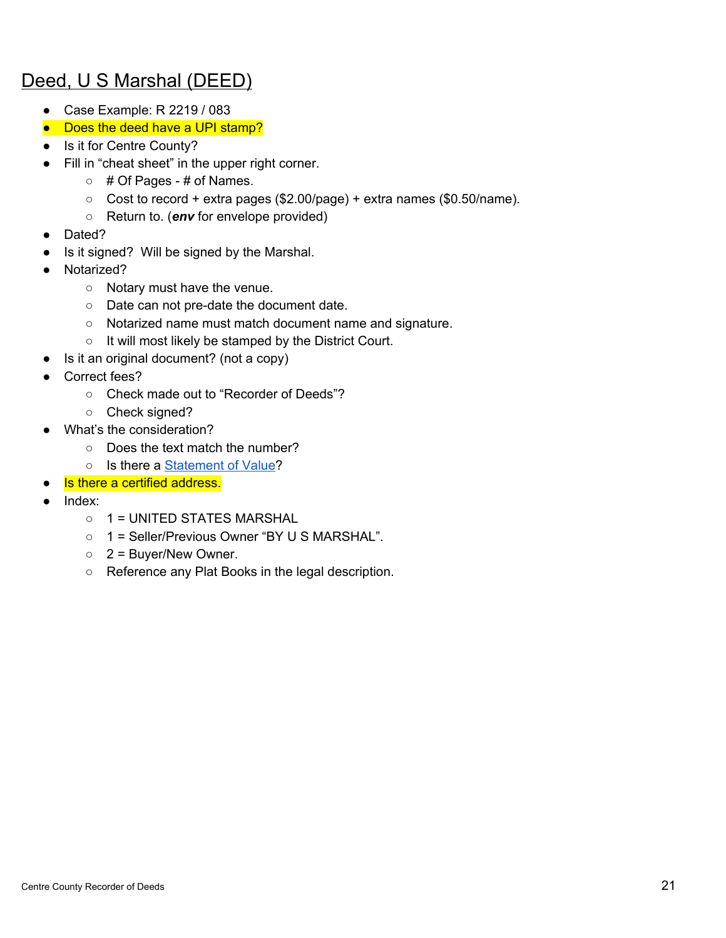## Deed, U S Marshal (DEED)

- Case Example: R 2219 / 083
- Does the deed have a UPI stamp?
- Is it for Centre County?
- Fill in "cheat sheet" in the upper right corner.
	- $\circ$  # Of Pages # of Names.
	- $\circ$  Cost to record + extra pages (\$2.00/page) + extra names (\$0.50/name).
	- Return to. (*env* for envelope provided)
- Dated?
- Is it signed? Will be signed by the Marshal.
- Notarized?
	- Notary must have the venue.
	- Date can not pre-date the document date.
	- Notarized name must match document name and signature.
	- It will most likely be stamped by the District Court.
- Is it an original document? (not a copy)
- Correct fees?
	- Check made out to "Recorder of Deeds"?
	- Check signed?
- What's the consideration?
	- Does the text match the number?
	- o Is there a Statement of Value?
- Is there a certified address.
- Index:
	- 1 = UNITED STATES MARSHAL
	- 1 = Seller/Previous Owner "BY U S MARSHAL".
	- $\circ$  2 = Buyer/New Owner.
	- Reference any Plat Books in the legal description.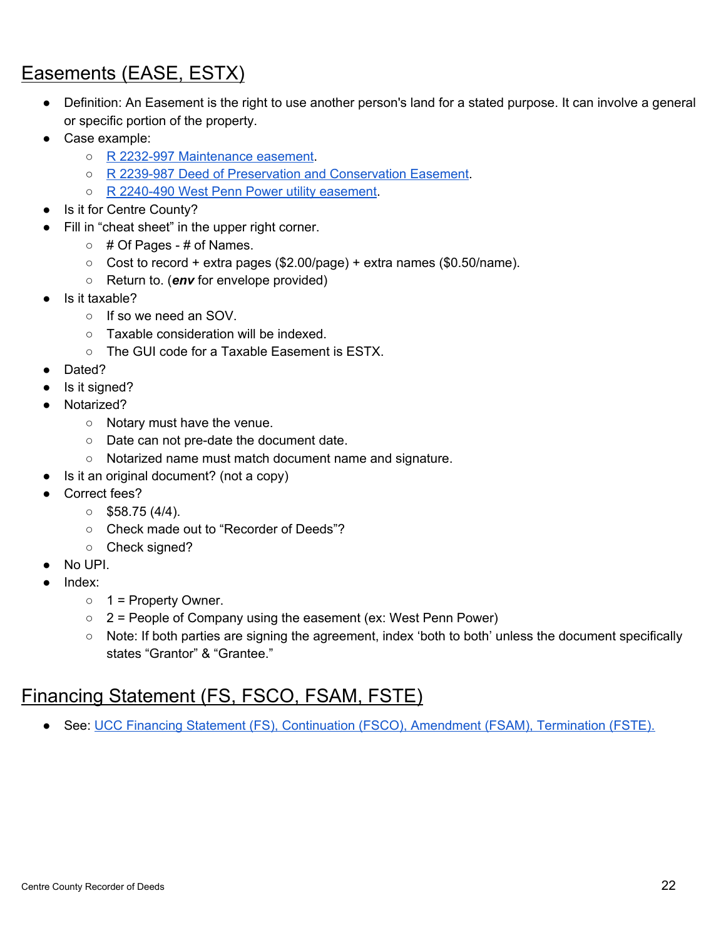## <span id="page-21-0"></span>Easements (EASE, ESTX)

- Definition: An Easement is the right to use another person's land for a stated purpose. It can involve a general or specific portion of the property.
- Case example:
	- R 2232-997 [Maintenance](https://webia.centrecountypa.gov/ccg/rod/rodrsp2?rod=58492674¤tlist=4&e6addaf3-0aef-4242-8f84-f6ad5e702597) easement.
	- R 2239-987 Deed of Preservation and [Conservation](https://webia.centrecountypa.gov/ccg/rod/rodrsp2?rod=58840847¤tlist=6&e6addaf3-0aef-4242-8f84-f6ad5e702597) Easement.
	- R 2240-490 West Penn Power utility [easement.](https://webia.centrecountypa.gov/ccg/rod/rodrsp2?rod=58865162¤tlist=458&e6addaf3-0aef-4242-8f84-f6ad5e702597)
- Is it for Centre County?
- Fill in "cheat sheet" in the upper right corner.
	- $\circ$  # Of Pages # of Names.
	- $\circ$  Cost to record + extra pages (\$2.00/page) + extra names (\$0.50/name).
	- Return to. (*env* for envelope provided)
- Is it taxable?
	- If so we need an SOV.
	- Taxable consideration will be indexed.
	- The GUI code for a Taxable Easement is ESTX.
- Dated?
- Is it signed?
- Notarized?
	- Notary must have the venue.
	- Date can not pre-date the document date.
	- Notarized name must match document name and signature.
- Is it an original document? (not a copy)
- Correct fees?
	- $\circ$  \$58.75 (4/4).
	- Check made out to "Recorder of Deeds"?
	- Check signed?
- No UPI.
- Index:
	- $\circ$  1 = Property Owner.
	- $\circ$  2 = People of Company using the easement (ex: West Penn Power)
	- Note: If both parties are signing the agreement, index 'both to both' unless the document specifically states "Grantor" & "Grantee."

## Financing Statement (FS, FSCO, FSAM, FSTE)

● See: UCC Financing Statement (FS), [Continuation](#page-43-0) (FSCO), Amendment (FSAM), Termination (FSTE).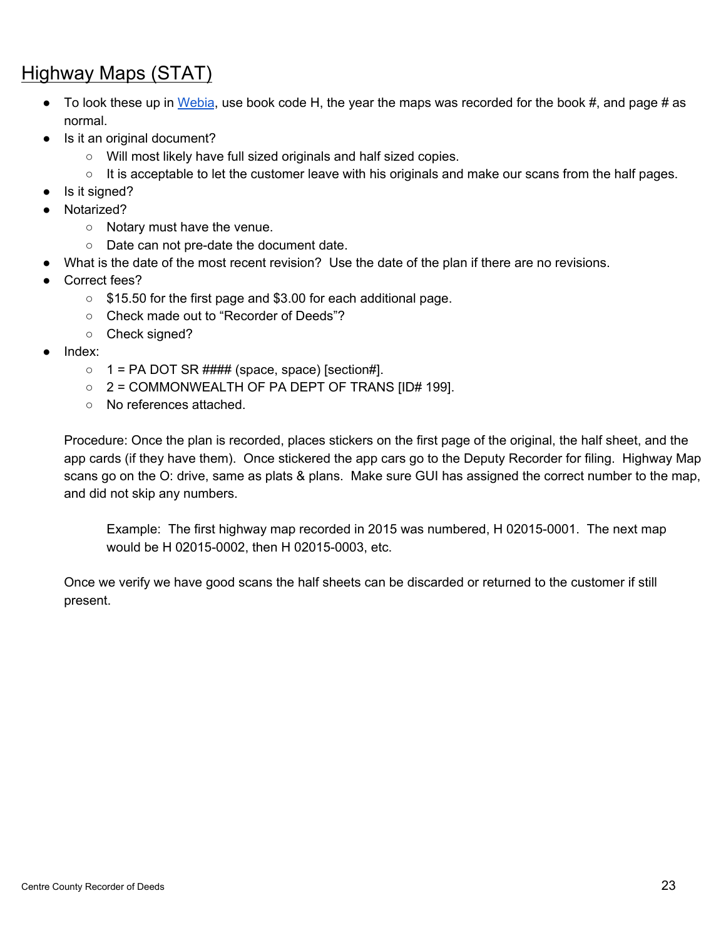# <span id="page-22-0"></span>Highway Maps (STAT)

- $\bullet$  To look these up in [Webia](https://webia.centrecountypa.gov/ccg/rod/rodrsb1?booktp=H&deedbk=2019&deedpg=), use book code H, the year the maps was recorded for the book #, and page # as normal.
- Is it an original document?
	- Will most likely have full sized originals and half sized copies.
	- $\circ$  It is acceptable to let the customer leave with his originals and make our scans from the half pages.
- Is it signed?
- Notarized?
	- Notary must have the venue.
	- Date can not pre-date the document date.
- What is the date of the most recent revision? Use the date of the plan if there are no revisions.
- Correct fees?
	- \$15.50 for the first page and \$3.00 for each additional page.
	- Check made out to "Recorder of Deeds"?
	- Check signed?
- Index:
	- $\circ$  1 = PA DOT SR #### (space, space) [section#].
	- $\circ$  2 = COMMONWEALTH OF PA DEPT OF TRANS [ID# 199].
	- No references attached.

Procedure: Once the plan is recorded, places stickers on the first page of the original, the half sheet, and the app cards (if they have them). Once stickered the app cars go to the Deputy Recorder for filing. Highway Map scans go on the O: drive, same as plats & plans. Make sure GUI has assigned the correct number to the map, and did not skip any numbers.

Example: The first highway map recorded in 2015 was numbered, H 02015-0001. The next map would be H 02015-0002, then H 02015-0003, etc.

Once we verify we have good scans the half sheets can be discarded or returned to the customer if still present.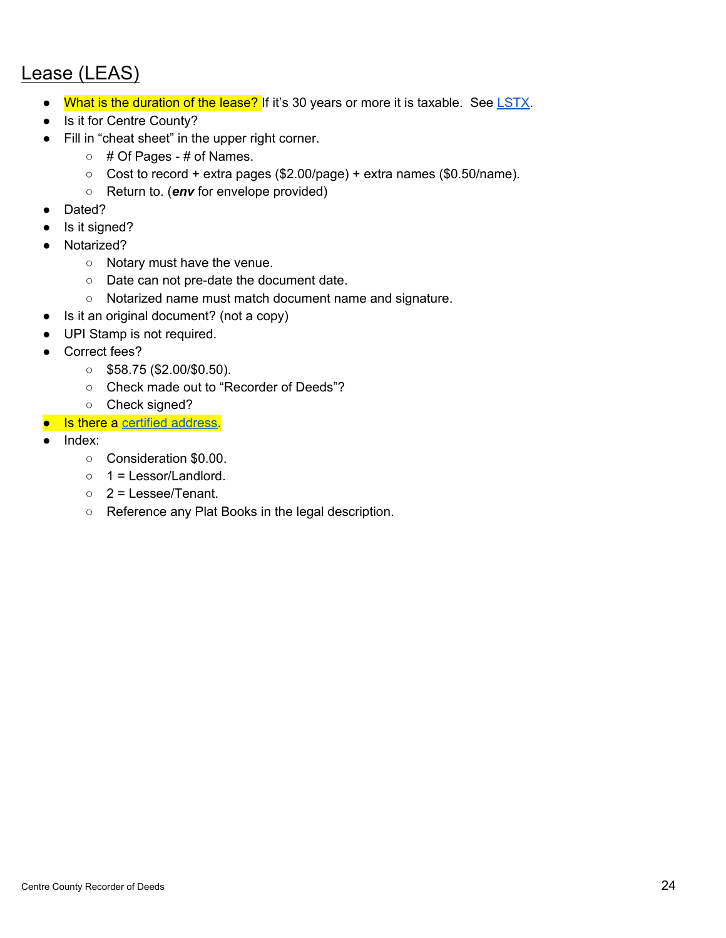## Lease (LEAS)

- What is the duration of the lease? If it's 30 years or more it is taxable. See [LSTX.](#page-42-0)
- Is it for Centre County?
- Fill in "cheat sheet" in the upper right corner.
	- # Of Pages # of Names.
	- $\circ$  Cost to record + extra pages (\$2.00/page) + extra names (\$0.50/name).
	- Return to. (*env* for envelope provided)
- Dated?
- Is it signed?
- Notarized?
	- Notary must have the venue.
	- Date can not pre-date the document date.
	- Notarized name must match document name and signature.
- Is it an original document? (not a copy)
- UPI Stamp is not required.
- Correct fees?
	- $\circ$  \$58.75 (\$2.00/\$0.50).
	- Check made out to "Recorder of Deeds"?
	- Check signed?
- Is there a certified [address.](#page-6-0)
- Index:
	- Consideration \$0.00.
	- $\circ$  1 = Lessor/Landlord.
	- $\circ$  2 = Lessee/Tenant.
	- Reference any Plat Books in the legal description.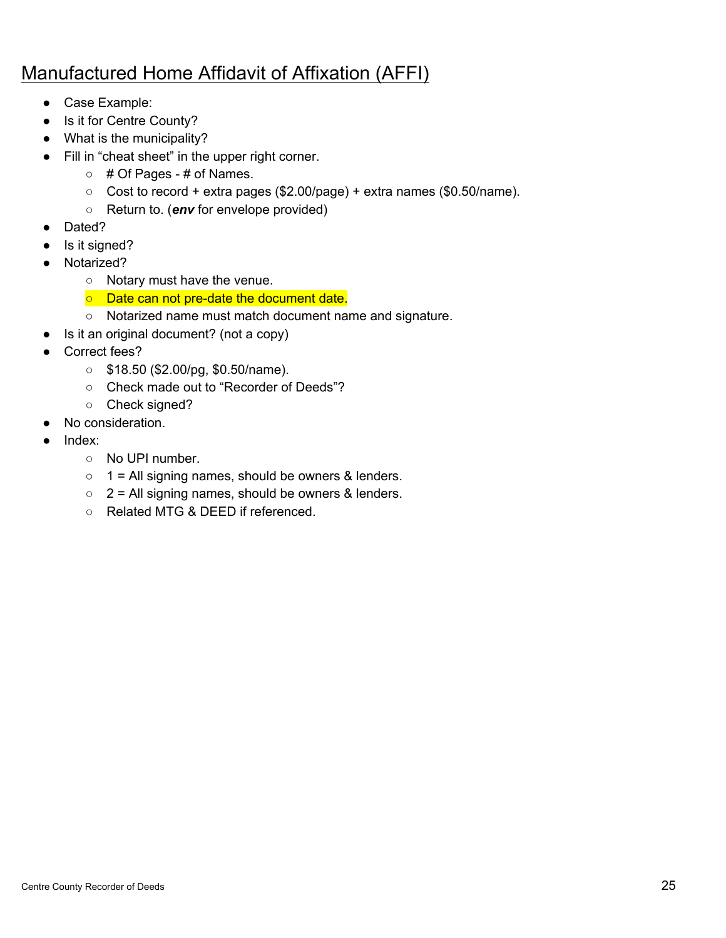### Manufactured Home Affidavit of Affixation (AFFI)

- Case Example:
- Is it for Centre County?
- What is the municipality?
- Fill in "cheat sheet" in the upper right corner.
	- $\circ$  # Of Pages # of Names.
	- Cost to record + extra pages (\$2.00/page) + extra names (\$0.50/name).
	- Return to. (*env* for envelope provided)
- Dated?
- Is it signed?
- Notarized?
	- Notary must have the venue.
	- o Date can not pre-date the document date.
	- Notarized name must match document name and signature.
- Is it an original document? (not a copy)
- Correct fees?
	- \$18.50 (\$2.00/pg, \$0.50/name).
	- Check made out to "Recorder of Deeds"?
	- Check signed?
- No consideration.
- Index:
	- No UPI number.
	- $\circ$  1 = All signing names, should be owners & lenders.
	- $\circ$  2 = All signing names, should be owners & lenders.
	- Related MTG & DEED if referenced.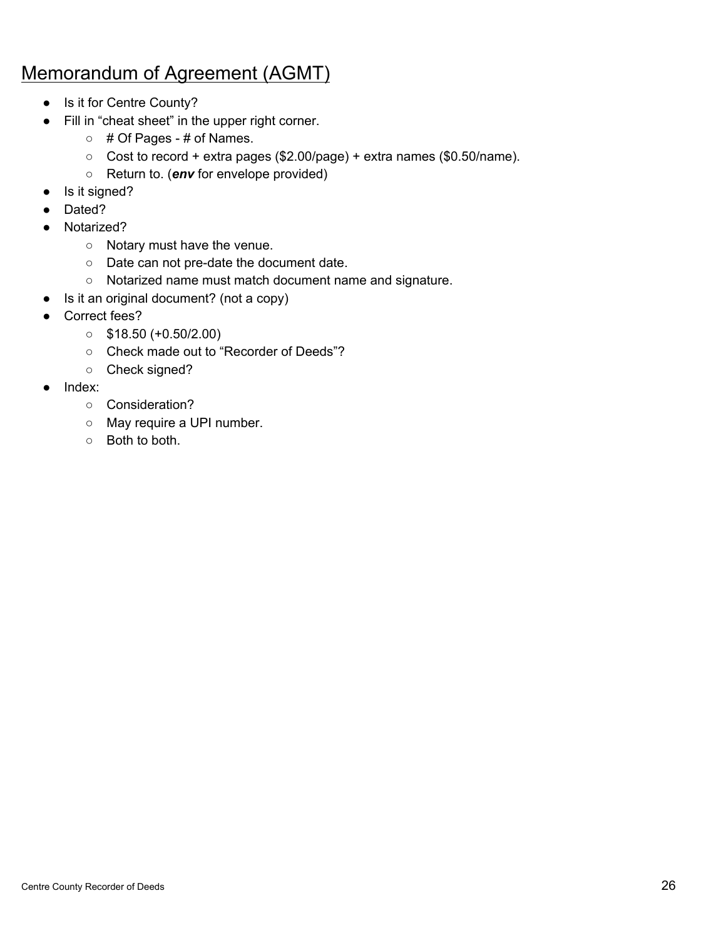## Memorandum of Agreement (AGMT)

- Is it for Centre County?
- Fill in "cheat sheet" in the upper right corner.
	- # Of Pages # of Names.
	- Cost to record + extra pages (\$2.00/page) + extra names (\$0.50/name).
	- Return to. (*env* for envelope provided)
- Is it signed?
- Dated?
- Notarized?
	- Notary must have the venue.
	- Date can not pre-date the document date.
	- Notarized name must match document name and signature.
- Is it an original document? (not a copy)
- Correct fees?
	- $\circ$  \$18.50 (+0.50/2.00)
	- Check made out to "Recorder of Deeds"?
	- Check signed?
- Index:
	- Consideration?
	- May require a UPI number.
	- Both to both.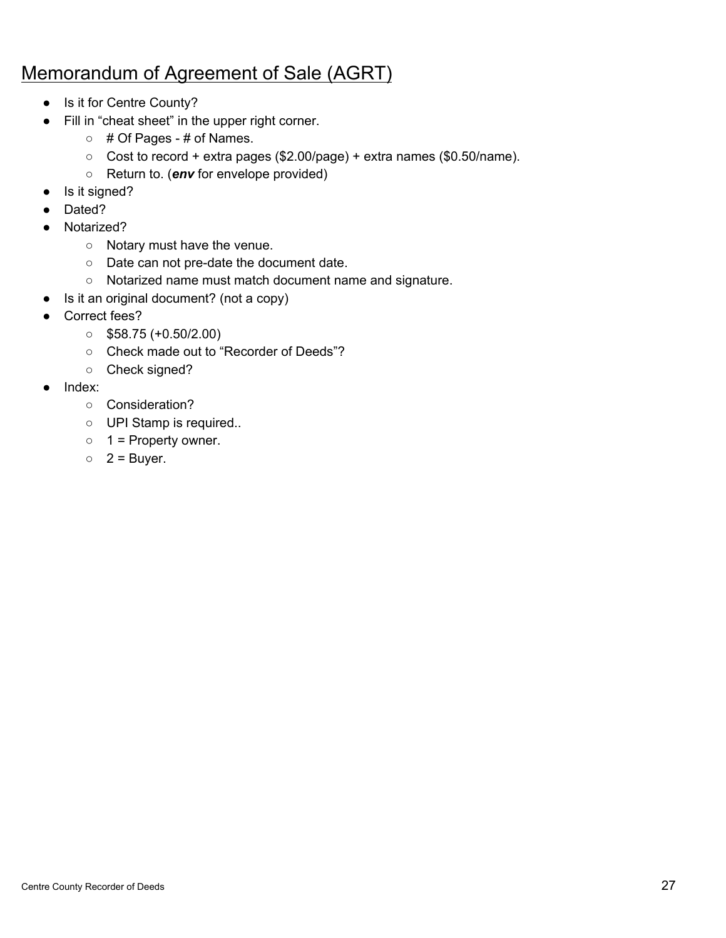# Memorandum of Agreement of Sale (AGRT)

- Is it for Centre County?
- Fill in "cheat sheet" in the upper right corner.
	- $\circ$  # Of Pages # of Names.
	- Cost to record + extra pages (\$2.00/page) + extra names (\$0.50/name).
	- Return to. (*env* for envelope provided)
- Is it signed?
- Dated?
- Notarized?
	- Notary must have the venue.
	- Date can not pre-date the document date.
	- Notarized name must match document name and signature.
- Is it an original document? (not a copy)
- Correct fees?
	- $\circ$  \$58.75 (+0.50/2.00)
	- Check made out to "Recorder of Deeds"?
	- Check signed?
- Index:
	- Consideration?
	- UPI Stamp is required..
	- $\circ$  1 = Property owner.
	- $\circ$  2 = Buyer.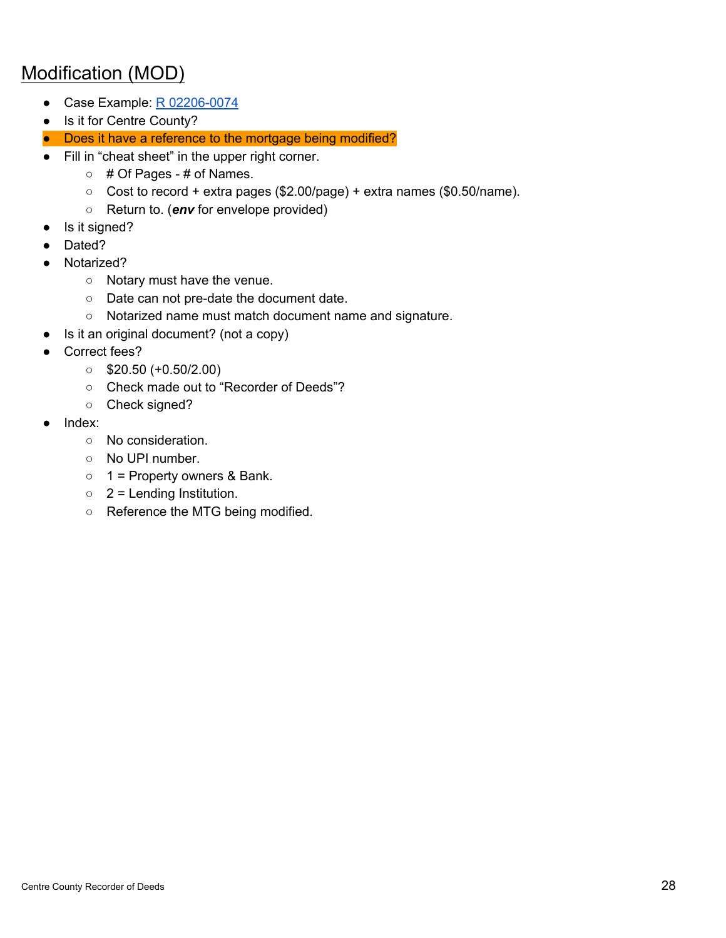### Modification (MOD)

- Case Example: R [02206-0074](https://webia.centrecountypa.gov/ccg/rod/rodrsp2?rod=57179913¤tlist=40&997a35aa-9e11-40f5-b397-5552fe917f48)
- Is it for Centre County?
- Does it have a reference to the mortgage being modified?
- Fill in "cheat sheet" in the upper right corner.
	- $\circ$  # Of Pages # of Names.
	- Cost to record + extra pages (\$2.00/page) + extra names (\$0.50/name).
	- Return to. (*env* for envelope provided)
- Is it signed?
- Dated?
- Notarized?
	- Notary must have the venue.
	- Date can not pre-date the document date.
	- Notarized name must match document name and signature.
- Is it an original document? (not a copy)
- Correct fees?
	- $\circ$  \$20.50 (+0.50/2.00)
	- Check made out to "Recorder of Deeds"?
	- Check signed?
- Index:
	- No consideration.
	- No UPI number.
	- $\circ$  1 = Property owners & Bank.
	- $\circ$  2 = Lending Institution.
	- Reference the MTG being modified.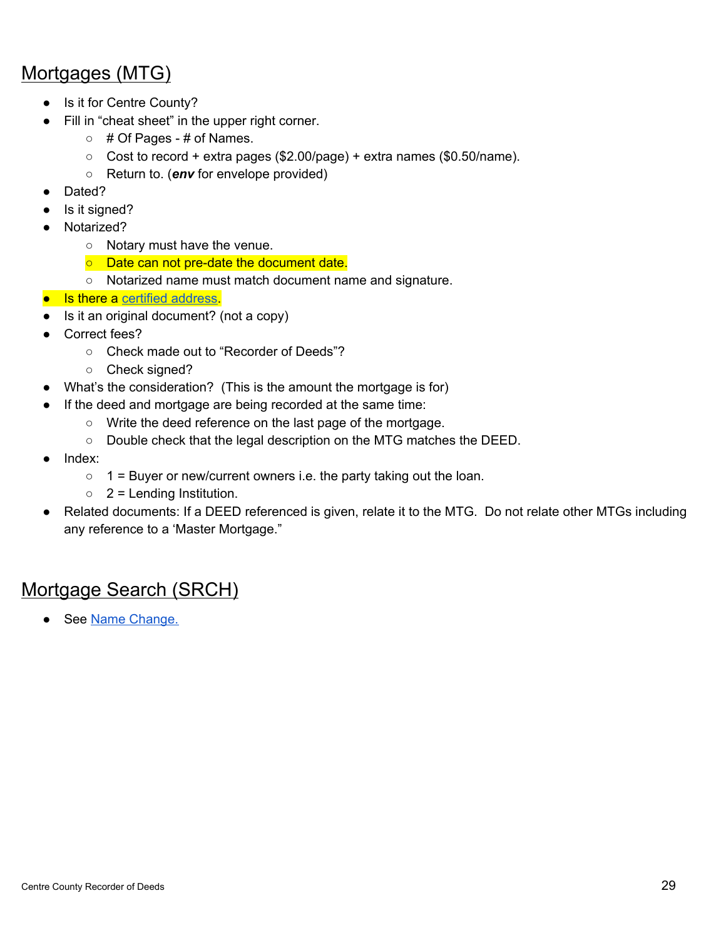## Mortgages (MTG)

- Is it for Centre County?
- Fill in "cheat sheet" in the upper right corner.
	- $\circ$  # Of Pages # of Names.
	- $\circ$  Cost to record + extra pages (\$2.00/page) + extra names (\$0.50/name).
	- Return to. (*env* for envelope provided)
- Dated?
- Is it signed?
- Notarized?
	- Notary must have the venue.
	- Date can not pre-date the document date.
	- Notarized name must match document name and signature.
- **•** Is there a certified [address.](#page-6-0)
- Is it an original document? (not a copy)
- Correct fees?
	- Check made out to "Recorder of Deeds"?
	- Check signed?
- What's the consideration? (This is the amount the mortgage is for)
- If the deed and mortgage are being recorded at the same time:
	- Write the deed reference on the last page of the mortgage.
	- Double check that the legal description on the MTG matches the DEED.
- Index:
	- $\circ$  1 = Buyer or new/current owners i.e. the party taking out the loan.
	- $\circ$  2 = Lending Institution.
- Related documents: If a DEED referenced is given, relate it to the MTG. Do not relate other MTGs including any reference to a 'Master Mortgage."

### Mortgage Search (SRCH)

<span id="page-28-0"></span>• See Name [Change.](#page-28-0)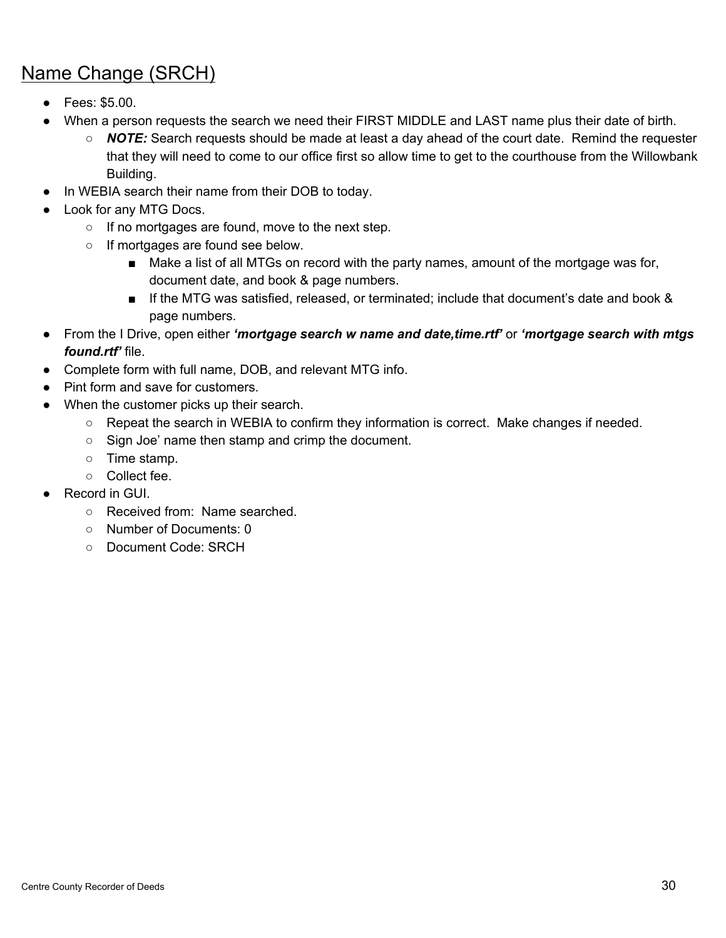# Name Change (SRCH)

- Fees: \$5.00.
- When a person requests the search we need their FIRST MIDDLE and LAST name plus their date of birth.
	- *NOTE:* Search requests should be made at least a day ahead of the court date. Remind the requester that they will need to come to our office first so allow time to get to the courthouse from the Willowbank Building.
- In WEBIA search their name from their DOB to today.
- Look for any MTG Docs.
	- If no mortgages are found, move to the next step.
	- If mortgages are found see below.
		- Make a list of all MTGs on record with the party names, amount of the mortgage was for, document date, and book & page numbers.
		- If the MTG was satisfied, released, or terminated; include that document's date and book & page numbers.
- From the I Drive, open either *'mortgage search w name and date,time.rtf'* or *'mortgage search with mtgs found.rtf'* file.
- Complete form with full name, DOB, and relevant MTG info.
- Pint form and save for customers.
- When the customer picks up their search.
	- Repeat the search in WEBIA to confirm they information is correct. Make changes if needed.
	- Sign Joe' name then stamp and crimp the document.
	- Time stamp.
	- Collect fee.
- Record in GUI.
	- Received from: Name searched.
	- Number of Documents: 0
	- Document Code: SRCH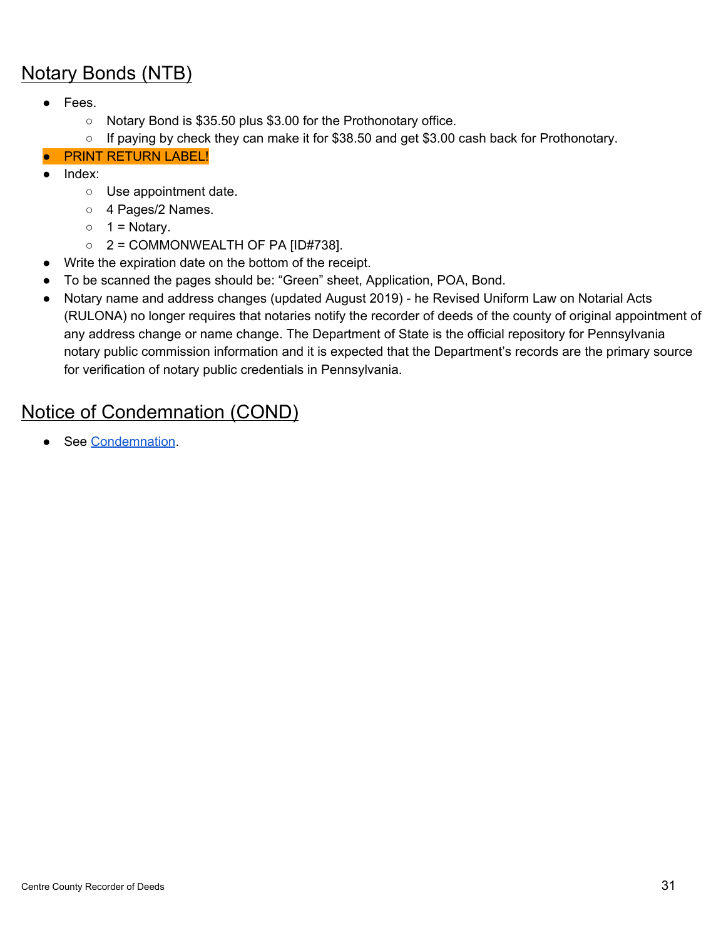# Notary Bonds (NTB)

- Fees.
	- Notary Bond is \$35.50 plus \$3.00 for the Prothonotary office.
	- $\circ$  If paying by check they can make it for \$38.50 and get \$3.00 cash back for Prothonotary.
- PRINT RETURN LABEL!
- Index:
	- Use appointment date.
	- 4 Pages/2 Names.
	- $\circ$  1 = Notary.
	- $\circ$  2 = COMMONWEALTH OF PA [ID#738].
- Write the expiration date on the bottom of the receipt.
- To be scanned the pages should be: "Green" sheet, Application, POA, Bond.
- Notary name and address changes (updated August 2019) he Revised Uniform Law on Notarial Acts (RULONA) no longer requires that notaries notify the recorder of deeds of the county of original appointment of any address change or name change. The Department of State is the official repository for Pennsylvania notary public commission information and it is expected that the Department's records are the primary source for verification of notary public credentials in Pennsylvania.

# Notice of Condemnation (COND)

● See [Condemnation](#page-9-0).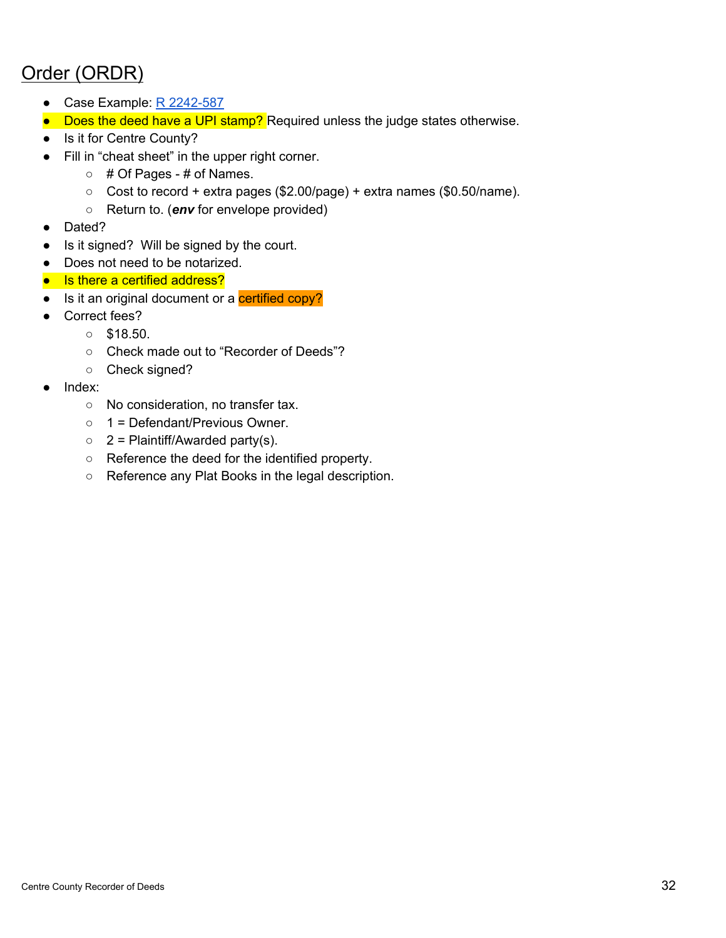# <span id="page-31-0"></span>Order (ORDR)

- Case Example: R [2242-587](https://webia.centrecountypa.gov/ccg/rod/rodrsp2?rod=58969607¤tlist=550&5bb07376-9356-4ad0-ba80-a55e174a1b69)
- Does the deed have a UPI stamp? Required unless the judge states otherwise.
- Is it for Centre County?
- Fill in "cheat sheet" in the upper right corner.
	- $\circ$  # Of Pages # of Names.
	- $\circ$  Cost to record + extra pages (\$2.00/page) + extra names (\$0.50/name).
	- Return to. (*env* for envelope provided)
- Dated?
- Is it signed? Will be signed by the court.
- Does not need to be notarized.
- Is there a certified address?
- Is it an original document or a **certified copy?**
- Correct fees?
	- $\circ$  \$18.50.
	- Check made out to "Recorder of Deeds"?
	- Check signed?
- Index:
	- No consideration, no transfer tax.
	- $\circ$  1 = Defendant/Previous Owner.
	- $\circ$  2 = Plaintiff/Awarded party(s).
	- Reference the deed for the identified property.
	- Reference any Plat Books in the legal description.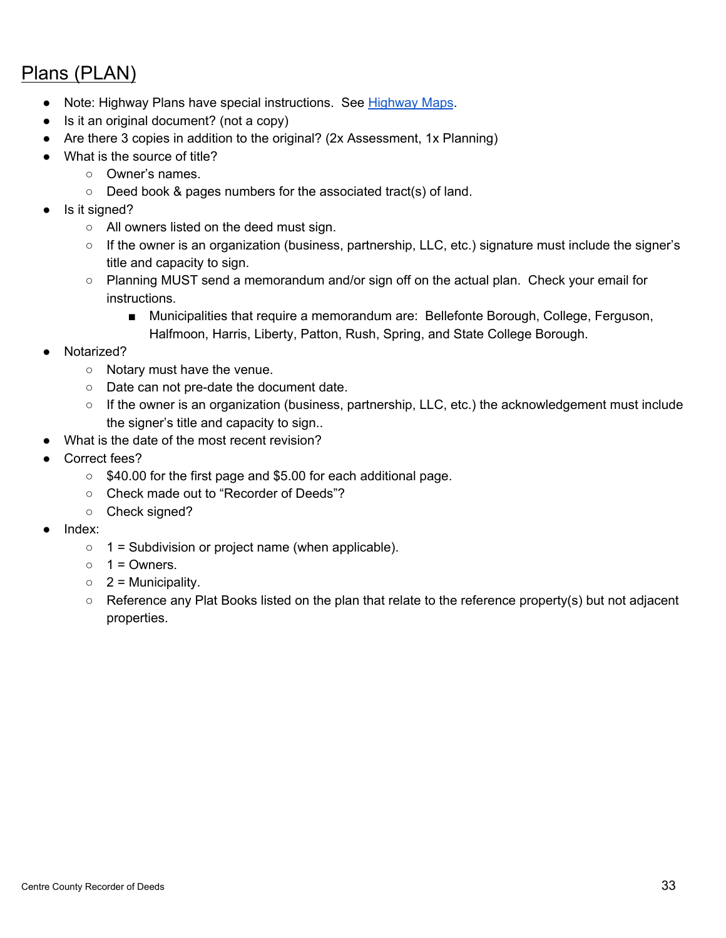### Plans (PLAN)

- Note: [Highway](#page-22-0) Plans have special instructions. See Highway Maps.
- Is it an original document? (not a copy)
- Are there 3 copies in addition to the original? (2x Assessment, 1x Planning)
- What is the source of title?
	- Owner's names.
	- Deed book & pages numbers for the associated tract(s) of land.
- Is it signed?
	- All owners listed on the deed must sign.
	- If the owner is an organization (business, partnership, LLC, etc.) signature must include the signer's title and capacity to sign.
	- Planning MUST send a memorandum and/or sign off on the actual plan. Check your email for instructions.
		- Municipalities that require a memorandum are: Bellefonte Borough, College, Ferguson, Halfmoon, Harris, Liberty, Patton, Rush, Spring, and State College Borough.
- Notarized?
	- Notary must have the venue.
	- Date can not pre-date the document date.
	- If the owner is an organization (business, partnership, LLC, etc.) the acknowledgement must include the signer's title and capacity to sign..
- What is the date of the most recent revision?
- Correct fees?
	- \$40.00 for the first page and \$5.00 for each additional page.
	- Check made out to "Recorder of Deeds"?
	- Check signed?
- Index:
	- $\circ$  1 = Subdivision or project name (when applicable).
	- $\circ$  1 = Owners.
	- $\circ$  2 = Municipality.
	- Reference any Plat Books listed on the plan that relate to the reference property(s) but not adjacent properties.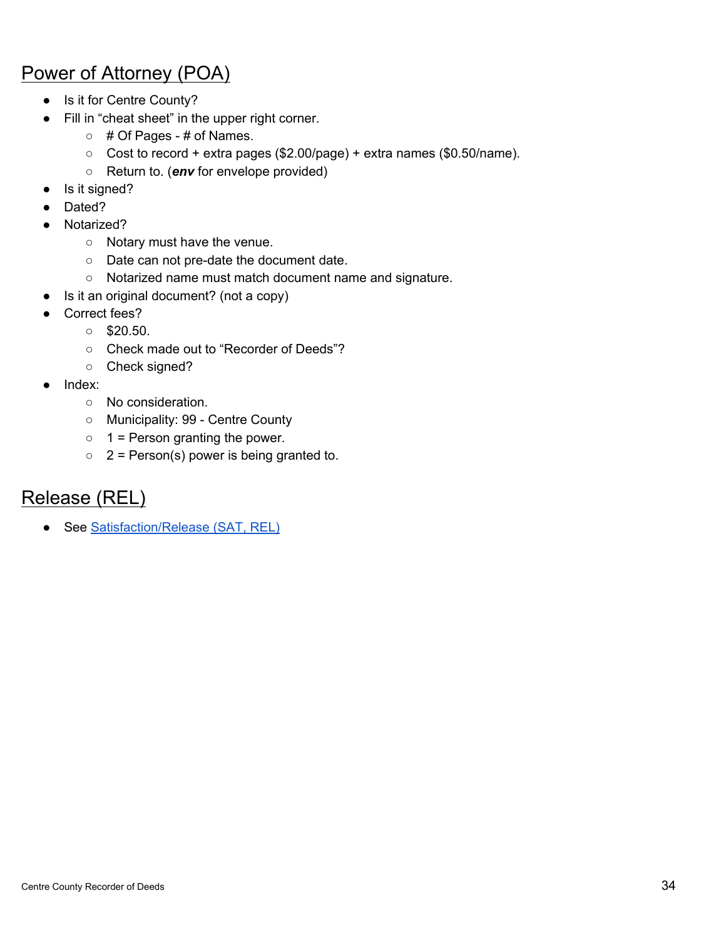# Power of Attorney (POA)

- Is it for Centre County?
- Fill in "cheat sheet" in the upper right corner.
	- $\circ$  # Of Pages # of Names.
	- Cost to record + extra pages (\$2.00/page) + extra names (\$0.50/name).
	- Return to. (*env* for envelope provided)
- Is it signed?
- Dated?
- Notarized?
	- Notary must have the venue.
	- Date can not pre-date the document date.
	- Notarized name must match document name and signature.
- Is it an original document? (not a copy)
- Correct fees?
	- $\circ$  \$20.50.
		- Check made out to "Recorder of Deeds"?
	- Check signed?
- Index:
	- No consideration.
	- Municipality: 99 Centre County
	- $\circ$  1 = Person granting the power.
	- $\circ$  2 = Person(s) power is being granted to.

## Release (REL)

● See [Satisfaction/Release](#page-39-1) (SAT, REL)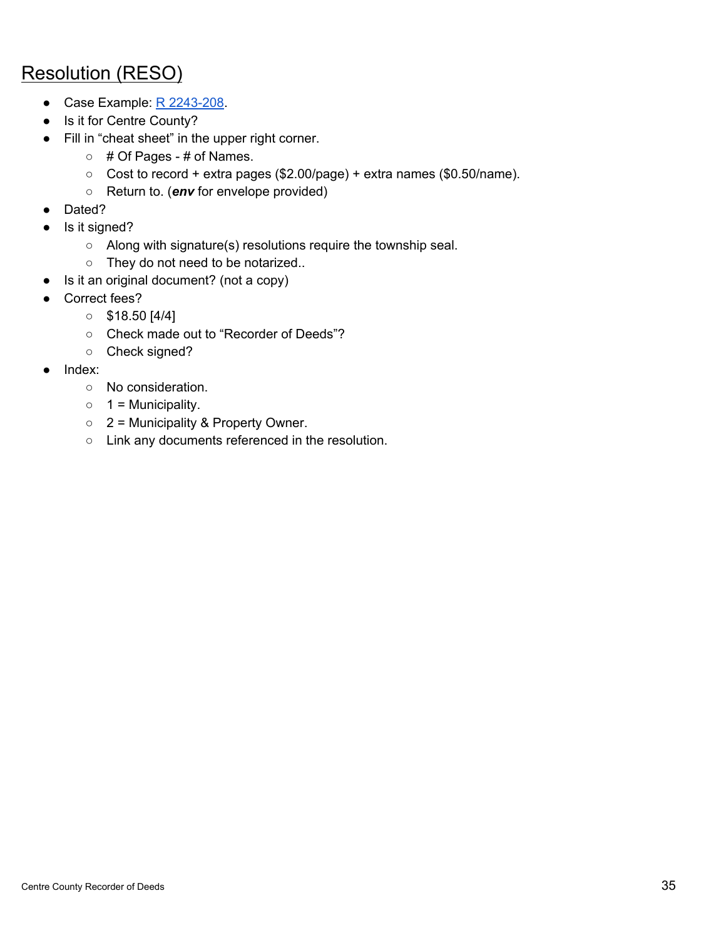# Resolution (RESO)

- Case Example: R [2243-208](https://webia.centrecountypa.gov/ccg/rod/rodrsp2?rod=59002371¤tlist=193&967a80a7-9bff-4253-a6b1-ecaeadb75704).
- Is it for Centre County?
- Fill in "cheat sheet" in the upper right corner.
	- # Of Pages # of Names.
	- Cost to record + extra pages (\$2.00/page) + extra names (\$0.50/name).
	- Return to. (*env* for envelope provided)
- Dated?
- Is it signed?
	- Along with signature(s) resolutions require the township seal.
	- They do not need to be notarized..
- Is it an original document? (not a copy)
- Correct fees?
	- $\circ$  \$18.50 [4/4]
	- Check made out to "Recorder of Deeds"?
	- Check signed?
- Index:
	- No consideration.
	- $\circ$  1 = Municipality.
	- 2 = Municipality & Property Owner.
	- Link any documents referenced in the resolution.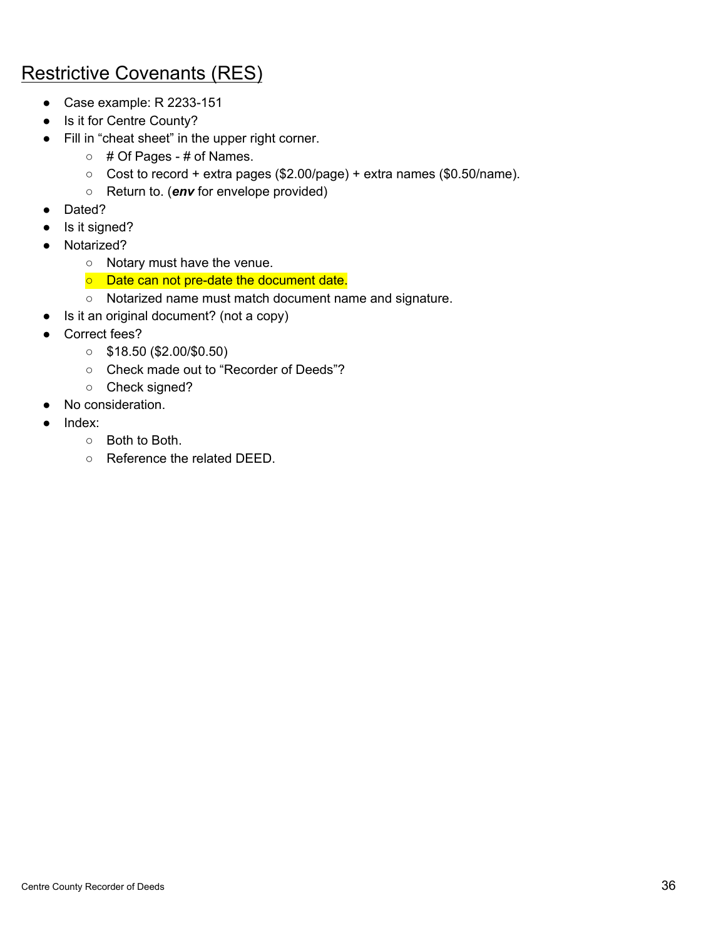# Restrictive Covenants (RES)

- Case example: R 2233-151
- Is it for Centre County?
- Fill in "cheat sheet" in the upper right corner.
	- # Of Pages # of Names.
	- Cost to record + extra pages (\$2.00/page) + extra names (\$0.50/name).
	- Return to. (*env* for envelope provided)
- Dated?
- Is it signed?
- Notarized?
	- Notary must have the venue.
	- Date can not pre-date the document date.
	- Notarized name must match document name and signature.
- Is it an original document? (not a copy)
- Correct fees?
	- $\circ$  \$18.50 (\$2.00/\$0.50)
	- Check made out to "Recorder of Deeds"?
	- Check signed?
- No consideration.
- Index:
	- Both to Both.
	- Reference the related DEED.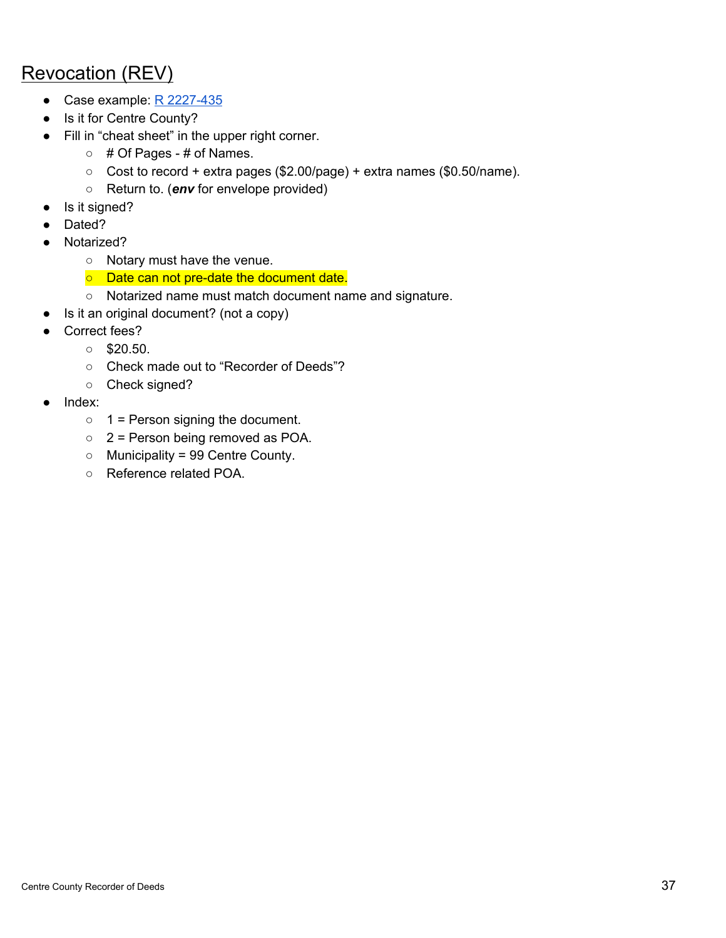### Revocation (REV)

- Case example: R [2227-435](https://webia.centrecountypa.gov/ccg/rod/rodrsp2?rod=58218502)
- Is it for Centre County?
- Fill in "cheat sheet" in the upper right corner.
	- $\circ$  # Of Pages # of Names.
	- Cost to record + extra pages (\$2.00/page) + extra names (\$0.50/name).
	- Return to. (*env* for envelope provided)
- Is it signed?
- Dated?
- Notarized?
	- Notary must have the venue.
	- Date can not pre-date the document date.
	- Notarized name must match document name and signature.
- Is it an original document? (not a copy)
- Correct fees?
	- $\circ$  \$20.50.
	- Check made out to "Recorder of Deeds"?
	- Check signed?
- Index:
	- $\circ$  1 = Person signing the document.
	- 2 = Person being removed as POA.
	- Municipality = 99 Centre County.
	- Reference related POA.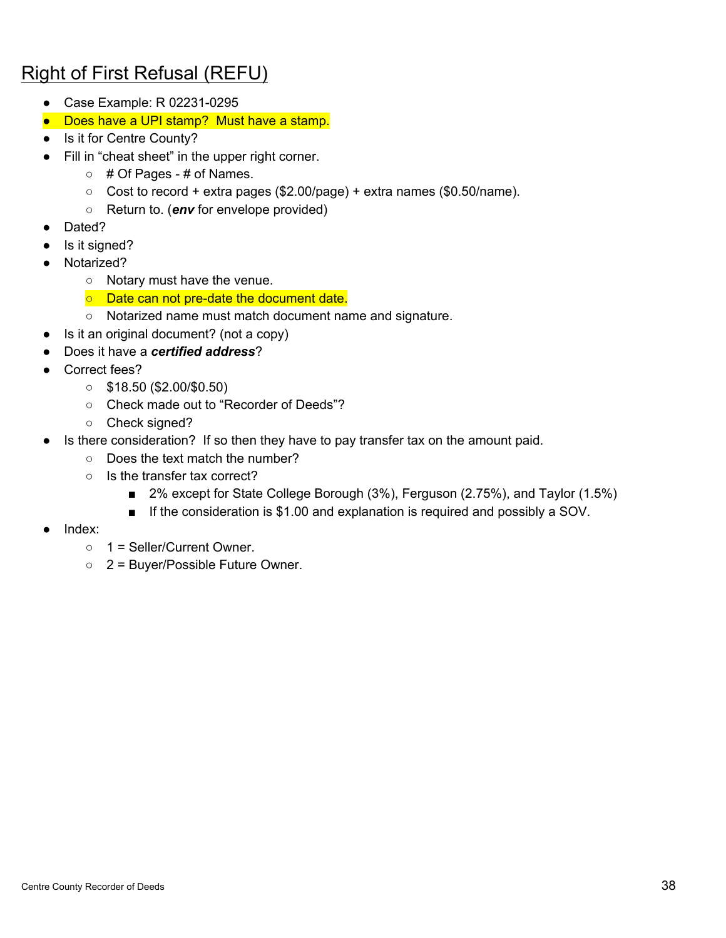## Right of First Refusal (REFU)

- Case Example: R 02231-0295
- Does have a UPI stamp? Must have a stamp.
- Is it for Centre County?
- Fill in "cheat sheet" in the upper right corner.
	- $\circ$  # Of Pages # of Names.
	- Cost to record + extra pages (\$2.00/page) + extra names (\$0.50/name).
	- Return to. (*env* for envelope provided)
- Dated?
- Is it signed?
- Notarized?
	- Notary must have the venue.
	- Date can not pre-date the document date.
	- Notarized name must match document name and signature.
- Is it an original document? (not a copy)
- Does it have a *certified address*?
- Correct fees?
	- $\circ$  \$18.50 (\$2.00/\$0.50)
	- Check made out to "Recorder of Deeds"?
	- Check signed?
- Is there consideration? If so then they have to pay transfer tax on the amount paid.
	- Does the text match the number?
	- Is the transfer tax correct?
		- 2% except for State College Borough (3%), Ferguson (2.75%), and Taylor (1.5%)
		- If the consideration is \$1.00 and explanation is required and possibly a SOV.
- Index:
	- $\circ$  1 = Seller/Current Owner.
	- 2 = Buyer/Possible Future Owner.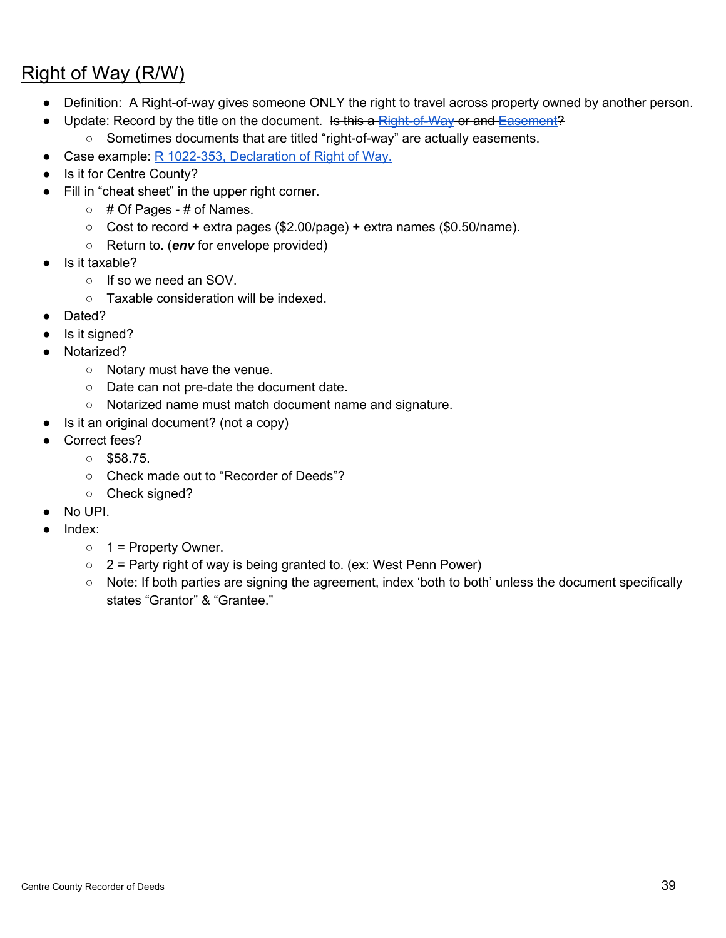## Right of Way (R/W)

- Definition: A Right-of-way gives someone ONLY the right to travel across property owned by another person.
- Update: Record by the title on the document. Is this a [Right-of-Way](#page-77-0) or and [Easement](#page-74-0)? ○ Sometimes documents that are titled "right-of-way" are actually easements.
- Case example: R 1022-353, [Declaration](https://webia.centrecountypa.gov/ccg/rod/rodrsp2?rod=14695171) of Right of Way.
- Is it for Centre County?
- Fill in "cheat sheet" in the upper right corner.
	- $\circ$  # Of Pages # of Names.
	- $\circ$  Cost to record + extra pages (\$2.00/page) + extra names (\$0.50/name).
	- Return to. (*env* for envelope provided)
- Is it taxable?
	- If so we need an SOV.
	- Taxable consideration will be indexed.
- Dated?
- Is it signed?
- Notarized?
	- Notary must have the venue.
	- Date can not pre-date the document date.
	- Notarized name must match document name and signature.
- Is it an original document? (not a copy)
- Correct fees?
	- $\circ$  \$58.75.
	- Check made out to "Recorder of Deeds"?
	- Check signed?
- No UPI.
- Index:
	- $\circ$  1 = Property Owner.
	- $\circ$  2 = Party right of way is being granted to. (ex: West Penn Power)
	- Note: If both parties are signing the agreement, index 'both to both' unless the document specifically states "Grantor" & "Grantee."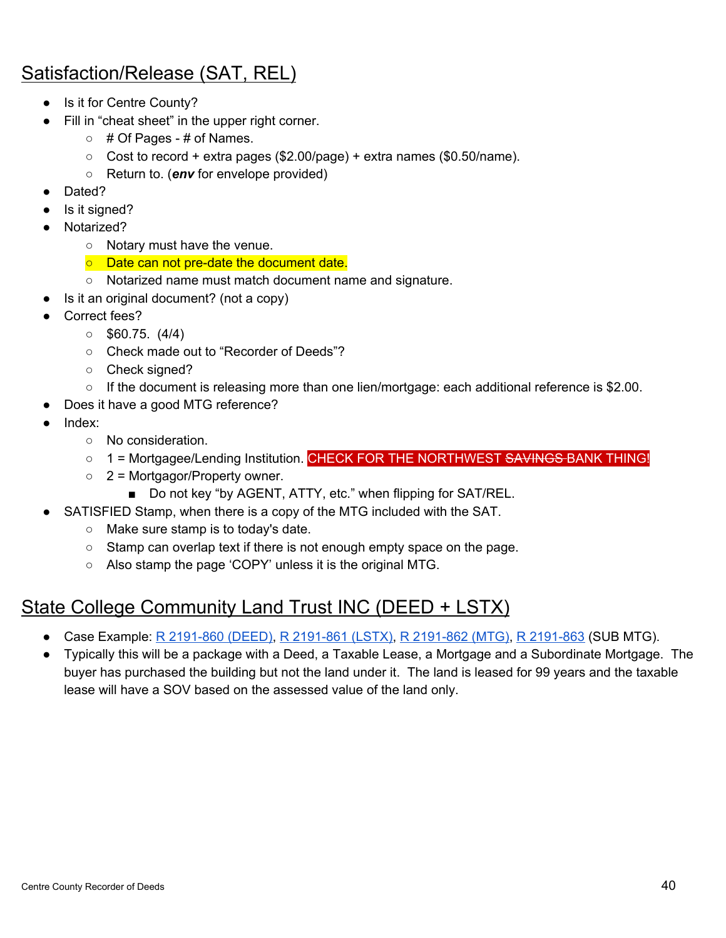## Satisfaction/Release (SAT, REL)

- Is it for Centre County?
- Fill in "cheat sheet" in the upper right corner.
	- $\circ$  # Of Pages # of Names.
	- $\circ$  Cost to record + extra pages (\$2.00/page) + extra names (\$0.50/name).
	- Return to. (*env* for envelope provided)
- Dated?
- Is it signed?
- Notarized?
	- Notary must have the venue.
	- Date can not pre-date the document date.
	- Notarized name must match document name and signature.
- Is it an original document? (not a copy)
- Correct fees?
	- $\circ$  \$60.75. (4/4)
	- Check made out to "Recorder of Deeds"?
	- Check signed?
	- $\circ$  If the document is releasing more than one lien/mortgage: each additional reference is \$2.00.
- Does it have a good MTG reference?
- Index:
	- No consideration.
	- 1 = Mortgagee/Lending Institution. CHECK FOR THE NORTHWEST SAVINGS-BANK THING!
	- $\circ$  2 = Mortgagor/Property owner.
		- Do not key "by AGENT, ATTY, etc." when flipping for SAT/REL.
- SATISFIED Stamp, when there is a copy of the MTG included with the SAT.
	- Make sure stamp is to today's date.
	- Stamp can overlap text if there is not enough empty space on the page.
	- Also stamp the page 'COPY' unless it is the original MTG.

## State College Community Land Trust INC (DEED + LSTX)

- Case Example: R [2191-860](https://webia.centrecountypa.gov/ccg/rod/rodrsp2?rod=56476942¤tlist=197&d36213fd-9f20-4f9e-9dbb-b3014a14225b) (DEED), R [2191-861](https://webia.centrecountypa.gov/ccg/rod/rodrsp2?rod=56477186) (LSTX), R [2191-862](https://webia.centrecountypa.gov/ccg/rod/rodrsp2?rod=56477190) (MTG), R [2191-863](https://webia.centrecountypa.gov/ccg/rod/rodrsp2?rod=56477193) (SUB MTG).
- Typically this will be a package with a Deed, a Taxable Lease, a Mortgage and a Subordinate Mortgage. The buyer has purchased the building but not the land under it. The land is leased for 99 years and the taxable lease will have a SOV based on the assessed value of the land only.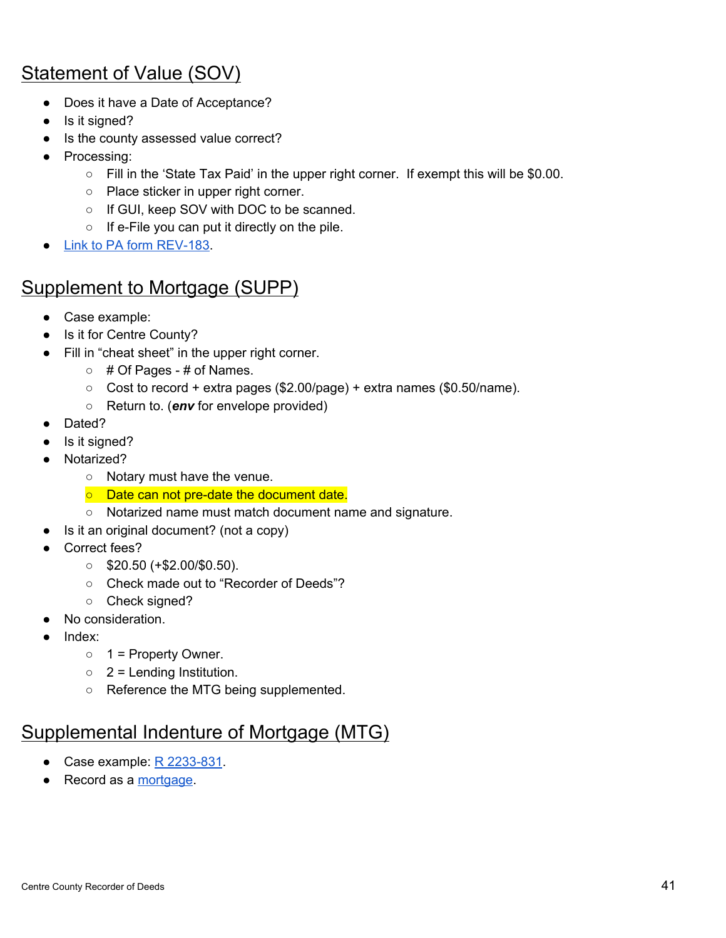## Statement of Value (SOV)

- Does it have a Date of Acceptance?
- Is it signed?
- Is the county assessed value correct?
- Processing:
	- Fill in the 'State Tax Paid' in the upper right corner. If exempt this will be \$0.00.
	- Place sticker in upper right corner.
	- If GUI, keep SOV with DOC to be scanned.
	- If e-File you can put it directly on the pile.
- Link to PA form [REV-183.](https://www.revenue.pa.gov/FormsandPublications/FormsforIndividuals/RTT/Documents/rev-183.pdf)

### Supplement to Mortgage (SUPP)

- Case example:
- Is it for Centre County?
- Fill in "cheat sheet" in the upper right corner.
	- $\circ$  # Of Pages # of Names.
	- $\circ$  Cost to record + extra pages (\$2.00/page) + extra names (\$0.50/name).
	- Return to. (*env* for envelope provided)
- Dated?
- Is it signed?
- Notarized?
	- Notary must have the venue.
	- Date can not pre-date the document date.
	- Notarized name must match document name and signature.
- Is it an original document? (not a copy)
- Correct fees?
	- $\circ$  \$20.50 (+\$2.00/\$0.50).
	- Check made out to "Recorder of Deeds"?
	- Check signed?
- No consideration.
- Index:
	- $\circ$  1 = Property Owner.
	- $\circ$  2 = Lending Institution.
	- Reference the MTG being supplemented.

### Supplemental Indenture of Mortgage (MTG)

- Case example: R [2233-831.](https://webia.centrecountypa.gov/ccg/rod/rodrsp2?rod=58533640¤tlist=34&6359e479-d376-4199-a62a-ce9b7028c0a9)
- Record as a [mortgage.](#page-28-0)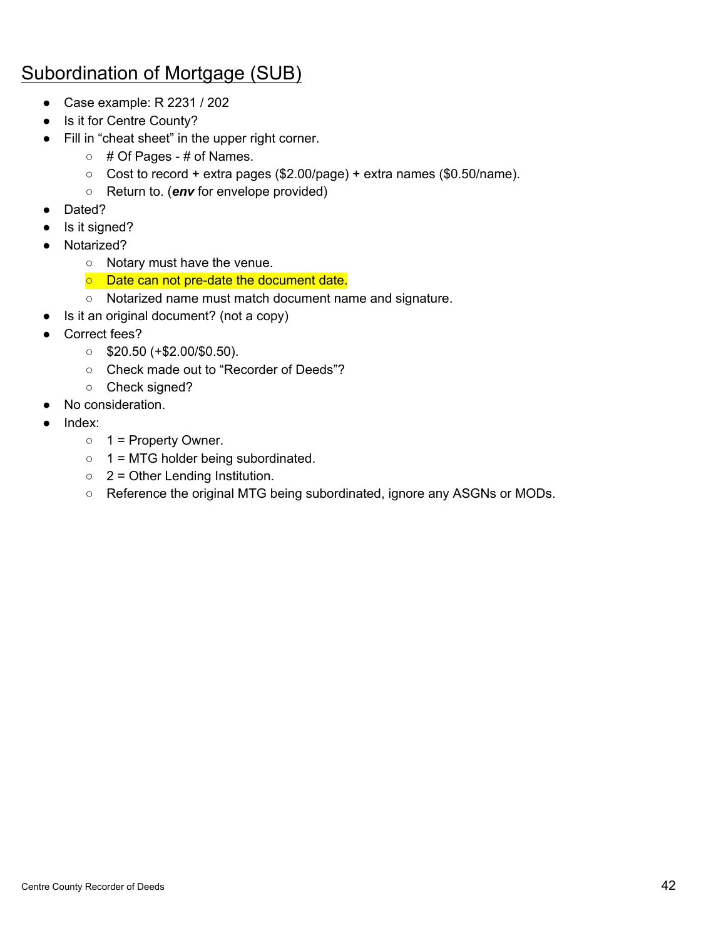## Subordination of Mortgage (SUB)

- Case example: R 2231 / 202
- Is it for Centre County?
- Fill in "cheat sheet" in the upper right corner.
	- # Of Pages # of Names.
	- $\circ$  Cost to record + extra pages (\$2.00/page) + extra names (\$0.50/name).
	- Return to. (*env* for envelope provided)
- Dated?
- Is it signed?
- Notarized?
	- Notary must have the venue.
	- Date can not pre-date the document date.
	- Notarized name must match document name and signature.
- Is it an original document? (not a copy)
- Correct fees?
	- $\circ$  \$20.50 (+\$2.00/\$0.50).
	- Check made out to "Recorder of Deeds"?
	- Check signed?
- No consideration.
- Index:
	- $\circ$  1 = Property Owner.
	- $\circ$  1 = MTG holder being subordinated.
	- $\circ$  2 = Other Lending Institution.
	- Reference the original MTG being subordinated, ignore any ASGNs or MODs.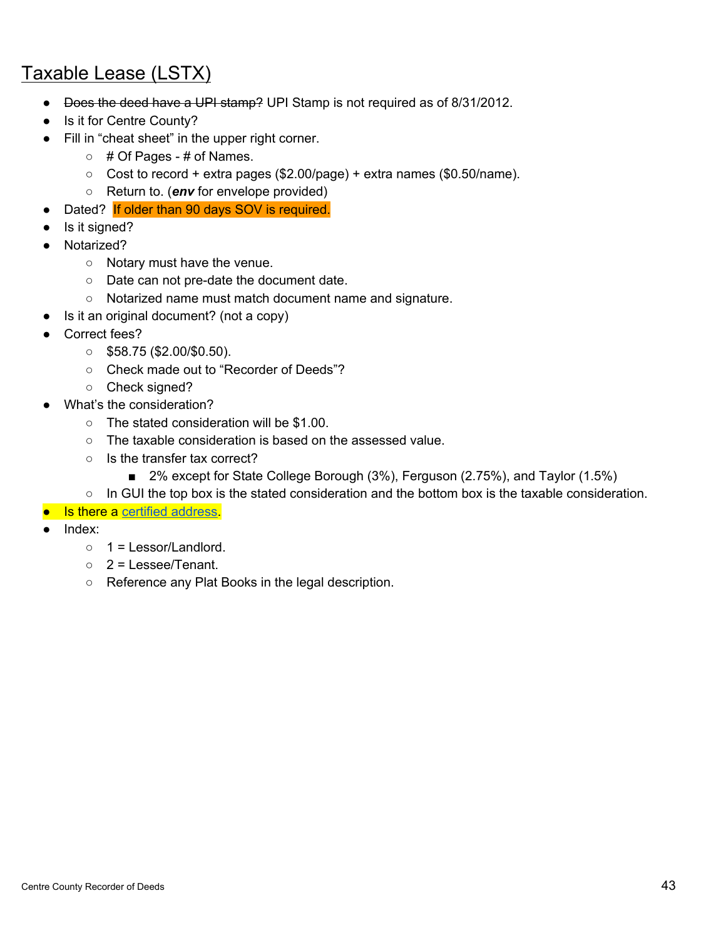## Taxable Lease (LSTX)

- Does the deed have a UPI stamp? UPI Stamp is not required as of 8/31/2012.
- Is it for Centre County?
- Fill in "cheat sheet" in the upper right corner.
	- $\circ$  # Of Pages # of Names.
	- $\circ$  Cost to record + extra pages (\$2.00/page) + extra names (\$0.50/name).
	- Return to. (*env* for envelope provided)
- Dated? If older than 90 days SOV is required.
- Is it signed?
- Notarized?
	- Notary must have the venue.
	- Date can not pre-date the document date.
	- Notarized name must match document name and signature.
- Is it an original document? (not a copy)
- Correct fees?
	- $\circ$  \$58.75 (\$2.00/\$0.50).
	- Check made out to "Recorder of Deeds"?
	- Check signed?
	- What's the consideration?
		- The stated consideration will be \$1.00.
		- The taxable consideration is based on the assessed value.
		- Is the transfer tax correct?
			- 2% except for State College Borough (3%), Ferguson (2.75%), and Taylor (1.5%)
		- In GUI the top box is the stated consideration and the bottom box is the taxable consideration.
- Is there a certified [address.](#page-6-0)
- Index:
	- $\circ$  1 = Lessor/Landlord.
	- $\circ$  2 = Lessee/Tenant.
	- Reference any Plat Books in the legal description.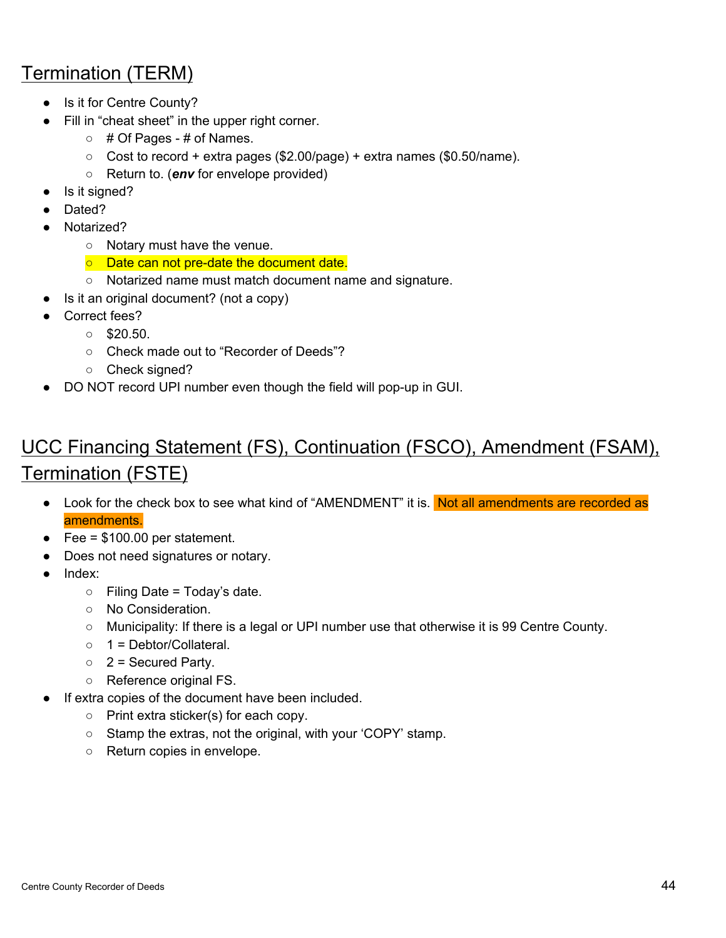## Termination (TERM)

- Is it for Centre County?
- Fill in "cheat sheet" in the upper right corner.
	- $\circ$  # Of Pages # of Names.
	- $\circ$  Cost to record + extra pages (\$2.00/page) + extra names (\$0.50/name).
	- Return to. (*env* for envelope provided)
- Is it signed?
- Dated?
- Notarized?
	- Notary must have the venue.
	- Date can not pre-date the document date.
	- Notarized name must match document name and signature.
- Is it an original document? (not a copy)
- Correct fees?
	- $\circ$  \$20.50.
	- Check made out to "Recorder of Deeds"?
	- Check signed?
- DO NOT record UPI number even though the field will pop-up in GUI.

## UCC Financing Statement (FS), Continuation (FSCO), Amendment (FSAM), Termination (FSTE)

- Look for the check box to see what kind of "AMENDMENT" it is. Not all amendments are recorded as amendments.
- $\bullet$  Fee = \$100.00 per statement.
- Does not need signatures or notary.
- Index:
	- $\circ$  Filing Date = Today's date.
	- No Consideration.
	- Municipality: If there is a legal or UPI number use that otherwise it is 99 Centre County.
	- $\circ$  1 = Debtor/Collateral.
	- $\circ$  2 = Secured Party.
	- Reference original FS.
- If extra copies of the document have been included.
	- Print extra sticker(s) for each copy.
	- Stamp the extras, not the original, with your 'COPY' stamp.
	- Return copies in envelope.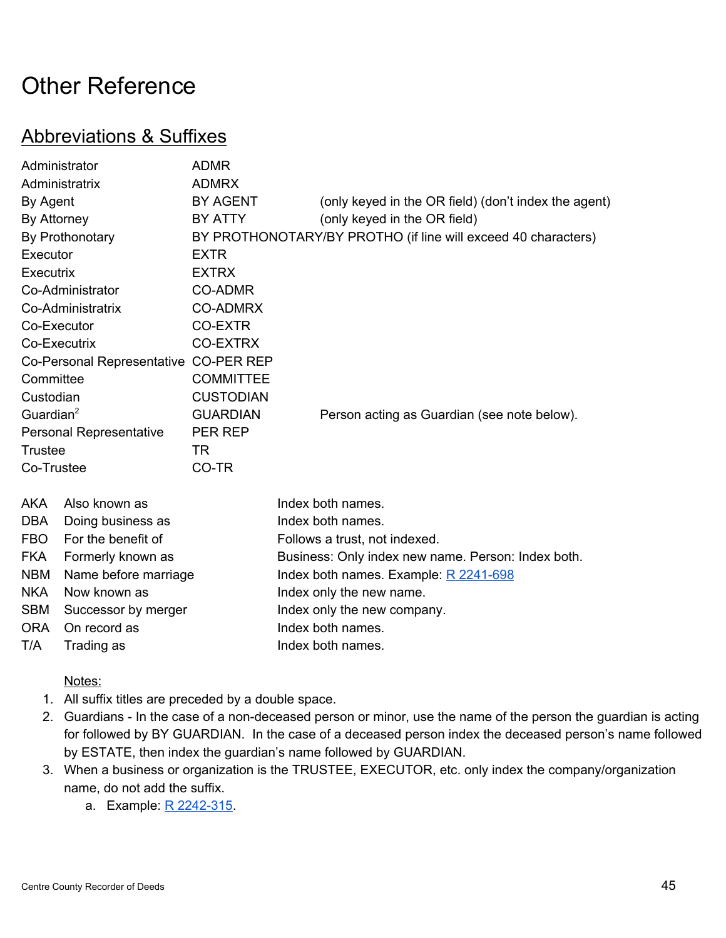# Other Reference

### Abbreviations & Suffixes

| Administrator                      |                                       | <b>ADMR</b>                                                   |                                                      |  |  |  |  |
|------------------------------------|---------------------------------------|---------------------------------------------------------------|------------------------------------------------------|--|--|--|--|
| Administratrix                     |                                       | <b>ADMRX</b>                                                  |                                                      |  |  |  |  |
| By Agent                           |                                       | BY AGENT                                                      | (only keyed in the OR field) (don't index the agent) |  |  |  |  |
| By Attorney                        |                                       | BY ATTY                                                       | (only keyed in the OR field)                         |  |  |  |  |
|                                    | By Prothonotary                       | BY PROTHONOTARY/BY PROTHO (if line will exceed 40 characters) |                                                      |  |  |  |  |
| Executor                           |                                       | <b>EXTR</b>                                                   |                                                      |  |  |  |  |
| <b>Executrix</b>                   |                                       | <b>EXTRX</b>                                                  |                                                      |  |  |  |  |
|                                    | Co-Administrator                      | <b>CO-ADMR</b>                                                |                                                      |  |  |  |  |
|                                    | Co-Administratrix                     | <b>CO-ADMRX</b>                                               |                                                      |  |  |  |  |
| Co-Executor                        |                                       | <b>CO-EXTR</b>                                                |                                                      |  |  |  |  |
| Co-Executrix                       |                                       | <b>CO-EXTRX</b>                                               |                                                      |  |  |  |  |
|                                    | Co-Personal Representative CO-PER REP |                                                               |                                                      |  |  |  |  |
| Committee                          |                                       | <b>COMMITTEE</b>                                              |                                                      |  |  |  |  |
| Custodian                          |                                       | <b>CUSTODIAN</b>                                              |                                                      |  |  |  |  |
| Guardian $2$                       |                                       | <b>GUARDIAN</b>                                               | Person acting as Guardian (see note below).          |  |  |  |  |
|                                    | Personal Representative               | PER REP                                                       |                                                      |  |  |  |  |
| Trustee                            |                                       | TR                                                            |                                                      |  |  |  |  |
| Co-Trustee                         |                                       | CO-TR                                                         |                                                      |  |  |  |  |
| AKA                                | Also known as                         |                                                               | Index both names.                                    |  |  |  |  |
| <b>DBA</b>                         | Doing business as                     |                                                               | Index both names.                                    |  |  |  |  |
| <b>FBO</b>                         | For the benefit of                    |                                                               | Follows a trust, not indexed.                        |  |  |  |  |
| <b>FKA</b>                         | Formerly known as                     |                                                               | Business: Only index new name. Person: Index both.   |  |  |  |  |
| <b>NBM</b><br>Name before marriage |                                       |                                                               | Index both names. Example: R 2241-698                |  |  |  |  |
| <b>NKA</b><br>Now known as         |                                       |                                                               | Index only the new name.                             |  |  |  |  |
| <b>SBM</b><br>Successor by merger  |                                       |                                                               | Index only the new company.                          |  |  |  |  |
| <b>ORA</b><br>On record as         |                                       |                                                               | Index both names.                                    |  |  |  |  |

T/A Trading as Index both names.

Notes:

- 1. All suffix titles are preceded by a double space.
- 2. Guardians In the case of a non-deceased person or minor, use the name of the person the guardian is acting for followed by BY GUARDIAN. In the case of a deceased person index the deceased person's name followed by ESTATE, then index the guardian's name followed by GUARDIAN.
- 3. When a business or organization is the TRUSTEE, EXECUTOR, etc. only index the company/organization name, do not add the suffix.
	- a. Example: R [2242-315](https://webia.centrecountypa.gov/ccg/rod/rodrsp2?rod=58956041¤tlist=291&e4de44c9-7b51-447e-9780-32c6c8445bed).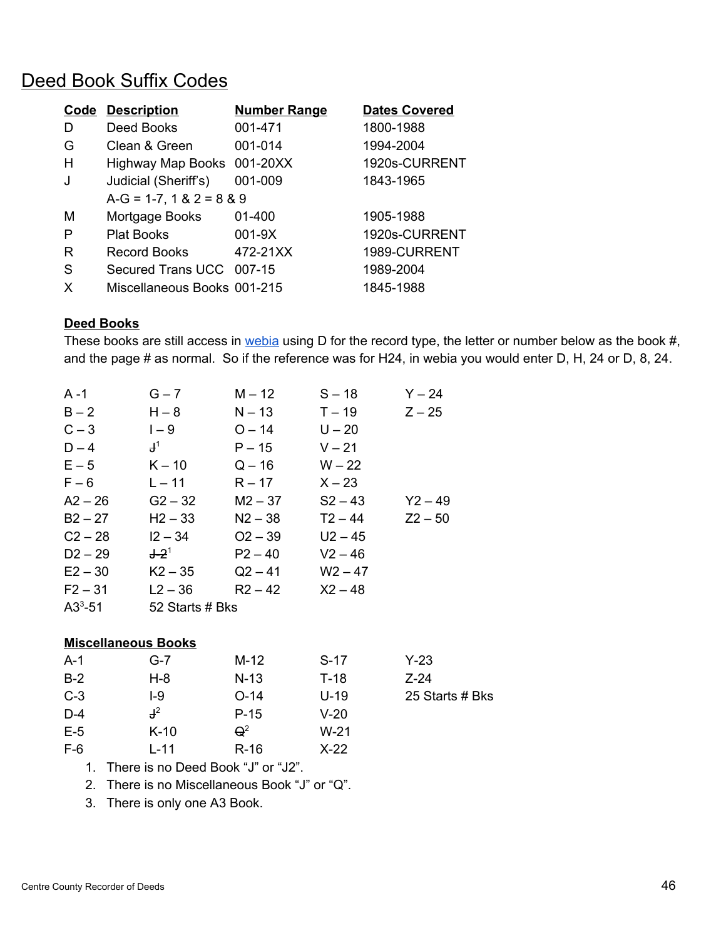### Deed Book Suffix Codes

| Code | <b>Description</b>          | <b>Number Range</b> | <b>Dates Covered</b> |
|------|-----------------------------|---------------------|----------------------|
| D    | Deed Books                  | 001-471             | 1800-1988            |
| G    | Clean & Green               | 001-014             | 1994-2004            |
| н    | Highway Map Books 001-20XX  |                     | 1920s-CURRENT        |
| J    | Judicial (Sheriff's)        | 001-009             | 1843-1965            |
|      | $A-G = 1-7, 1 & 2 = 8 & 9$  |                     |                      |
| м    | Mortgage Books              | 01-400              | 1905-1988            |
| P    | <b>Plat Books</b>           | 001-9X              | 1920s-CURRENT        |
| R    | <b>Record Books</b>         | 472-21XX            | 1989-CURRENT         |
| S    | Secured Trans UCC 007-15    |                     | 1989-2004            |
| X    | Miscellaneous Books 001-215 |                     | 1845-1988            |

#### **Deed Books**

These books are still access in [webia](https://webia.centrecountypa.gov/ccg/rod) using D for the record type, the letter or number below as the book #, and the page # as normal. So if the reference was for H24, in webia you would enter D, H, 24 or D, 8, 24.

| A -1        | $G - 7$         | $M - 12$  | $S - 18$  | $Y - 24$   |
|-------------|-----------------|-----------|-----------|------------|
| $B - 2$     | $H - 8$         | $N - 13$  | $T - 19$  | $Z - 25$   |
| $C-3$       | $-9$            | $O - 14$  | $U - 20$  |            |
| $D - 4$     | $\mathbf{d}^1$  | $P - 15$  | $V - 21$  |            |
| $E - 5$     | $K - 10$        | $Q - 16$  | $W - 22$  |            |
| $F - 6$     | $L - 11$        | $R - 17$  | $X - 23$  |            |
| $A2 - 26$   | $G2 - 32$       | $M2 - 37$ | $S2 - 43$ | $Y2 - 49$  |
| $B2 - 27$   | $H2 - 33$       | $N2 - 38$ | $T2 - 44$ | $Z^2 - 50$ |
| $C2 - 28$   | $12 - 34$       | $O2 - 39$ | $U2 - 45$ |            |
| $D2 - 29$   | $+2^1$          | $P2 - 40$ | $V2 - 46$ |            |
| $E2 - 30$   | $K2 - 35$       | $Q2 - 41$ | $W2 - 47$ |            |
| $F2 - 31$   | $L2 - 36$       | $R2 - 42$ | $X2 - 48$ |            |
| $A3^3 - 51$ | 52 Starts # Bks |           |           |            |
|             |                 |           |           |            |

#### **Miscellaneous Books**

| $A-1$ | $G-7$          | $M-12$     | $S-17$ | $Y-23$          |
|-------|----------------|------------|--------|-----------------|
| $B-2$ | $H-8$          | $N-13$     | $T-18$ | $Z-24$          |
| $C-3$ | I-9            | $O-14$     | $U-19$ | 25 Starts # Bks |
| $D-4$ | J <sup>2</sup> | $P-15$     | $V-20$ |                 |
| $E-5$ | $K-10$         | $\Theta^2$ | W-21   |                 |
| $F-6$ | l -11          | $R-16$     | $X-22$ |                 |

1. There is no Deed Book "J" or "J2".

2. There is no Miscellaneous Book "J" or "Q".

3. There is only one A3 Book.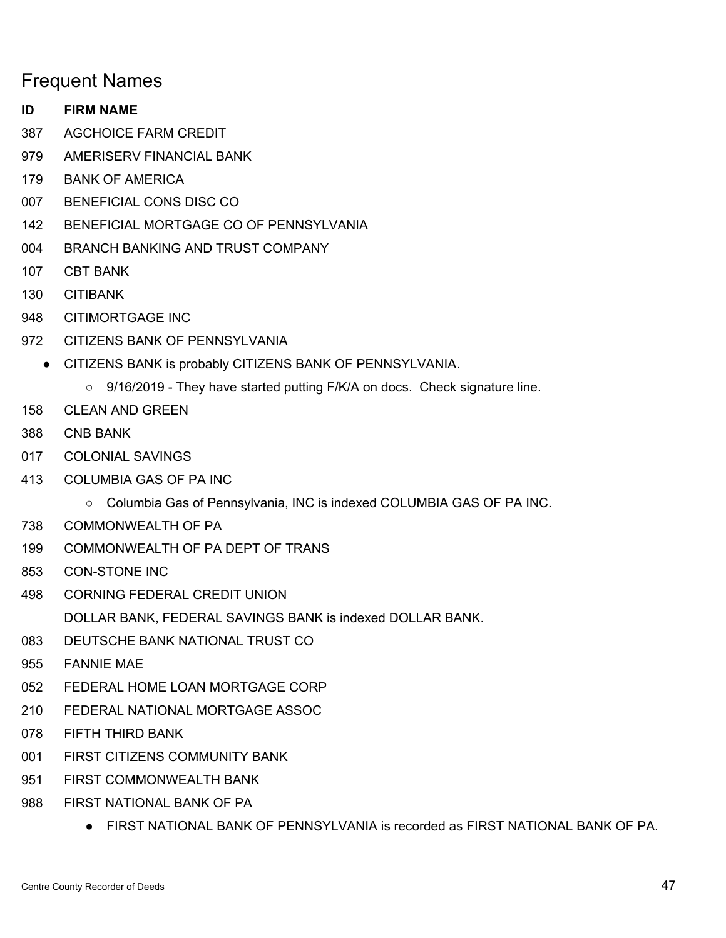### Frequent Names

### **ID FIRM NAME**

- AGCHOICE FARM CREDIT
- AMERISERV FINANCIAL BANK
- BANK OF AMERICA
- BENEFICIAL CONS DISC CO
- BENEFICIAL MORTGAGE CO OF PENNSYLVANIA
- BRANCH BANKING AND TRUST COMPANY
- CBT BANK
- CITIBANK
- CITIMORTGAGE INC
- CITIZENS BANK OF PENNSYLVANIA
	- CITIZENS BANK is probably CITIZENS BANK OF PENNSYLVANIA.
		- 9/16/2019 They have started putting F/K/A on docs. Check signature line.
- CLEAN AND GREEN
- CNB BANK
- COLONIAL SAVINGS
- COLUMBIA GAS OF PA INC
	- Columbia Gas of Pennsylvania, INC is indexed COLUMBIA GAS OF PA INC.
- COMMONWEALTH OF PA
- COMMONWEALTH OF PA DEPT OF TRANS
- CON-STONE INC
- CORNING FEDERAL CREDIT UNION DOLLAR BANK, FEDERAL SAVINGS BANK is indexed DOLLAR BANK.
- DEUTSCHE BANK NATIONAL TRUST CO
- FANNIE MAE
- FEDERAL HOME LOAN MORTGAGE CORP
- FEDERAL NATIONAL MORTGAGE ASSOC
- FIFTH THIRD BANK
- FIRST CITIZENS COMMUNITY BANK
- FIRST COMMONWEALTH BANK
- FIRST NATIONAL BANK OF PA
	- FIRST NATIONAL BANK OF PENNSYLVANIA is recorded as FIRST NATIONAL BANK OF PA.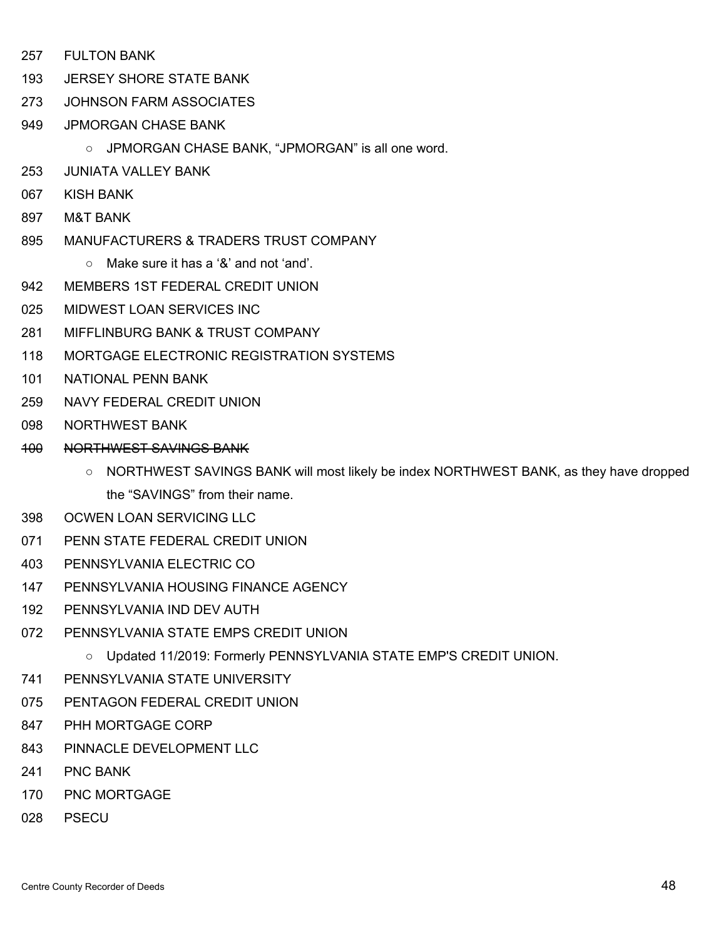- FULTON BANK
- JERSEY SHORE STATE BANK
- JOHNSON FARM ASSOCIATES
- JPMORGAN CHASE BANK
	- JPMORGAN CHASE BANK, "JPMORGAN" is all one word.
- JUNIATA VALLEY BANK
- KISH BANK
- M&T BANK
- MANUFACTURERS & TRADERS TRUST COMPANY
	- Make sure it has a '&' and not 'and'.
- MEMBERS 1ST FEDERAL CREDIT UNION
- MIDWEST LOAN SERVICES INC
- MIFFLINBURG BANK & TRUST COMPANY
- MORTGAGE ELECTRONIC REGISTRATION SYSTEMS
- NATIONAL PENN BANK
- NAVY FEDERAL CREDIT UNION
- NORTHWEST BANK
- NORTHWEST SAVINGS BANK
	- NORTHWEST SAVINGS BANK will most likely be index NORTHWEST BANK, as they have dropped the "SAVINGS" from their name.
- OCWEN LOAN SERVICING LLC
- 071 PENN STATE FEDERAL CREDIT UNION
- PENNSYLVANIA ELECTRIC CO
- PENNSYLVANIA HOUSING FINANCE AGENCY
- PENNSYLVANIA IND DEV AUTH
- PENNSYLVANIA STATE EMPS CREDIT UNION
	- Updated 11/2019: Formerly PENNSYLVANIA STATE EMP'S CREDIT UNION.
- PENNSYLVANIA STATE UNIVERSITY
- PENTAGON FEDERAL CREDIT UNION
- PHH MORTGAGE CORP
- PINNACLE DEVELOPMENT LLC
- PNC BANK
- PNC MORTGAGE
- PSECU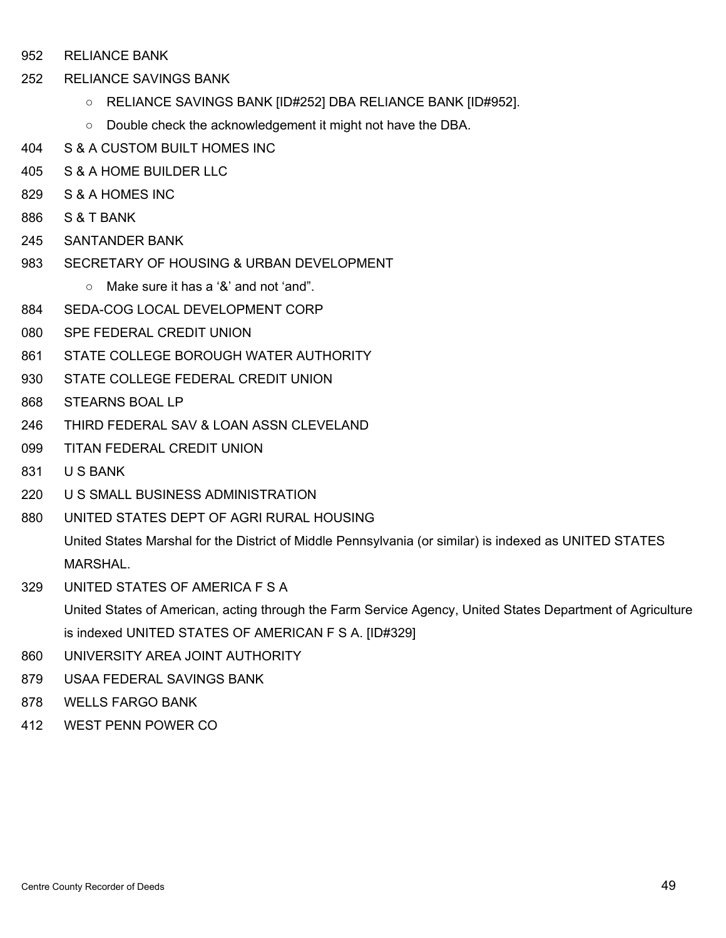- RELIANCE BANK
- RELIANCE SAVINGS BANK
	- RELIANCE SAVINGS BANK [ID#252] DBA RELIANCE BANK [ID#952].
	- Double check the acknowledgement it might not have the DBA.
- S & A CUSTOM BUILT HOMES INC
- S & A HOME BUILDER LLC
- S & A HOMES INC
- S & T BANK
- SANTANDER BANK
- SECRETARY OF HOUSING & URBAN DEVELOPMENT
	- Make sure it has a '&' and not 'and".
- SEDA-COG LOCAL DEVELOPMENT CORP
- SPE FEDERAL CREDIT UNION
- STATE COLLEGE BOROUGH WATER AUTHORITY
- STATE COLLEGE FEDERAL CREDIT UNION
- STEARNS BOAL LP
- THIRD FEDERAL SAV & LOAN ASSN CLEVELAND
- TITAN FEDERAL CREDIT UNION
- U S BANK
- U S SMALL BUSINESS ADMINISTRATION
- UNITED STATES DEPT OF AGRI RURAL HOUSING

United States Marshal for the District of Middle Pennsylvania (or similar) is indexed as UNITED STATES MARSHAL.

UNITED STATES OF AMERICA F S A

United States of American, acting through the Farm Service Agency, United States Department of Agriculture is indexed UNITED STATES OF AMERICAN F S A. [ID#329]

- UNIVERSITY AREA JOINT AUTHORITY
- USAA FEDERAL SAVINGS BANK
- WELLS FARGO BANK
- WEST PENN POWER CO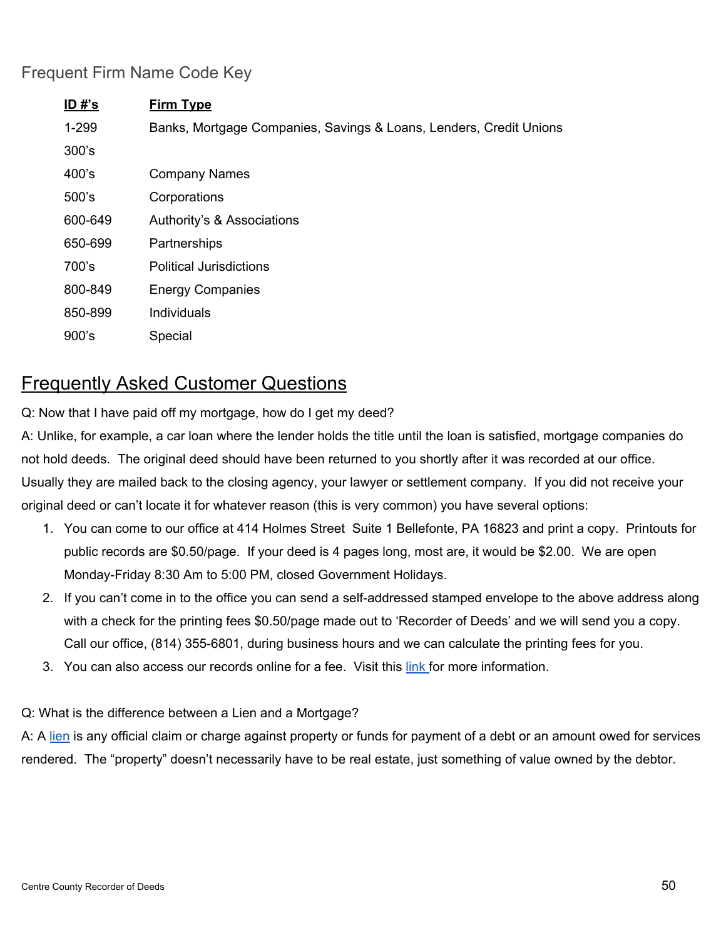### Frequent Firm Name Code Key

| $ID \#s$ | <b>Firm Type</b>                                                   |
|----------|--------------------------------------------------------------------|
| 1-299    | Banks, Mortgage Companies, Savings & Loans, Lenders, Credit Unions |
| 300's    |                                                                    |
| 400's    | <b>Company Names</b>                                               |
| 500's    | Corporations                                                       |
| 600-649  | Authority's & Associations                                         |
| 650-699  | Partnerships                                                       |
| 700's    | <b>Political Jurisdictions</b>                                     |
| 800-849  | <b>Energy Companies</b>                                            |
| 850-899  | Individuals                                                        |
| 900's    | Special                                                            |

### Frequently Asked Customer Questions

Q: Now that I have paid off my mortgage, how do I get my deed?

A: Unlike, for example, a car loan where the lender holds the title until the loan is satisfied, mortgage companies do not hold deeds. The original deed should have been returned to you shortly after it was recorded at our office. Usually they are mailed back to the closing agency, your lawyer or settlement company. If you did not receive your original deed or can't locate it for whatever reason (this is very common) you have several options:

- 1. You can come to our office at 414 Holmes Street Suite 1 Bellefonte, PA 16823 and print a copy. Printouts for public records are \$0.50/page. If your deed is 4 pages long, most are, it would be \$2.00. We are open Monday-Friday 8:30 Am to 5:00 PM, closed Government Holidays.
- 2. If you can't come in to the office you can send a self-addressed stamped envelope to the above address along with a check for the printing fees \$0.50/page made out to 'Recorder of Deeds' and we will send you a copy. Call our office, (814) 355-6801, during business hours and we can calculate the printing fees for you.
- 3. You can also access our records online for a fee. Visit this [link](https://centrecountypa.gov/index.aspx?NID=684) for more information.

### Q: What is the difference between a Lien and a Mortgage?

A: A [lien](#page-75-0) is any official claim or charge against property or funds for payment of a debt or an amount owed for services rendered. The "property" doesn't necessarily have to be real estate, just something of value owned by the debtor.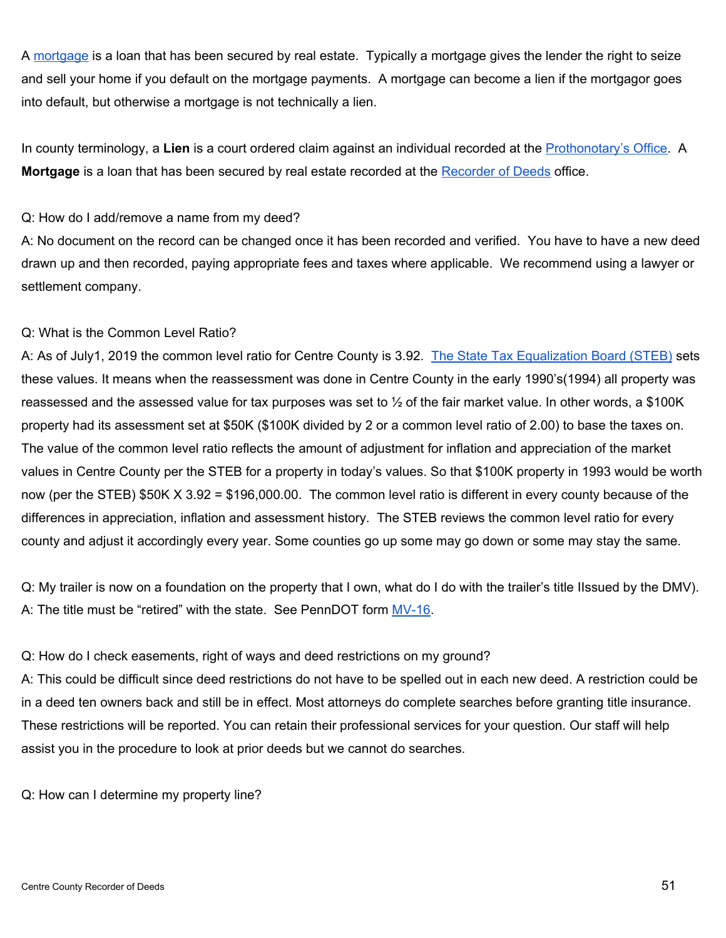A [mortgage](#page-75-1) is a loan that has been secured by real estate. Typically a mortgage gives the lender the right to seize and sell your home if you default on the mortgage payments. A mortgage can become a lien if the mortgagor goes into default, but otherwise a mortgage is not technically a lien.

In county terminology, a **Lien** is a court ordered claim against an individual recorded at the [Prothonotary's](https://centrecountypa.gov/384/Prothonotary-Clerk-of-Courts) Office. A **Mortgage** is a loan that has been secured by real estate recorded at the [Recorder](https://centrecountypa.gov/418/Recorder-of-Deeds) of Deeds office.

#### Q: How do I add/remove a name from my deed?

A: No document on the record can be changed once it has been recorded and verified. You have to have a new deed drawn up and then recorded, paying appropriate fees and taxes where applicable. We recommend using a lawyer or settlement company.

#### Q: What is the Common Level Ratio?

A: As of July1, 2019 the common level ratio for Centre County is 3.92. The State Tax [Equalization](https://dced.pa.gov/local-government/boards-committees/tax-equalization-division/) Board (STEB) sets these values. It means when the reassessment was done in Centre County in the early 1990's(1994) all property was reassessed and the assessed value for tax purposes was set to  $\frac{1}{2}$  of the fair market value. In other words, a \$100K property had its assessment set at \$50K (\$100K divided by 2 or a common level ratio of 2.00) to base the taxes on. The value of the common level ratio reflects the amount of adjustment for inflation and appreciation of the market values in Centre County per the STEB for a property in today's values. So that \$100K property in 1993 would be worth now (per the STEB) \$50K X 3.92 = \$196,000.00. The common level ratio is different in every county because of the differences in appreciation, inflation and assessment history. The STEB reviews the common level ratio for every county and adjust it accordingly every year. Some counties go up some may go down or some may stay the same.

Q: My trailer is now on a foundation on the property that I own, what do I do with the trailer's title IIssued by the DMV). A: The title must be "retired" with the state. See PennDOT form [MV-16](http://www.dot.state.pa.us/public/dvspubsforms/BMV/BMV%20Forms/mv-16.pdf).

#### Q: How do I check easements, right of ways and deed restrictions on my ground?

A: This could be difficult since deed restrictions do not have to be spelled out in each new deed. A restriction could be in a deed ten owners back and still be in effect. Most attorneys do complete searches before granting title insurance. These restrictions will be reported. You can retain their professional services for your question. Our staff will help assist you in the procedure to look at prior deeds but we cannot do searches.

Q: How can I determine my property line?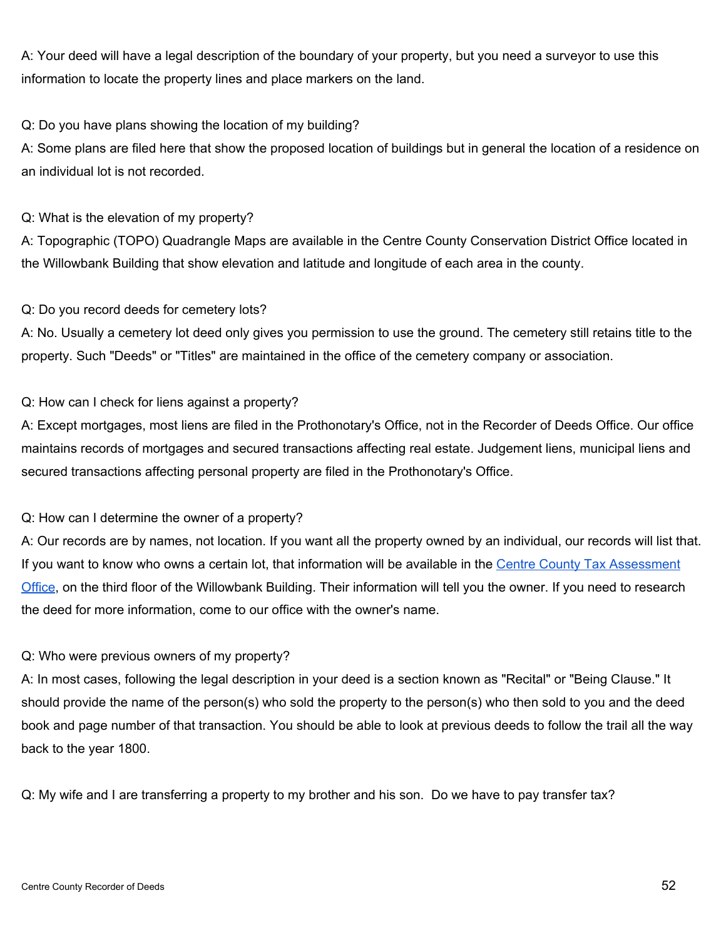A: Your deed will have a legal description of the boundary of your property, but you need a surveyor to use this information to locate the property lines and place markers on the land.

#### Q: Do you have plans showing the location of my building?

A: Some plans are filed here that show the proposed location of buildings but in general the location of a residence on an individual lot is not recorded.

#### Q: What is the elevation of my property?

A: Topographic (TOPO) Quadrangle Maps are available in the Centre County Conservation District Office located in the Willowbank Building that show elevation and latitude and longitude of each area in the county.

#### Q: Do you record deeds for cemetery lots?

A: No. Usually a cemetery lot deed only gives you permission to use the ground. The cemetery still retains title to the property. Such "Deeds" or "Titles" are maintained in the office of the cemetery company or association.

#### Q: How can I check for liens against a property?

A: Except mortgages, most liens are filed in the Prothonotary's Office, not in the Recorder of Deeds Office. Our office maintains records of mortgages and secured transactions affecting real estate. Judgement liens, municipal liens and secured transactions affecting personal property are filed in the Prothonotary's Office.

#### Q: How can I determine the owner of a property?

A: Our records are by names, not location. If you want all the property owned by an individual, our records will list that. If you want to know who owns a certain lot, that information will be available in the Centre County Tax [Assessment](https://webia.centrecountypa.gov/ccg/cam/) [Office](https://webia.centrecountypa.gov/ccg/cam/), on the third floor of the Willowbank Building. Their information will tell you the owner. If you need to research the deed for more information, come to our office with the owner's name.

#### Q: Who were previous owners of my property?

A: In most cases, following the legal description in your deed is a section known as "Recital" or "Being Clause." It should provide the name of the person(s) who sold the property to the person(s) who then sold to you and the deed book and page number of that transaction. You should be able to look at previous deeds to follow the trail all the way back to the year 1800.

Q: My wife and I are transferring a property to my brother and his son. Do we have to pay transfer tax?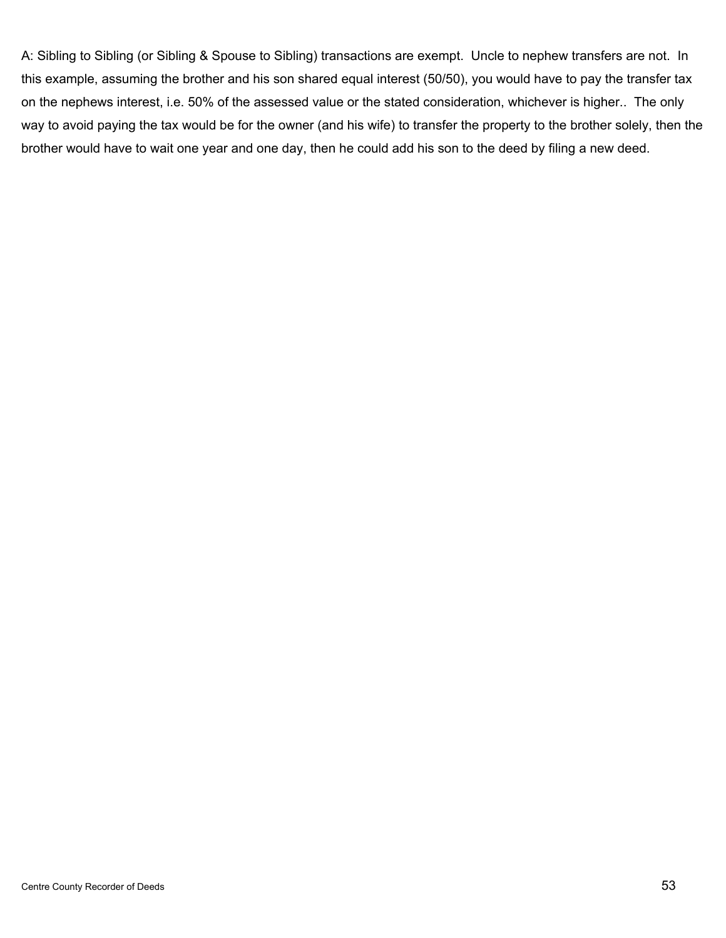A: Sibling to Sibling (or Sibling & Spouse to Sibling) transactions are exempt. Uncle to nephew transfers are not. In this example, assuming the brother and his son shared equal interest (50/50), you would have to pay the transfer tax on the nephews interest, i.e. 50% of the assessed value or the stated consideration, whichever is higher.. The only way to avoid paying the tax would be for the owner (and his wife) to transfer the property to the brother solely, then the brother would have to wait one year and one day, then he could add his son to the deed by filing a new deed.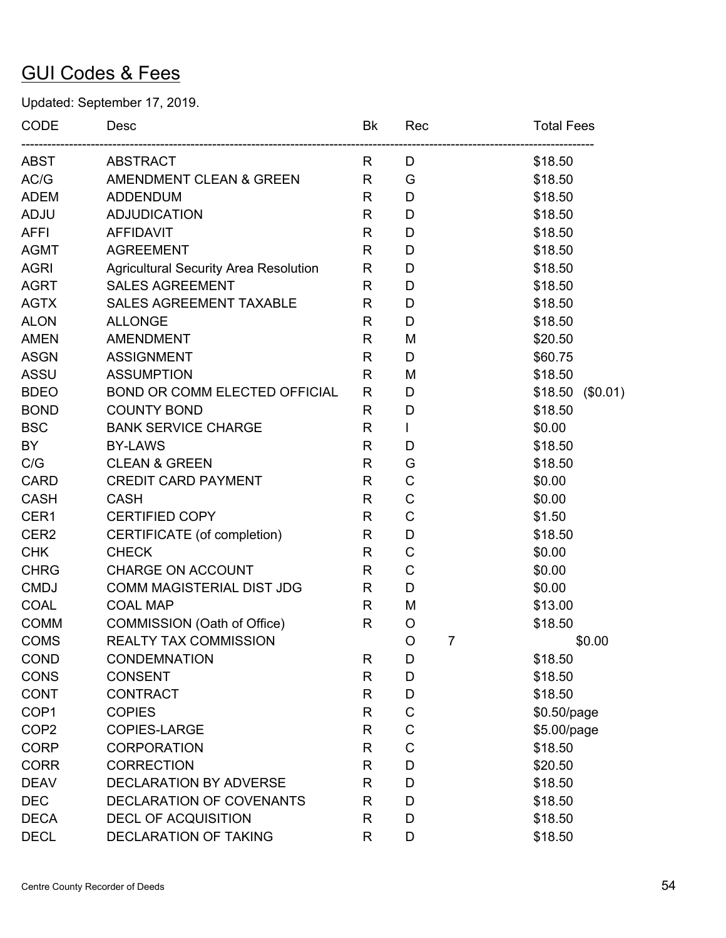## GUI Codes & Fees

Updated: September 17, 2019.

| <b>CODE</b>      | Desc                                         | Bk           | Rec         |                | <b>Total Fees</b> |
|------------------|----------------------------------------------|--------------|-------------|----------------|-------------------|
| ABST             | <b>ABSTRACT</b>                              | R            | D           |                | \$18.50           |
| AC/G             | AMENDMENT CLEAN & GREEN                      | $\mathsf{R}$ | G           |                | \$18.50           |
| <b>ADEM</b>      | <b>ADDENDUM</b>                              | R            | D           |                | \$18.50           |
| <b>ULCA</b>      | ADJUDICATION                                 | $\mathsf{R}$ | D           |                | \$18.50           |
| <b>AFFI</b>      | <b>AFFIDAVIT</b>                             | R            | D           |                | \$18.50           |
| <b>AGMT</b>      | <b>AGREEMENT</b>                             | $\mathsf{R}$ | D           |                | \$18.50           |
| AGRI             | <b>Agricultural Security Area Resolution</b> | R            | D           |                | \$18.50           |
| <b>AGRT</b>      | <b>SALES AGREEMENT</b>                       | R            | D           |                | \$18.50           |
| <b>AGTX</b>      | SALES AGREEMENT TAXABLE                      | $\mathsf{R}$ | D           |                | \$18.50           |
| <b>ALON</b>      | <b>ALLONGE</b>                               | R            | D           |                | \$18.50           |
| <b>AMEN</b>      | AMENDMENT                                    | R            | M           |                | \$20.50           |
| <b>ASGN</b>      | <b>ASSIGNMENT</b>                            | R            | D           |                | \$60.75           |
| ASSU             | <b>ASSUMPTION</b>                            | R            | M           |                | \$18.50           |
| <b>BDEO</b>      | BOND OR COMM ELECTED OFFICIAL                | R            | D           |                | $$18.50$ (\$0.01) |
| <b>BOND</b>      | <b>COUNTY BOND</b>                           | R            | D           |                | \$18.50           |
| <b>BSC</b>       | <b>BANK SERVICE CHARGE</b>                   | R            | L           |                | \$0.00            |
| BY               | <b>BY-LAWS</b>                               | R            | D           |                | \$18.50           |
| C/G              | <b>CLEAN &amp; GREEN</b>                     | R            | G           |                | \$18.50           |
| CARD             | <b>CREDIT CARD PAYMENT</b>                   | R            | $\mathsf C$ |                | \$0.00            |
| <b>CASH</b>      | <b>CASH</b>                                  | R            | $\mathsf C$ |                | \$0.00            |
| CER1             | <b>CERTIFIED COPY</b>                        | R            | C           |                | \$1.50            |
| CER2             | CERTIFICATE (of completion)                  | R            | D           |                | \$18.50           |
| <b>CHK</b>       | <b>CHECK</b>                                 | $\mathsf{R}$ | $\mathsf C$ |                | \$0.00            |
| <b>CHRG</b>      | CHARGE ON ACCOUNT                            | $\mathsf{R}$ | $\mathsf C$ |                | \$0.00            |
| <b>CMDJ</b>      | COMM MAGISTERIAL DIST JDG                    | R            | D           |                | \$0.00            |
| COAL             | <b>COAL MAP</b>                              | $\mathsf{R}$ | M           |                | \$13.00           |
| <b>COMM</b>      | COMMISSION (Oath of Office)                  | R            | $\circ$     |                | \$18.50           |
| <b>COMS</b>      | <b>REALTY TAX COMMISSION</b>                 |              | O           | $\overline{7}$ | \$0.00            |
| <b>COND</b>      | <b>CONDEMNATION</b>                          | R            | D           |                | \$18.50           |
| <b>CONS</b>      | <b>CONSENT</b>                               | $\mathsf{R}$ | D           |                | \$18.50           |
| <b>CONT</b>      | <b>CONTRACT</b>                              | R            | D           |                | \$18.50           |
| COP1             | <b>COPIES</b>                                | $\mathsf{R}$ | C           |                | \$0.50/page       |
| COP <sub>2</sub> | <b>COPIES-LARGE</b>                          | R            | C           |                | \$5.00/page       |
| <b>CORP</b>      | <b>CORPORATION</b>                           | R            | $\mathsf C$ |                | \$18.50           |
| <b>CORR</b>      | <b>CORRECTION</b>                            | R            | D           |                | \$20.50           |
| <b>DEAV</b>      | <b>DECLARATION BY ADVERSE</b>                | R            | D           |                | \$18.50           |
| <b>DEC</b>       | <b>DECLARATION OF COVENANTS</b>              | R            | D           |                | \$18.50           |
| <b>DECA</b>      | <b>DECL OF ACQUISITION</b>                   | $\mathsf{R}$ | D           |                | \$18.50           |
| <b>DECL</b>      | DECLARATION OF TAKING                        | R            | D           |                | \$18.50           |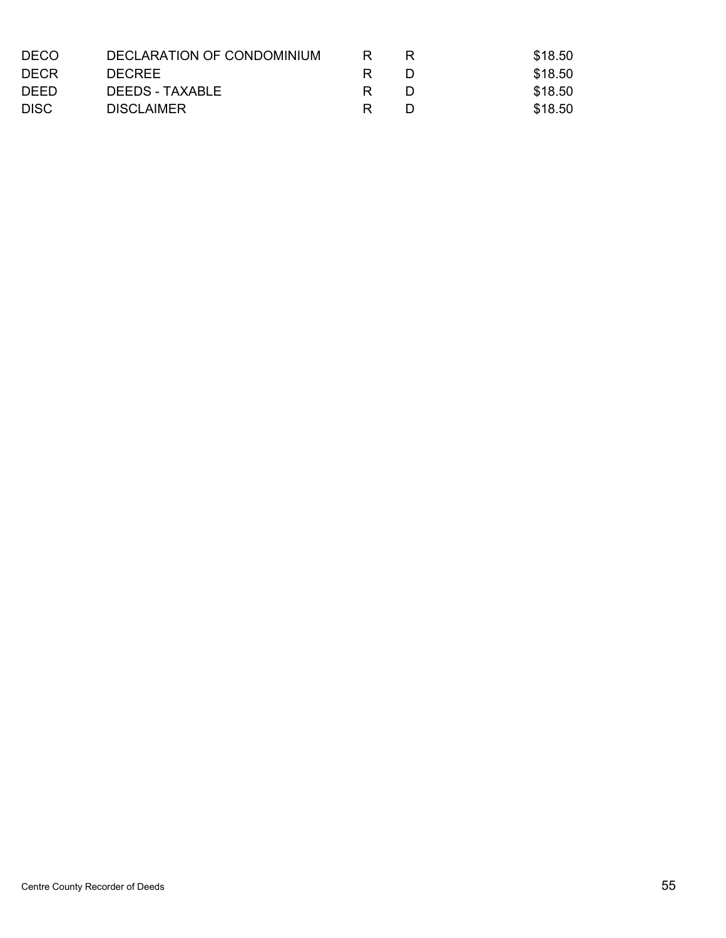| DECO.       | DECLARATION OF CONDOMINIUM | R  | R      | \$18.50 |
|-------------|----------------------------|----|--------|---------|
| <b>DECR</b> | <b>DECREE</b>              | R. | $\Box$ | \$18.50 |
| <b>DEED</b> | <b>DEEDS - TAXABLE</b>     | R  | Ð      | \$18.50 |
| <b>DISC</b> | <b>DISCLAIMER</b>          | R  |        | \$18.50 |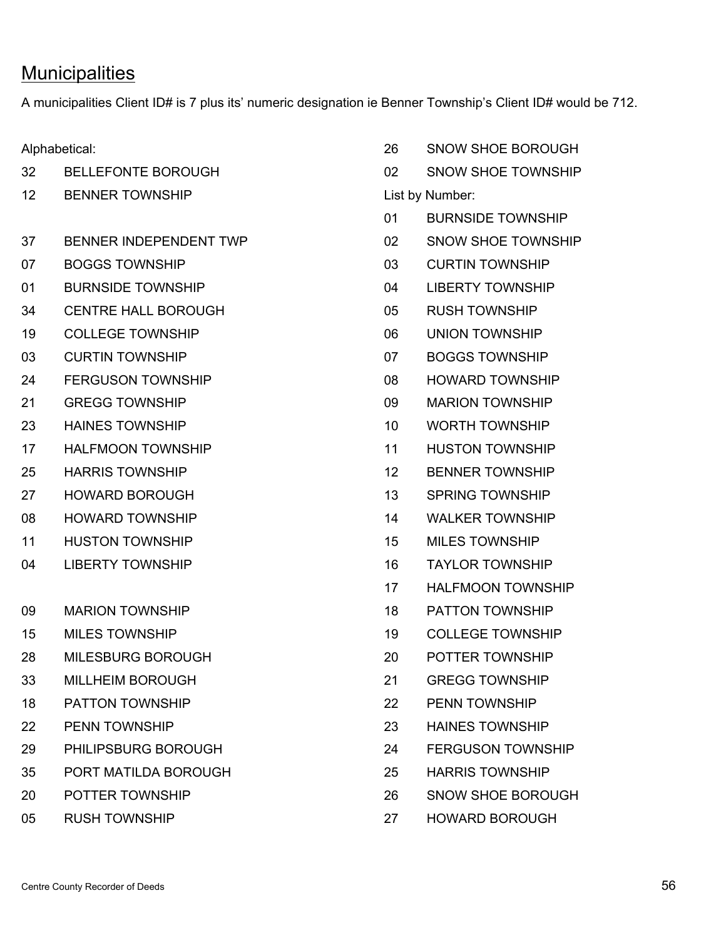## **Municipalities**

A municipalities Client ID# is 7 plus its' numeric designation ie Benner Township's Client ID# would be 712.

| Alphabetical: |                            | 26 | <b>SNOW SHOE BOROUGH</b>  |
|---------------|----------------------------|----|---------------------------|
| 32            | <b>BELLEFONTE BOROUGH</b>  | 02 | <b>SNOW SHOE TOWNSHIP</b> |
| 12            | <b>BENNER TOWNSHIP</b>     |    | List by Number:           |
|               |                            | 01 | <b>BURNSIDE TOWNSHIP</b>  |
| 37            | BENNER INDEPENDENT TWP     | 02 | <b>SNOW SHOE TOWNSHIP</b> |
| 07            | <b>BOGGS TOWNSHIP</b>      | 03 | <b>CURTIN TOWNSHIP</b>    |
| 01            | <b>BURNSIDE TOWNSHIP</b>   | 04 | <b>LIBERTY TOWNSHIP</b>   |
| 34            | <b>CENTRE HALL BOROUGH</b> | 05 | <b>RUSH TOWNSHIP</b>      |
| 19            | <b>COLLEGE TOWNSHIP</b>    | 06 | <b>UNION TOWNSHIP</b>     |
| 03            | <b>CURTIN TOWNSHIP</b>     | 07 | <b>BOGGS TOWNSHIP</b>     |
| 24            | <b>FERGUSON TOWNSHIP</b>   | 08 | <b>HOWARD TOWNSHIP</b>    |
| 21            | <b>GREGG TOWNSHIP</b>      | 09 | <b>MARION TOWNSHIP</b>    |
| 23            | <b>HAINES TOWNSHIP</b>     | 10 | <b>WORTH TOWNSHIP</b>     |
| 17            | <b>HALFMOON TOWNSHIP</b>   | 11 | <b>HUSTON TOWNSHIP</b>    |
| 25            | <b>HARRIS TOWNSHIP</b>     | 12 | <b>BENNER TOWNSHIP</b>    |
| 27            | <b>HOWARD BOROUGH</b>      | 13 | <b>SPRING TOWNSHIP</b>    |
| 08            | <b>HOWARD TOWNSHIP</b>     | 14 | <b>WALKER TOWNSHIP</b>    |
| 11            | <b>HUSTON TOWNSHIP</b>     | 15 | <b>MILES TOWNSHIP</b>     |
| 04            | <b>LIBERTY TOWNSHIP</b>    | 16 | <b>TAYLOR TOWNSHIP</b>    |
|               |                            | 17 | <b>HALFMOON TOWNSHIP</b>  |
| 09            | <b>MARION TOWNSHIP</b>     | 18 | <b>PATTON TOWNSHIP</b>    |
| 15            | <b>MILES TOWNSHIP</b>      | 19 | <b>COLLEGE TOWNSHIP</b>   |
| 28            | <b>MILESBURG BOROUGH</b>   | 20 | POTTER TOWNSHIP           |
| 33            | <b>MILLHEIM BOROUGH</b>    | 21 | <b>GREGG TOWNSHIP</b>     |
| 18            | <b>PATTON TOWNSHIP</b>     | 22 | <b>PENN TOWNSHIP</b>      |
| 22            | <b>PENN TOWNSHIP</b>       | 23 | <b>HAINES TOWNSHIP</b>    |
| 29            | PHILIPSBURG BOROUGH        | 24 | <b>FERGUSON TOWNSHIP</b>  |
| 35            | PORT MATILDA BOROUGH       | 25 | <b>HARRIS TOWNSHIP</b>    |
| 20            | POTTER TOWNSHIP            | 26 | <b>SNOW SHOE BOROUGH</b>  |
| 05            | <b>RUSH TOWNSHIP</b>       | 27 | <b>HOWARD BOROUGH</b>     |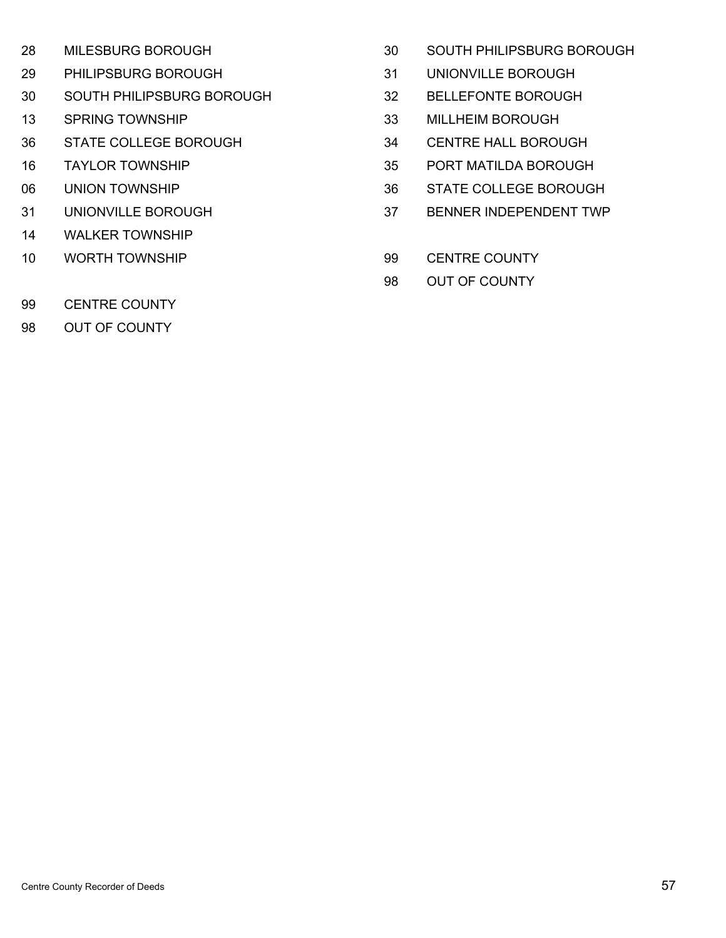- MILESBURG BOROUGH
- PHILIPSBURG BOROUGH
- SOUTH PHILIPSBURG BOROUGH
- SPRING TOWNSHIP
- STATE COLLEGE BOROUGH
- TAYLOR TOWNSHIP
- UNION TOWNSHIP
- UNIONVILLE BOROUGH
- WALKER TOWNSHIP
- WORTH TOWNSHIP
- CENTRE COUNTY
- OUT OF COUNTY
- SOUTH PHILIPSBURG BOROUGH
- UNIONVILLE BOROUGH
- BELLEFONTE BOROUGH
- MILLHEIM BOROUGH
- CENTRE HALL BOROUGH
- PORT MATILDA BOROUGH
- STATE COLLEGE BOROUGH
- BENNER INDEPENDENT TWP
- CENTRE COUNTY
- OUT OF COUNTY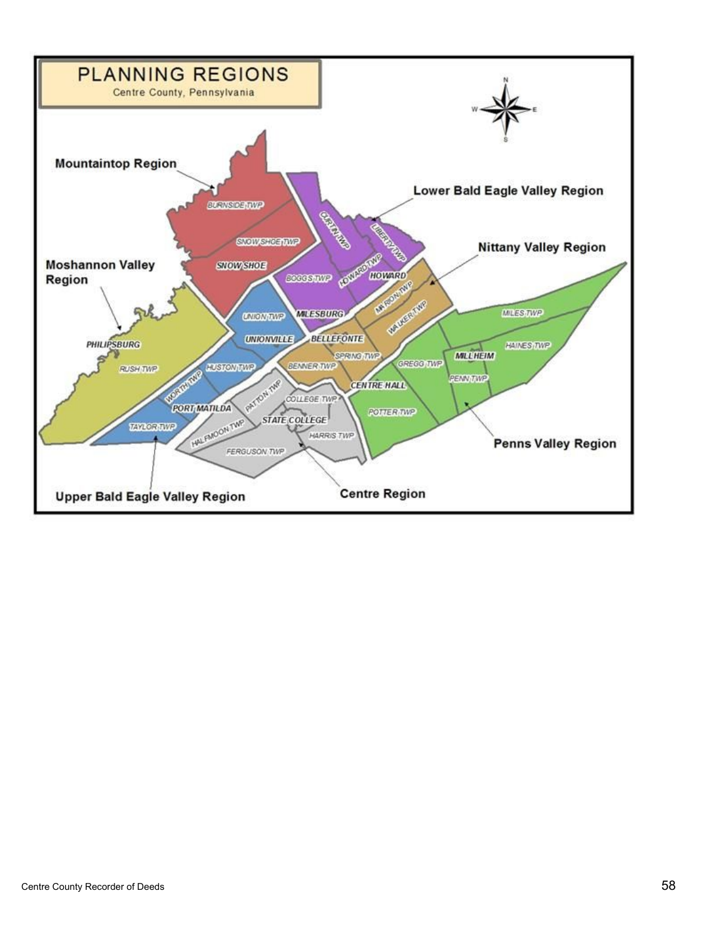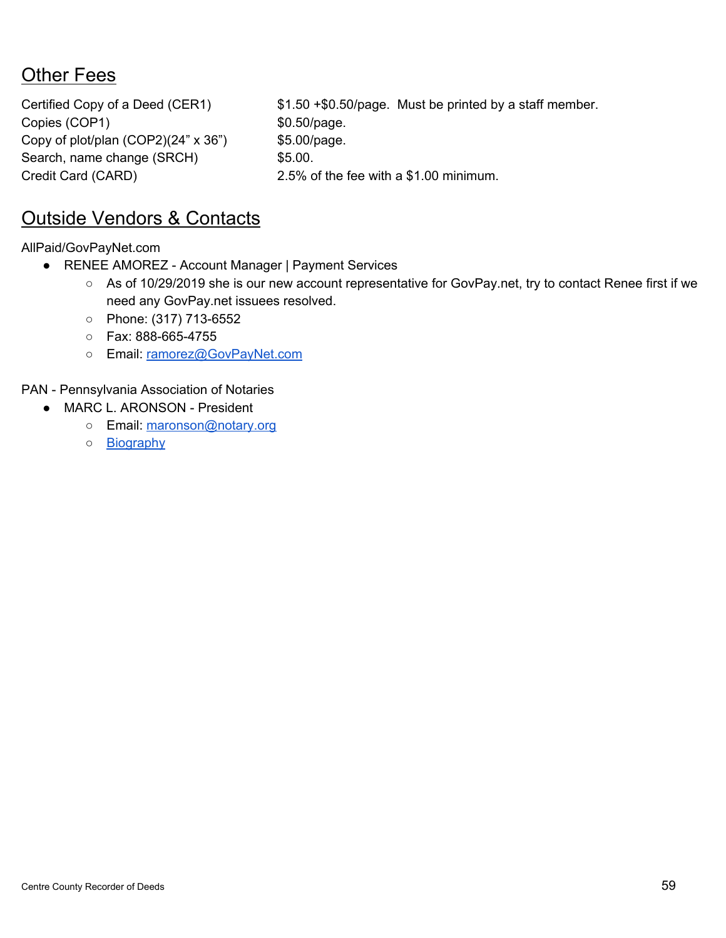## **Other Fees**

Copies (COP1) \$0.50/page. Copy of plot/plan  $(COP2)(24" \times 36")$  \$5.00/page. Search, name change (SRCH) \$5.00. Credit Card (CARD) 2.5% of the fee with a \$1.00 minimum.

Certified Copy of a Deed (CER1) \$1.50 +\$0.50/page. Must be printed by a staff member.

### Outside Vendors & Contacts

AllPaid/GovPayNet.com

- RENEE AMOREZ Account Manager | Payment Services
	- As of 10/29/2019 she is our new account representative for GovPay.net, try to contact Renee first if we need any GovPay.net issuees resolved.
	- Phone: (317) 713-6552
	- Fax: 888-665-4755
	- Email: [ramorez@GovPayNet.com](mailto:ramorez@GovPayNet.com)

#### PAN - Pennsylvania Association of Notaries

- MARC L. ARONSON President
	- Email: [maronson@notary.org](mailto:maronson@notary.org)
	- [Biography](https://www.notary.org/About/Bio/)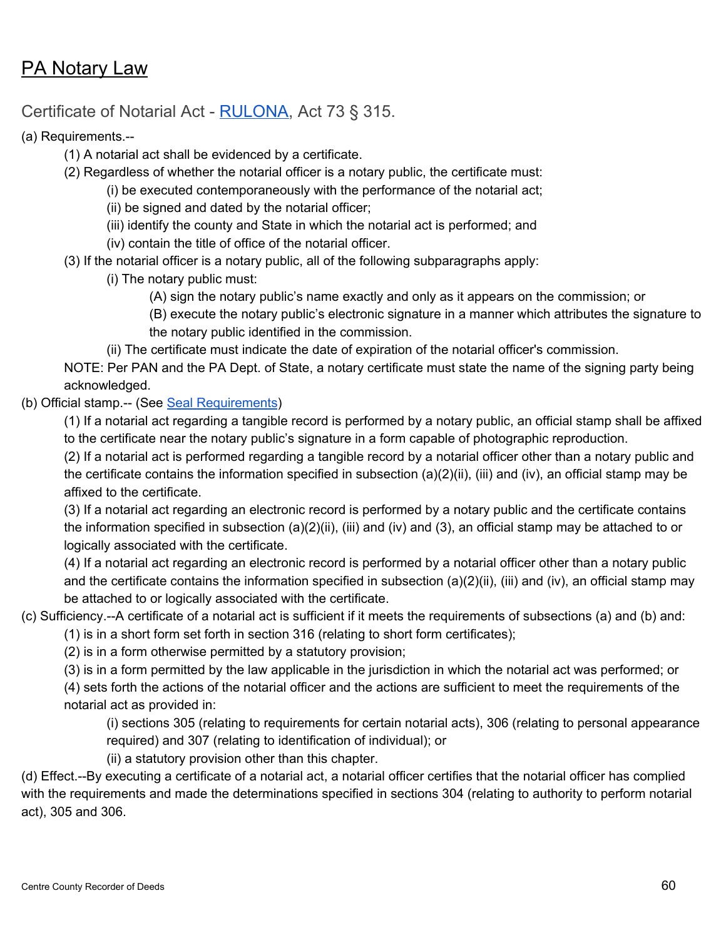### PA Notary Law

### Certificate of Notarial Act - [RULONA,](https://www.dos.pa.gov/OtherServices/Notaries/Resources/Documents/LAWS/RULONA,%20Act%2073%20of%202013,%20as%20amended,%20October%202016.pdf) Act 73 § 315.

(a) Requirements.--

- (1) A notarial act shall be evidenced by a certificate.
- (2) Regardless of whether the notarial officer is a notary public, the certificate must:
	- (i) be executed contemporaneously with the performance of the notarial act;
		- (ii) be signed and dated by the notarial officer;
		- (iii) identify the county and State in which the notarial act is performed; and
		- (iv) contain the title of office of the notarial officer.
- (3) If the notarial officer is a notary public, all of the following subparagraphs apply:
	- (i) The notary public must:
		- (A) sign the notary public's name exactly and only as it appears on the commission; or
		- (B) execute the notary public's electronic signature in a manner which attributes the signature to the notary public identified in the commission.
	- (ii) The certificate must indicate the date of expiration of the notarial officer's commission.

NOTE: Per PAN and the PA Dept. of State, a notary certificate must state the name of the signing party being acknowledged.

#### (b) Official stamp.-- (See Seal [Requirements](#page-60-0))

(1) If a notarial act regarding a tangible record is performed by a notary public, an official stamp shall be affixed to the certificate near the notary public's signature in a form capable of photographic reproduction.

(2) If a notarial act is performed regarding a tangible record by a notarial officer other than a notary public and the certificate contains the information specified in subsection (a)(2)(ii), (iii) and (iv), an official stamp may be affixed to the certificate.

(3) If a notarial act regarding an electronic record is performed by a notary public and the certificate contains the information specified in subsection (a)(2)(ii), (iii) and (iv) and (3), an official stamp may be attached to or logically associated with the certificate.

(4) If a notarial act regarding an electronic record is performed by a notarial officer other than a notary public and the certificate contains the information specified in subsection (a)(2)(ii), (iii) and (iv), an official stamp may be attached to or logically associated with the certificate.

(c) Sufficiency.--A certificate of a notarial act is sufficient if it meets the requirements of subsections (a) and (b) and:

(1) is in a short form set forth in section 316 (relating to short form certificates);

(2) is in a form otherwise permitted by a statutory provision;

(3) is in a form permitted by the law applicable in the jurisdiction in which the notarial act was performed; or

(4) sets forth the actions of the notarial officer and the actions are sufficient to meet the requirements of the notarial act as provided in:

(i) sections 305 (relating to requirements for certain notarial acts), 306 (relating to personal appearance required) and 307 (relating to identification of individual); or

(ii) a statutory provision other than this chapter.

(d) Effect.--By executing a certificate of a notarial act, a notarial officer certifies that the notarial officer has complied with the requirements and made the determinations specified in sections 304 (relating to authority to perform notarial act), 305 and 306.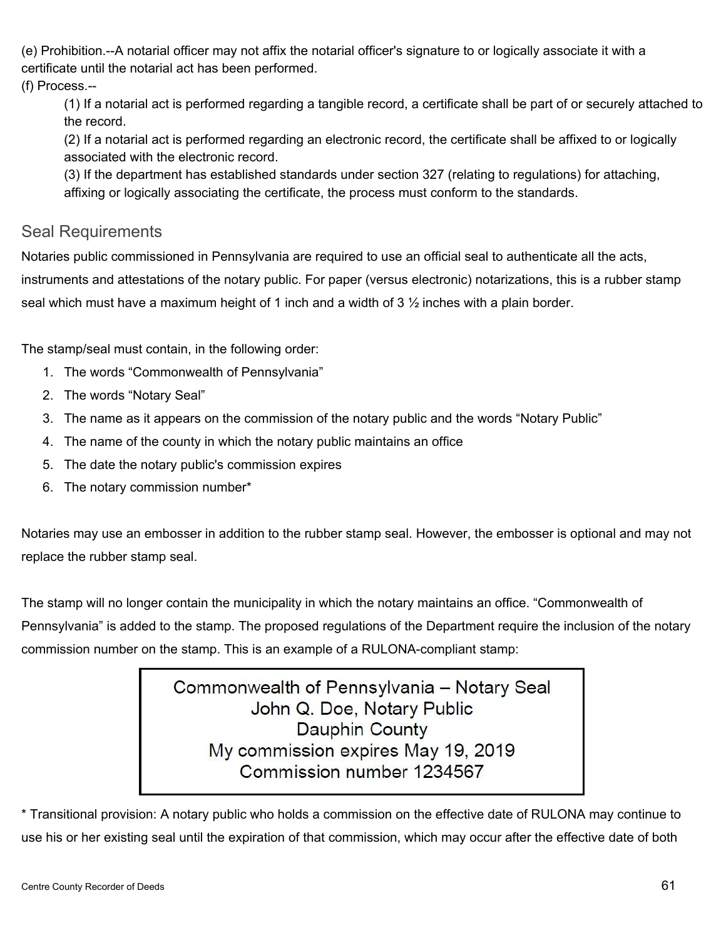(e) Prohibition.--A notarial officer may not affix the notarial officer's signature to or logically associate it with a certificate until the notarial act has been performed.

#### (f) Process.--

(1) If a notarial act is performed regarding a tangible record, a certificate shall be part of or securely attached to the record.

(2) If a notarial act is performed regarding an electronic record, the certificate shall be affixed to or logically associated with the electronic record.

(3) If the department has established standards under section 327 (relating to regulations) for attaching, affixing or logically associating the certificate, the process must conform to the standards.

### <span id="page-60-0"></span>Seal Requirements

Notaries public commissioned in Pennsylvania are required to use an official seal to authenticate all the acts,

instruments and attestations of the notary public. For paper (versus electronic) notarizations, this is a rubber stamp seal which must have a maximum height of 1 inch and a width of 3  $\frac{1}{2}$  inches with a plain border.

The stamp/seal must contain, in the following order:

- 1. The words "Commonwealth of Pennsylvania"
- 2. The words "Notary Seal"
- 3. The name as it appears on the commission of the notary public and the words "Notary Public"
- 4. The name of the county in which the notary public maintains an office
- 5. The date the notary public's commission expires
- 6. The notary commission number\*

Notaries may use an embosser in addition to the rubber stamp seal. However, the embosser is optional and may not replace the rubber stamp seal.

The stamp will no longer contain the municipality in which the notary maintains an office. "Commonwealth of Pennsylvania" is added to the stamp. The proposed regulations of the Department require the inclusion of the notary commission number on the stamp. This is an example of a RULONA-compliant stamp:

> Commonwealth of Pennsylvania - Notary Seal John Q. Doe, Notary Public Dauphin County My commission expires May 19, 2019 Commission number 1234567

\* Transitional provision: A notary public who holds a commission on the effective date of RULONA may continue to use his or her existing seal until the expiration of that commission, which may occur after the effective date of both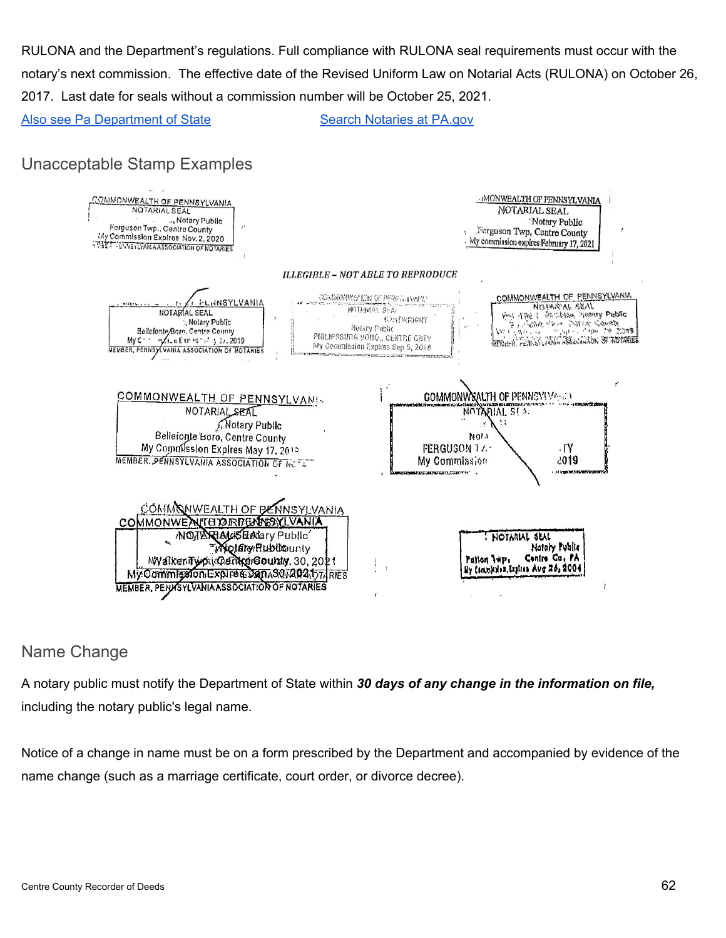RULONA and the Department's regulations. Full compliance with RULONA seal requirements must occur with the notary's next commission. The effective date of the Revised Uniform Law on Notarial Acts (RULONA) on October 26, 2017. Last date for seals without a commission number will be October 25, 2021.

Also see Pa [Department](https://www.dos.pa.gov/OtherServices/Notaries/General%20Information%20and%20Equipment/Pages/Notary-Public-Equipment.aspx) of State Search [Notaries](https://www.notaries.pa.gov/Pages/NotarySearch.aspx) at PA.gov

### Unacceptable Stamp Examples



### Name Change

A notary public must notify the Department of State within *30 days of any change in the information on file,* including the notary public's legal name.

Notice of a change in name must be on a form prescribed by the Department and accompanied by evidence of the name change (such as a marriage certificate, court order, or divorce decree).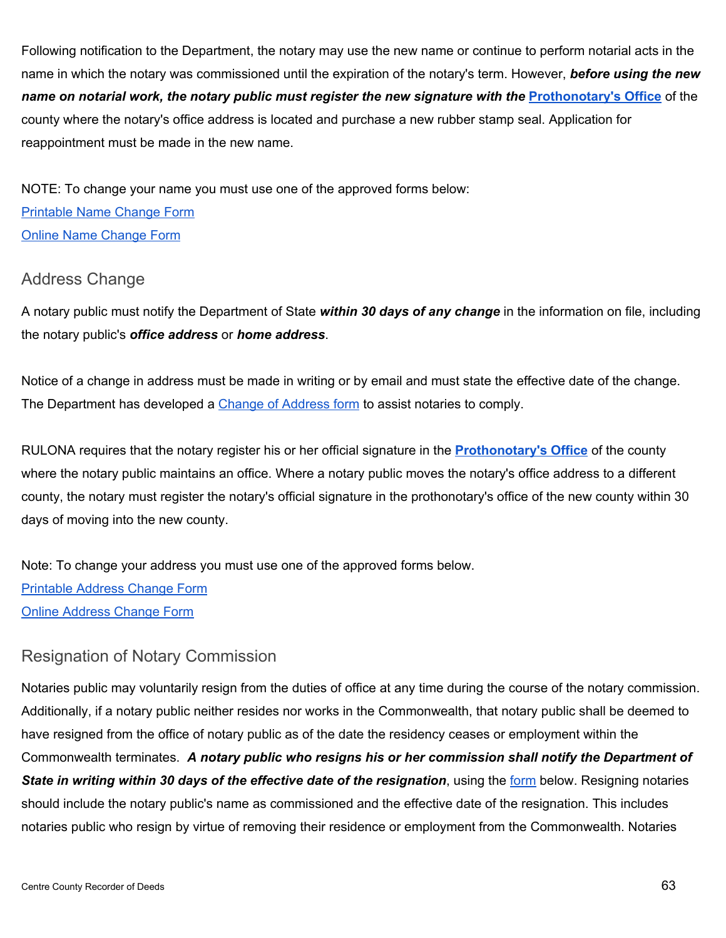Following notification to the Department, the notary may use the new name or continue to perform notarial acts in the name in which the notary was commissioned until the expiration of the notary's term. However, *before using the new name on notarial work, the notary public must register the new signature with the* **[Prothonotary's](https://centrecountypa.gov/384/Prothonotary-Clerk-of-Courts) Office** of the county where the notary's office address is located and purchase a new rubber stamp seal. Application for reappointment must be made in the new name.

NOTE: To change your name you must use one of the approved forms below: [Printable](https://www.dos.pa.gov/OtherServices/Notaries/NotaryServices/Documents/Update/Notary%20Public%20Change%20of%20Name%20Form%20revised%208%201%202019.pdf) Name Change Form Online Name [Change](https://www.notaries.pa.gov/Pages/NotaryChangeApplication.aspx) Form

### Address Change

A notary public must notify the Department of State *within 30 days of any change* in the information on file, including the notary public's *office address* or *home address*.

Notice of a change in address must be made in writing or by email and must state the effective date of the change. The Department has developed a Change of [Address](https://www.notaries.pa.gov/Pages/NotaryChangeApplication.aspx) form to assist notaries to comply.

RULONA requires that the notary register his or her official signature in the **[Prothonotary's](https://centrecountypa.gov/384/Prothonotary-Clerk-of-Courts) Office** of the county where the notary public maintains an office. Where a notary public moves the notary's office address to a different county, the notary must register the notary's official signature in the prothonotary's office of the new county within 30 days of moving into the new county.

Note: To change your address you must use one of the approved forms below. [Printable](https://www.dos.pa.gov/OtherServices/Notaries/NotaryServices/Documents/Update/Notary%20Public%20Change%20of%20Address%20Form%20revised%208%201%202019.pdf) Address Change Form Online [Address](https://www.notaryreg.pa.gov/Pages/NotaryChangeApplication.aspx) Change Form

### Resignation of Notary Commission

Notaries public may voluntarily resign from the duties of office at any time during the course of the notary commission. Additionally, if a notary public neither resides nor works in the Commonwealth, that notary public shall be deemed to have resigned from the office of notary public as of the date the residency ceases or employment within the Commonwealth terminates. *A notary public who resigns his or her commission shall notify the Department of State in writing within 30 days of the effective date of the resignation*, using the [form](https://www.dos.pa.gov/OtherServices/Notaries/Documents/F-Notary%20Public%20Resignation%20Form,%20revised%2010-26-2017_Fillable.pdf) below. Resigning notaries should include the notary public's name as commissioned and the effective date of the resignation. This includes notaries public who resign by virtue of removing their residence or employment from the Commonwealth. Notaries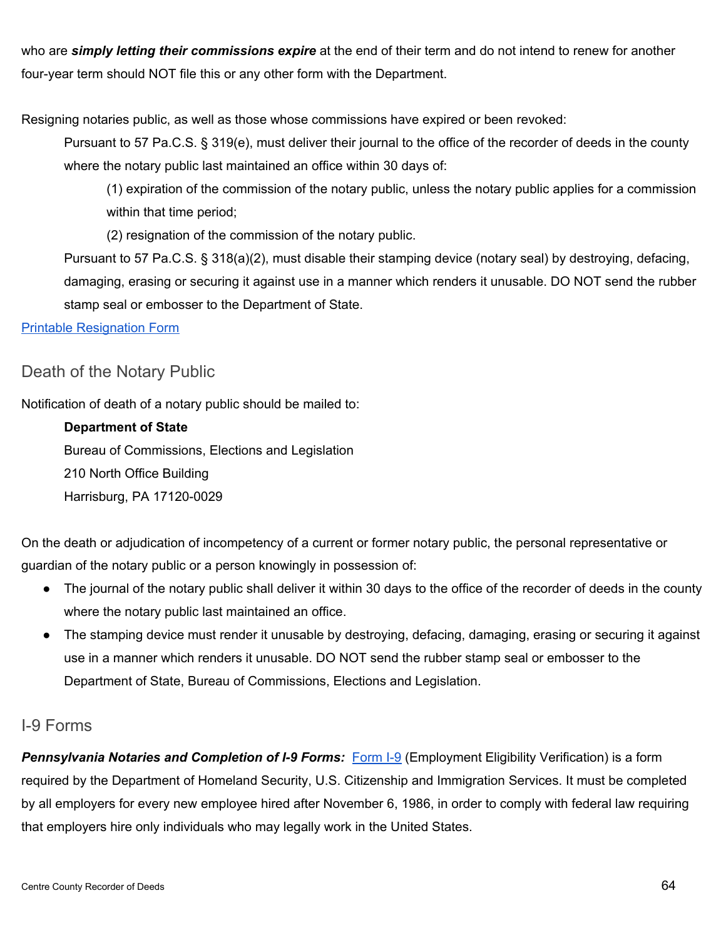who are *simply letting their commissions expire* at the end of their term and do not intend to renew for another four-year term should NOT file this or any other form with the Department.

Resigning notaries public, as well as those whose commissions have expired or been revoked:

Pursuant to 57 Pa.C.S. § 319(e), must deliver their journal to the office of the recorder of deeds in the county where the notary public last maintained an office within 30 days of:

(1) expiration of the commission of the notary public, unless the notary public applies for a commission within that time period;

(2) resignation of the commission of the notary public.

Pursuant to 57 Pa.C.S. § 318(a)(2), must disable their stamping device (notary seal) by destroying, defacing, damaging, erasing or securing it against use in a manner which renders it unusable. DO NOT send the rubber stamp seal or embosser to the Department of State.

Printable [Resignation](https://www.dos.pa.gov/OtherServices/Notaries/Documents/F-Notary%20Public%20Resignation%20Form,%20revised%2010-26-2017_Fillable.pdf) Form

### Death of the Notary Public

Notification of death of a notary public should be mailed to:

## **Department of State**

Bureau of Commissions, Elections and Legislation 210 North Office Building Harrisburg, PA 17120-0029

On the death or adjudication of incompetency of a current or former notary public, the personal representative or guardian of the notary public or a person knowingly in possession of:

- The journal of the notary public shall deliver it within 30 days to the office of the recorder of deeds in the county where the notary public last maintained an office.
- The stamping device must render it unusable by destroying, defacing, damaging, erasing or securing it against use in a manner which renders it unusable. DO NOT send the rubber stamp seal or embosser to the Department of State, Bureau of Commissions, Elections and Legislation.

### I-9 Forms

*Pennsylvania Notaries and Completion of I-9 Forms:* [Form](http://www.uscis.gov/files/form/i-9.pdf) I-9 (Employment Eligibility Verification) is a form required by the Department of Homeland Security, U.S. Citizenship and Immigration Services. It must be completed by all employers for every new employee hired after November 6, 1986, in order to comply with federal law requiring that employers hire only individuals who may legally work in the United States.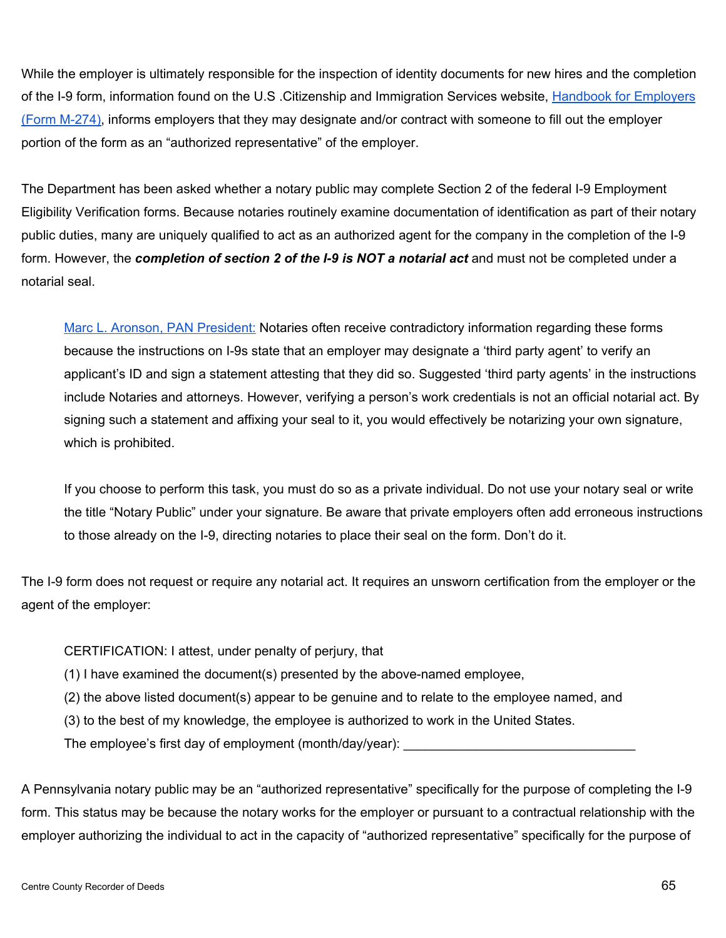While the employer is ultimately responsible for the inspection of identity documents for new hires and the completion of the I-9 form, information found on the U.S .Citizenship and Immigration Services website, Handbook for [Employers](https://www.uscis.gov/i-9-central/handbook-employers-m-274) (Form [M-274\),](https://www.uscis.gov/i-9-central/handbook-employers-m-274) informs employers that they may designate and/or contract with someone to fill out the employer portion of the form as an "authorized representative" of the employer.

The Department has been asked whether a notary public may complete Section 2 of the federal I-9 Employment Eligibility Verification forms. Because notaries routinely examine documentation of identification as part of their notary public duties, many are uniquely qualified to act as an authorized agent for the company in the completion of the I-9 form. However, the *completion of section 2 of the I-9 is NOT a notarial act* and must not be completed under a notarial seal.

Marc L. Aronson, PAN [President:](https://www.notary.org/About/Bio/) Notaries often receive contradictory information regarding these forms because the instructions on I-9s state that an employer may designate a 'third party agent' to verify an applicant's ID and sign a statement attesting that they did so. Suggested 'third party agents' in the instructions include Notaries and attorneys. However, verifying a person's work credentials is not an official notarial act. By signing such a statement and affixing your seal to it, you would effectively be notarizing your own signature, which is prohibited.

If you choose to perform this task, you must do so as a private individual. Do not use your notary seal or write the title "Notary Public" under your signature. Be aware that private employers often add erroneous instructions to those already on the I-9, directing notaries to place their seal on the form. Don't do it.

The I-9 form does not request or require any notarial act. It requires an unsworn certification from the employer or the agent of the employer:

CERTIFICATION: I attest, under penalty of perjury, that

(1) I have examined the document(s) presented by the above-named employee,

(2) the above listed document(s) appear to be genuine and to relate to the employee named, and

(3) to the best of my knowledge, the employee is authorized to work in the United States.

The employee's first day of employment (month/day/year):

A Pennsylvania notary public may be an "authorized representative" specifically for the purpose of completing the I-9 form. This status may be because the notary works for the employer or pursuant to a contractual relationship with the employer authorizing the individual to act in the capacity of "authorized representative" specifically for the purpose of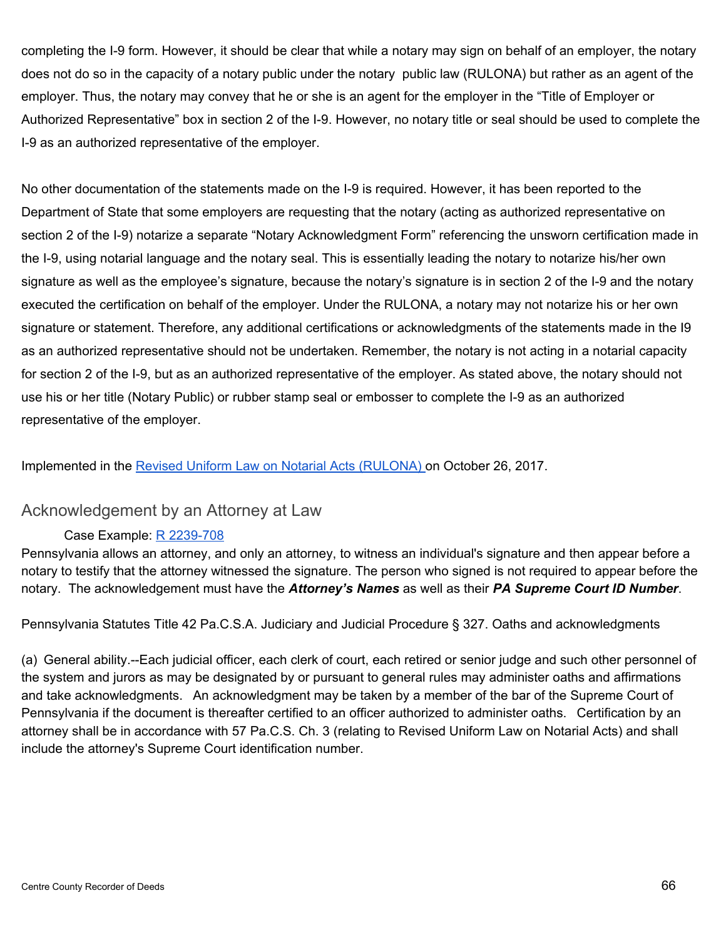completing the I-9 form. However, it should be clear that while a notary may sign on behalf of an employer, the notary does not do so in the capacity of a notary public under the notary public law (RULONA) but rather as an agent of the employer. Thus, the notary may convey that he or she is an agent for the employer in the "Title of Employer or Authorized Representative" box in section 2 of the I-9. However, no notary title or seal should be used to complete the I-9 as an authorized representative of the employer.

No other documentation of the statements made on the I-9 is required. However, it has been reported to the Department of State that some employers are requesting that the notary (acting as authorized representative on section 2 of the I-9) notarize a separate "Notary Acknowledgment Form" referencing the unsworn certification made in the I-9, using notarial language and the notary seal. This is essentially leading the notary to notarize his/her own signature as well as the employee's signature, because the notary's signature is in section 2 of the I-9 and the notary executed the certification on behalf of the employer. Under the RULONA, a notary may not notarize his or her own signature or statement. Therefore, any additional certifications or acknowledgments of the statements made in the I9 as an authorized representative should not be undertaken. Remember, the notary is not acting in a notarial capacity for section 2 of the I-9, but as an authorized representative of the employer. As stated above, the notary should not use his or her title (Notary Public) or rubber stamp seal or embosser to complete the I-9 as an authorized representative of the employer.

Implemented in the Revised Uniform Law on Notarial Acts [\(RULONA\)](https://www.dos.pa.gov/OtherServices/Notaries/E-Notary/Documents/NotariesI-9.pdf) on October 26, 2017.

#### Acknowledgement by an Attorney at Law

#### Case Example: R [2239-708](https://webia.centrecountypa.gov/ccg/rod/rodrsp2?rod=58826501¤tlist=666&615d2b74-e252-456d-951a-aacd7fcfef29)

Pennsylvania allows an attorney, and only an attorney, to witness an individual's signature and then appear before a notary to testify that the attorney witnessed the signature. The person who signed is not required to appear before the notary. The acknowledgement must have the *Attorney's Names* as well as their *PA Supreme Court ID Number*.

Pennsylvania Statutes Title 42 Pa.C.S.A. Judiciary and Judicial Procedure § 327. Oaths and acknowledgments

(a) General ability.--Each judicial officer, each clerk of court, each retired or senior judge and such other personnel of the system and jurors as may be designated by or pursuant to general rules may administer oaths and affirmations and take acknowledgments. An acknowledgment may be taken by a member of the bar of the Supreme Court of Pennsylvania if the document is thereafter certified to an officer authorized to administer oaths. Certification by an attorney shall be in accordance with 57 Pa.C.S. Ch. 3 (relating to Revised Uniform Law on Notarial Acts) and shall include the attorney's Supreme Court identification number.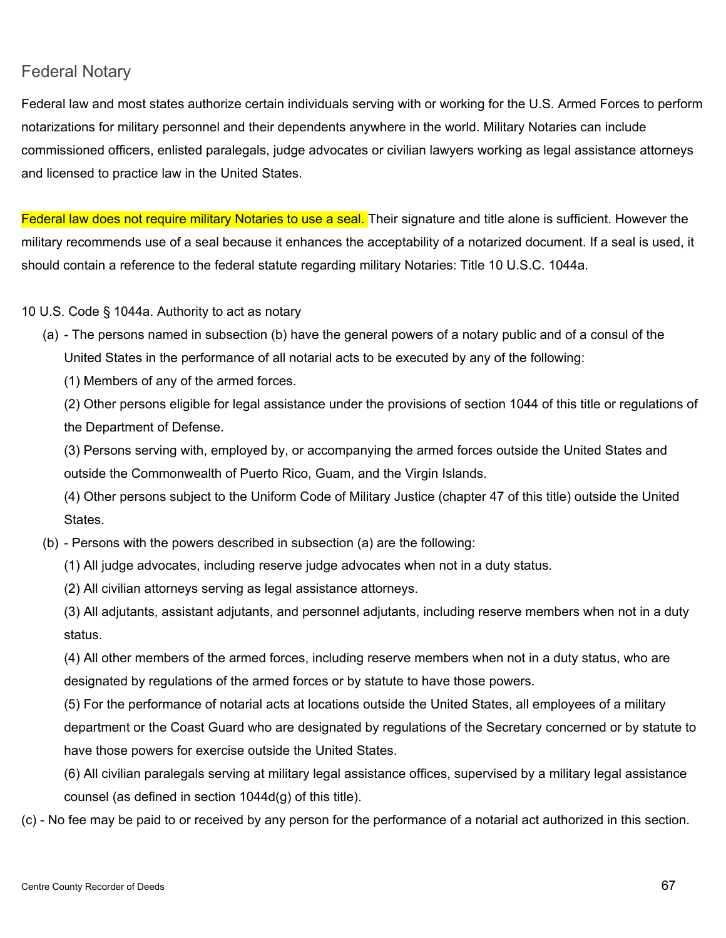### Federal Notary

Federal law and most states authorize certain individuals serving with or working for the U.S. Armed Forces to perform notarizations for military personnel and their dependents anywhere in the world. Military Notaries can include commissioned officers, enlisted paralegals, judge advocates or civilian lawyers working as legal assistance attorneys and licensed to practice law in the United States.

Federal law does not require military Notaries to use a seal. Their signature and title alone is sufficient. However the military recommends use of a seal because it enhances the acceptability of a notarized document. If a seal is used, it should contain a reference to the federal statute regarding military Notaries: Title 10 U.S.C. 1044a.

10 U.S. Code § 1044a. Authority to act as notary

(a) - The persons named in subsection (b) have the general powers of a notary public and of a consul of the United States in the performance of all notarial acts to be executed by any of the following:

(1) Members of any of the armed forces.

(2) Other persons eligible for legal assistance under the provisions of section 1044 of this title or regulations of the Department of Defense.

(3) Persons serving with, employed by, or accompanying the armed forces outside the United States and outside the Commonwealth of Puerto Rico, Guam, and the Virgin Islands.

(4) Other persons subject to the Uniform Code of Military Justice (chapter 47 of this title) outside the United States.

#### (b) - Persons with the powers described in subsection (a) are the following:

- (1) All judge advocates, including reserve judge advocates when not in a duty status.
- (2) All civilian attorneys serving as legal assistance attorneys.

(3) All adjutants, assistant adjutants, and personnel adjutants, including reserve members when not in a duty status.

(4) All other members of the armed forces, including reserve members when not in a duty status, who are designated by regulations of the armed forces or by statute to have those powers.

(5) For the performance of notarial acts at locations outside the United States, all employees of a military department or the Coast Guard who are designated by regulations of the Secretary concerned or by statute to have those powers for exercise outside the United States.

(6) All civilian paralegals serving at military legal assistance offices, supervised by a military legal assistance counsel (as defined in section 1044d(g) of this title).

(c) - No fee may be paid to or received by any person for the performance of a notarial act authorized in this section.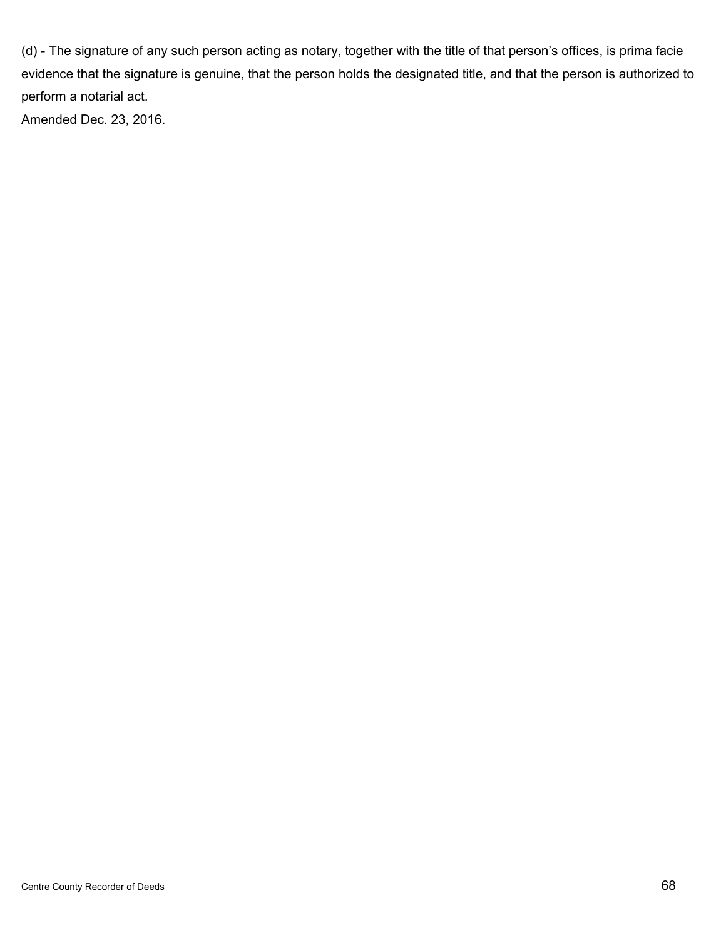(d) - The signature of any such person acting as notary, together with the title of that person's offices, is prima facie evidence that the signature is genuine, that the person holds the designated title, and that the person is authorized to perform a notarial act.

Amended Dec. 23, 2016.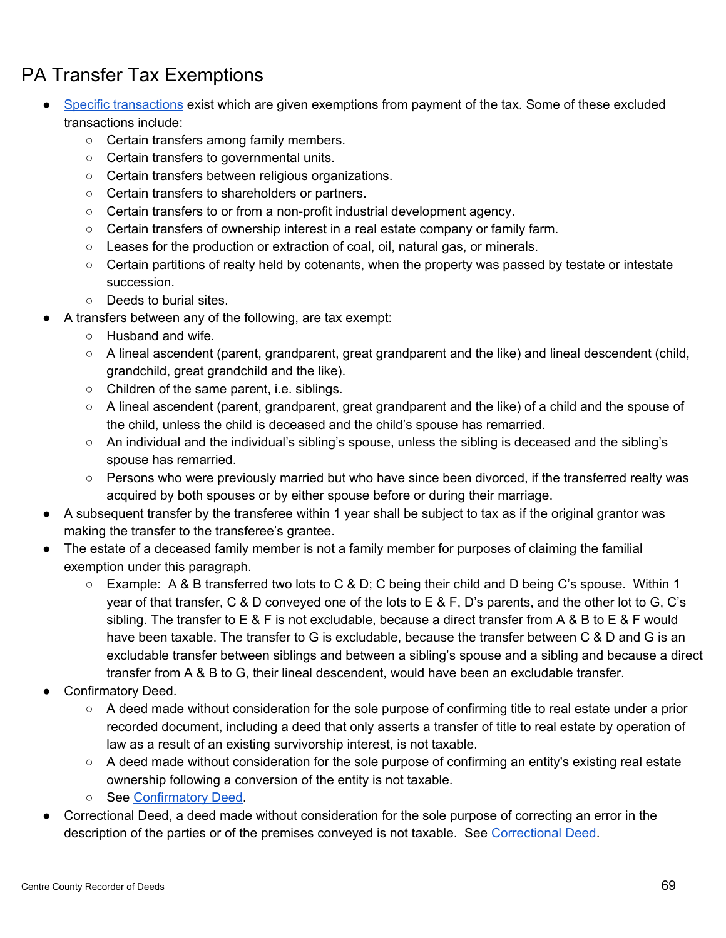## **PA Transfer Tax Exemptions**

- Specific [transactions](https://www.revenue.pa.gov/GeneralTaxInformation/News%20and%20Statistics/ReportsStats/TaxCompendium/Documents/2018_tax_compendium.pdf) exist which are given exemptions from payment of the tax. Some of these excluded transactions include:
	- Certain transfers among family members.
	- Certain transfers to governmental units.
	- Certain transfers between religious organizations.
	- Certain transfers to shareholders or partners.
	- Certain transfers to or from a non-profit industrial development agency.
	- Certain transfers of ownership interest in a real estate company or family farm.
	- Leases for the production or extraction of coal, oil, natural gas, or minerals.
	- Certain partitions of realty held by cotenants, when the property was passed by testate or intestate succession.
	- Deeds to burial sites.
- A transfers between any of the following, are tax exempt:
	- Husband and wife.
	- A lineal ascendent (parent, grandparent, great grandparent and the like) and lineal descendent (child, grandchild, great grandchild and the like).
	- Children of the same parent, i.e. siblings.
	- A lineal ascendent (parent, grandparent, great grandparent and the like) of a child and the spouse of the child, unless the child is deceased and the child's spouse has remarried.
	- An individual and the individual's sibling's spouse, unless the sibling is deceased and the sibling's spouse has remarried.
	- Persons who were previously married but who have since been divorced, if the transferred realty was acquired by both spouses or by either spouse before or during their marriage.
- A subsequent transfer by the transferee within 1 year shall be subject to tax as if the original grantor was making the transfer to the transferee's grantee.
- The estate of a deceased family member is not a family member for purposes of claiming the familial exemption under this paragraph.
	- $\circ$  Example: A & B transferred two lots to C & D; C being their child and D being C's spouse. Within 1 year of that transfer, C & D conveyed one of the lots to E & F, D's parents, and the other lot to G, C's sibling. The transfer to E & F is not excludable, because a direct transfer from A & B to E & F would have been taxable. The transfer to G is excludable, because the transfer between C & D and G is an excludable transfer between siblings and between a sibling's spouse and a sibling and because a direct transfer from A & B to G, their lineal descendent, would have been an excludable transfer.
- Confirmatory Deed.
	- A deed made without consideration for the sole purpose of confirming title to real estate under a prior recorded document, including a deed that only asserts a transfer of title to real estate by operation of law as a result of an existing survivorship interest, is not taxable.
	- A deed made without consideration for the sole purpose of confirming an entity's existing real estate ownership following a conversion of the entity is not taxable.
	- See Confirmatory Deed.
- Correctional Deed, a deed made without consideration for the sole purpose of correcting an error in the description of the parties or of the premises conveyed is not taxable. See Correctional Deed.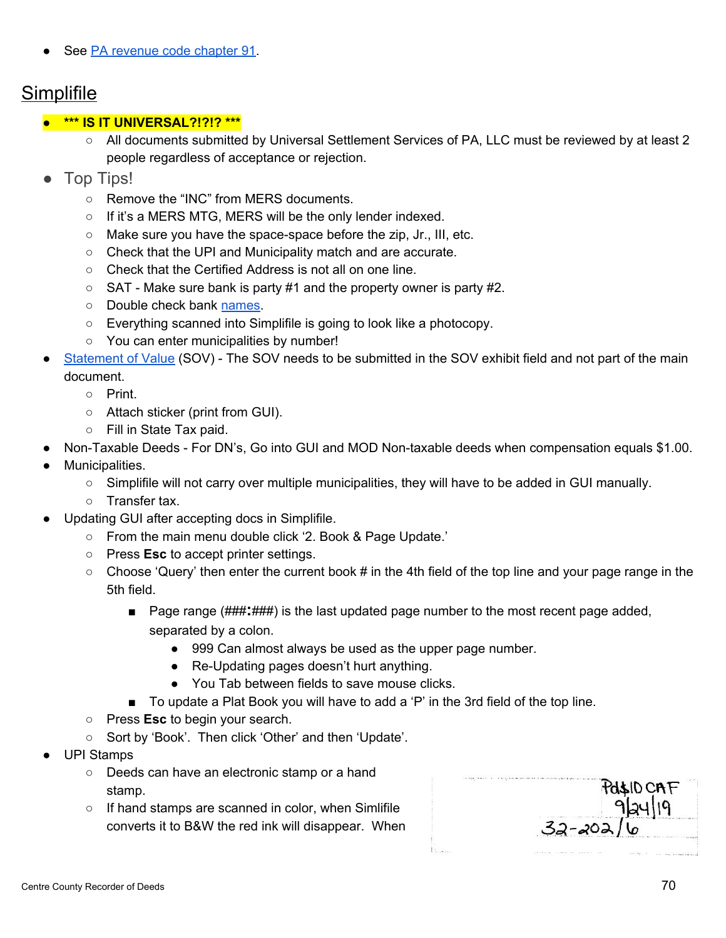See PA [revenue](https://www.revenue.pa.gov/GeneralTaxInformation/Tax%20Types%20and%20Information/RTT/Documents/revenue_code_chp_91.pdf) code chapter 91.

## **Simplifile**

### **● \*\*\* IS IT UNIVERSAL?!?!? \*\*\***

- All documents submitted by Universal Settlement Services of PA, LLC must be reviewed by at least 2 people regardless of acceptance or rejection.
- Top Tips!
	- Remove the "INC" from MERS documents.
	- If it's a MERS MTG, MERS will be the only lender indexed.
	- Make sure you have the space-space before the zip, Jr., III, etc.
	- Check that the UPI and Municipality match and are accurate.
	- Check that the Certified Address is not all on one line.
	- $\circ$  SAT Make sure bank is party #1 and the property owner is party #2.
	- Double check bank names.
	- Everything scanned into Simplifile is going to look like a photocopy.
	- You can enter municipalities by number!
- Statement of Value (SOV) The SOV needs to be submitted in the SOV exhibit field and not part of the main document.
	- Print.
	- Attach sticker (print from GUI).
	- Fill in State Tax paid.
- Non-Taxable Deeds For DN's, Go into GUI and MOD Non-taxable deeds when compensation equals \$1.00.
- Municipalities.
	- Simplifile will not carry over multiple municipalities, they will have to be added in GUI manually.
	- Transfer tax.
- Updating GUI after accepting docs in Simplifile.
	- From the main menu double click '2. Book & Page Update.'
	- Press **Esc** to accept printer settings.
	- Choose 'Query' then enter the current book # in the 4th field of the top line and your page range in the 5th field.
		- Page range (###:###) is the last updated page number to the most recent page added, separated by a colon.
			- 999 Can almost always be used as the upper page number.
			- Re-Updating pages doesn't hurt anything.
			- You Tab between fields to save mouse clicks.
		- To update a Plat Book you will have to add a 'P' in the 3rd field of the top line.
	- Press **Esc** to begin your search.
	- Sort by 'Book'. Then click 'Other' and then 'Update'.
- **UPI Stamps** 
	- Deeds can have an electronic stamp or a hand stamp.
	- If hand stamps are scanned in color, when Simlifile converts it to B&W the red ink will disappear. When

.<br>[ج02-ج3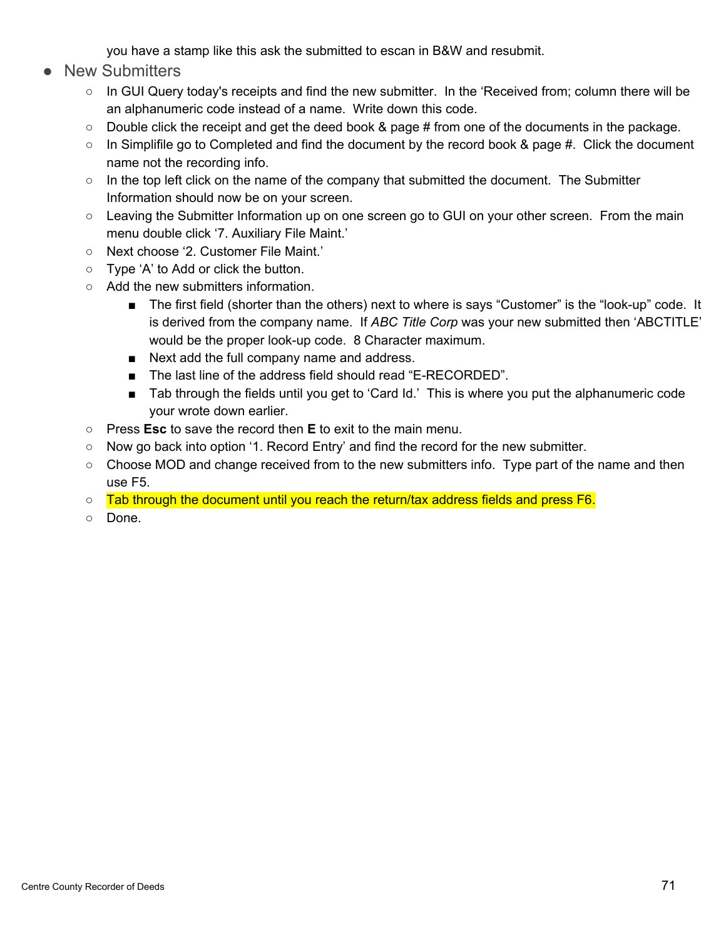you have a stamp like this ask the submitted to escan in B&W and resubmit.

- **New Submitters** 
	- In GUI Query today's receipts and find the new submitter. In the 'Received from; column there will be an alphanumeric code instead of a name. Write down this code.
	- $\circ$  Double click the receipt and get the deed book & page # from one of the documents in the package.
	- In Simplifile go to Completed and find the document by the record book & page #. Click the document name not the recording info.
	- $\circ$  In the top left click on the name of the company that submitted the document. The Submitter Information should now be on your screen.
	- Leaving the Submitter Information up on one screen go to GUI on your other screen. From the main menu double click '7. Auxiliary File Maint.'
	- Next choose '2. Customer File Maint.'
	- Type 'A' to Add or click the button.
	- Add the new submitters information.
		- The first field (shorter than the others) next to where is says "Customer" is the "look-up" code. It is derived from the company name. If *ABC Title Corp* was your new submitted then 'ABCTITLE' would be the proper look-up code. 8 Character maximum.
		- Next add the full company name and address.
		- The last line of the address field should read "E-RECORDED".
		- Tab through the fields until you get to 'Card Id.' This is where you put the alphanumeric code your wrote down earlier.
	- Press **Esc** to save the record then **E** to exit to the main menu.
	- Now go back into option '1. Record Entry' and find the record for the new submitter.
	- Choose MOD and change received from to the new submitters info. Type part of the name and then use F5.
	- Tab through the document until you reach the return/tax address fields and press F6.
	- Done.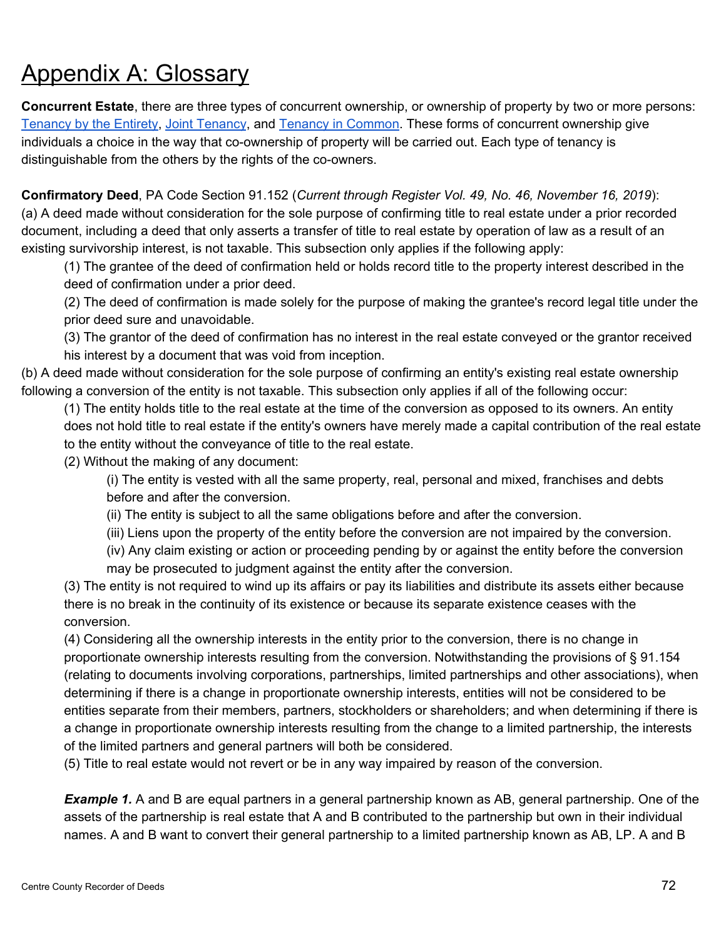# Appendix A: Glossary

**Concurrent Estate**, there are three types of concurrent ownership, or ownership of property by two or more persons: [Tenancy](#page-77-1) by the Entirety, Joint [Tenancy](#page-74-1), and Tenancy in [Common.](#page-77-2) These forms of concurrent ownership give individuals a choice in the way that co-ownership of property will be carried out. Each type of tenancy is distinguishable from the others by the rights of the co-owners.

**Confirmatory Deed**, PA Code Section 91.152 (*Current through Register Vol. 49, No. 46, November 16, 2019*): (a) A deed made without consideration for the sole purpose of confirming title to real estate under a prior recorded document, including a deed that only asserts a transfer of title to real estate by operation of law as a result of an existing survivorship interest, is not taxable. This subsection only applies if the following apply:

(1) The grantee of the deed of confirmation held or holds record title to the property interest described in the deed of confirmation under a prior deed.

(2) The deed of confirmation is made solely for the purpose of making the grantee's record legal title under the prior deed sure and unavoidable.

(3) The grantor of the deed of confirmation has no interest in the real estate conveyed or the grantor received his interest by a document that was void from inception.

(b) A deed made without consideration for the sole purpose of confirming an entity's existing real estate ownership following a conversion of the entity is not taxable. This subsection only applies if all of the following occur:

(1) The entity holds title to the real estate at the time of the conversion as opposed to its owners. An entity does not hold title to real estate if the entity's owners have merely made a capital contribution of the real estate to the entity without the conveyance of title to the real estate.

(2) Without the making of any document:

(i) The entity is vested with all the same property, real, personal and mixed, franchises and debts before and after the conversion.

(ii) The entity is subject to all the same obligations before and after the conversion.

(iii) Liens upon the property of the entity before the conversion are not impaired by the conversion.

(iv) Any claim existing or action or proceeding pending by or against the entity before the conversion

may be prosecuted to judgment against the entity after the conversion.

(3) The entity is not required to wind up its affairs or pay its liabilities and distribute its assets either because there is no break in the continuity of its existence or because its separate existence ceases with the conversion.

(4) Considering all the ownership interests in the entity prior to the conversion, there is no change in proportionate ownership interests resulting from the conversion. Notwithstanding the provisions of § 91.154 (relating to documents involving corporations, partnerships, limited partnerships and other associations), when determining if there is a change in proportionate ownership interests, entities will not be considered to be entities separate from their members, partners, stockholders or shareholders; and when determining if there is a change in proportionate ownership interests resulting from the change to a limited partnership, the interests of the limited partners and general partners will both be considered.

(5) Title to real estate would not revert or be in any way impaired by reason of the conversion.

*Example* 1. A and B are equal partners in a general partnership known as AB, general partnership. One of the assets of the partnership is real estate that A and B contributed to the partnership but own in their individual names. A and B want to convert their general partnership to a limited partnership known as AB, LP. A and B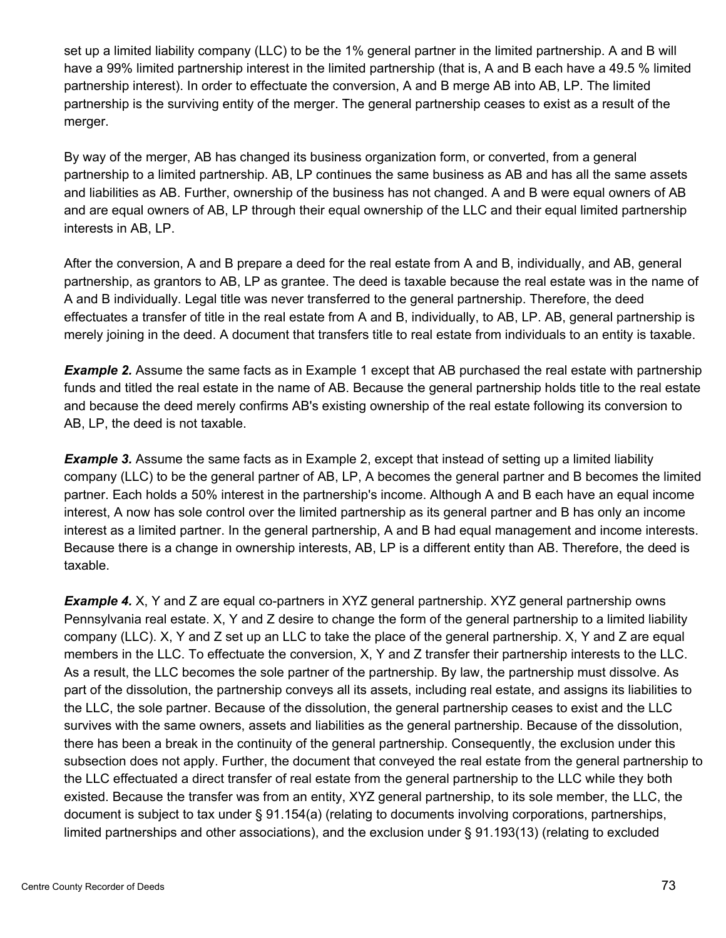set up a limited liability company (LLC) to be the 1% general partner in the limited partnership. A and B will have a 99% limited partnership interest in the limited partnership (that is, A and B each have a 49.5 % limited partnership interest). In order to effectuate the conversion, A and B merge AB into AB, LP. The limited partnership is the surviving entity of the merger. The general partnership ceases to exist as a result of the merger.

By way of the merger, AB has changed its business organization form, or converted, from a general partnership to a limited partnership. AB, LP continues the same business as AB and has all the same assets and liabilities as AB. Further, ownership of the business has not changed. A and B were equal owners of AB and are equal owners of AB, LP through their equal ownership of the LLC and their equal limited partnership interests in AB, LP.

After the conversion, A and B prepare a deed for the real estate from A and B, individually, and AB, general partnership, as grantors to AB, LP as grantee. The deed is taxable because the real estate was in the name of A and B individually. Legal title was never transferred to the general partnership. Therefore, the deed effectuates a transfer of title in the real estate from A and B, individually, to AB, LP. AB, general partnership is merely joining in the deed. A document that transfers title to real estate from individuals to an entity is taxable.

*Example* 2. Assume the same facts as in Example 1 except that AB purchased the real estate with partnership funds and titled the real estate in the name of AB. Because the general partnership holds title to the real estate and because the deed merely confirms AB's existing ownership of the real estate following its conversion to AB, LP, the deed is not taxable.

**Example** 3. Assume the same facts as in Example 2, except that instead of setting up a limited liability company (LLC) to be the general partner of AB, LP, A becomes the general partner and B becomes the limited partner. Each holds a 50% interest in the partnership's income. Although A and B each have an equal income interest, A now has sole control over the limited partnership as its general partner and B has only an income interest as a limited partner. In the general partnership, A and B had equal management and income interests. Because there is a change in ownership interests, AB, LP is a different entity than AB. Therefore, the deed is taxable.

*Example 4.* X, Y and Z are equal co-partners in XYZ general partnership. XYZ general partnership owns Pennsylvania real estate. X, Y and Z desire to change the form of the general partnership to a limited liability company (LLC). X, Y and Z set up an LLC to take the place of the general partnership. X, Y and Z are equal members in the LLC. To effectuate the conversion, X, Y and Z transfer their partnership interests to the LLC. As a result, the LLC becomes the sole partner of the partnership. By law, the partnership must dissolve. As part of the dissolution, the partnership conveys all its assets, including real estate, and assigns its liabilities to the LLC, the sole partner. Because of the dissolution, the general partnership ceases to exist and the LLC survives with the same owners, assets and liabilities as the general partnership. Because of the dissolution, there has been a break in the continuity of the general partnership. Consequently, the exclusion under this subsection does not apply. Further, the document that conveyed the real estate from the general partnership to the LLC effectuated a direct transfer of real estate from the general partnership to the LLC while they both existed. Because the transfer was from an entity, XYZ general partnership, to its sole member, the LLC, the document is subject to tax under § 91.154(a) (relating to documents involving corporations, partnerships, limited partnerships and other associations), and the exclusion under § 91.193(13) (relating to excluded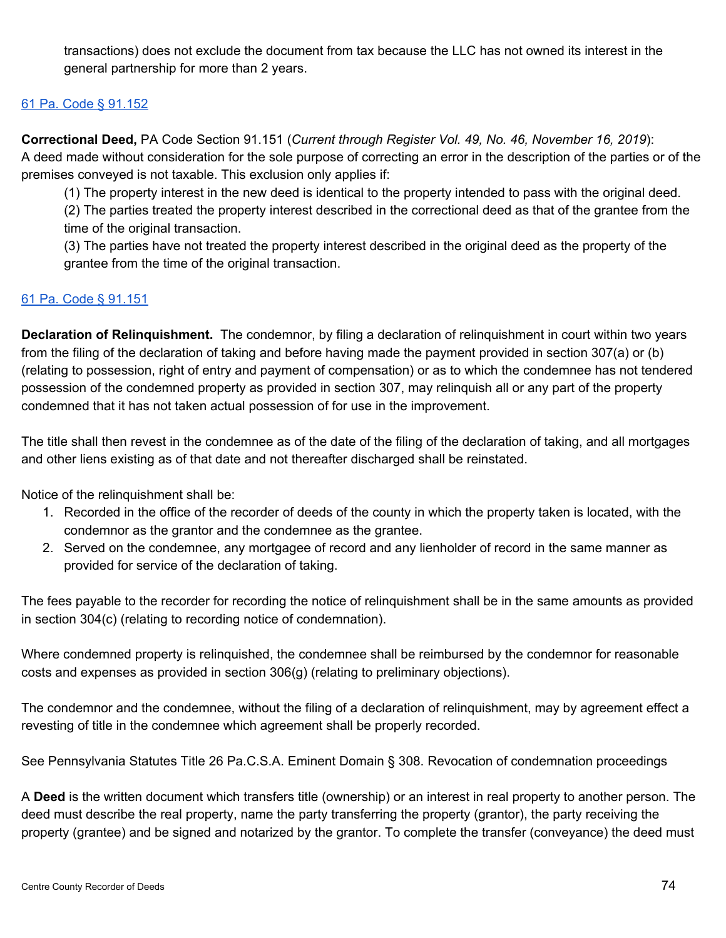transactions) does not exclude the document from tax because the LLC has not owned its interest in the general partnership for more than 2 years.

### 61 Pa. Code § [91.152](https://casetext.com/regulation/pennsylvania-code-rules-and-regulations/title-61-revenue/part-i-department-of-revenue/subpart-b-general-fund-revenues/article-iv-county-collections/chapter-91-realty-transfer-tax/subchapter-h-special-situations/section-91152-confirmatory-deed)

**Correctional Deed,** PA Code Section 91.151 (*Current through Register Vol. 49, No. 46, November 16, 2019*): A deed made without consideration for the sole purpose of correcting an error in the description of the parties or of the premises conveyed is not taxable. This exclusion only applies if:

(1) The property interest in the new deed is identical to the property intended to pass with the original deed.

(2) The parties treated the property interest described in the correctional deed as that of the grantee from the time of the original transaction.

(3) The parties have not treated the property interest described in the original deed as the property of the grantee from the time of the original transaction.

## 61 Pa. Code § [91.151](https://casetext.com/regulation/pennsylvania-code-rules-and-regulations/title-61-revenue/part-i-department-of-revenue/subpart-b-general-fund-revenues/article-iv-county-collections/chapter-91-realty-transfer-tax/subchapter-h-special-situations/section-91151-correctional-deed)

**Declaration of Relinquishment.** The condemnor, by filing a declaration of relinquishment in court within two years from the filing of the declaration of taking and before having made the payment provided in section 307(a) or (b) (relating to possession, right of entry and payment of compensation) or as to which the condemnee has not tendered possession of the condemned property as provided in section 307, may relinquish all or any part of the property condemned that it has not taken actual possession of for use in the improvement.

The title shall then revest in the condemnee as of the date of the filing of the declaration of taking, and all mortgages and other liens existing as of that date and not thereafter discharged shall be reinstated.

Notice of the relinquishment shall be:

- 1. Recorded in the office of the recorder of deeds of the county in which the property taken is located, with the condemnor as the grantor and the condemnee as the grantee.
- 2. Served on the condemnee, any mortgagee of record and any lienholder of record in the same manner as provided for service of the declaration of taking.

The fees payable to the recorder for recording the notice of relinquishment shall be in the same amounts as provided in section 304(c) (relating to recording notice of condemnation).

Where condemned property is relinquished, the condemnee shall be reimbursed by the condemnor for reasonable costs and expenses as provided in section 306(g) (relating to preliminary objections).

The condemnor and the condemnee, without the filing of a declaration of relinquishment, may by agreement effect a revesting of title in the condemnee which agreement shall be properly recorded.

See Pennsylvania Statutes Title 26 Pa.C.S.A. Eminent Domain § 308. Revocation of condemnation proceedings

A **Deed** is the written document which transfers title (ownership) or an interest in real property to another person. The deed must describe the real property, name the party transferring the property (grantor), the party receiving the property (grantee) and be signed and notarized by the grantor. To complete the transfer (conveyance) the deed must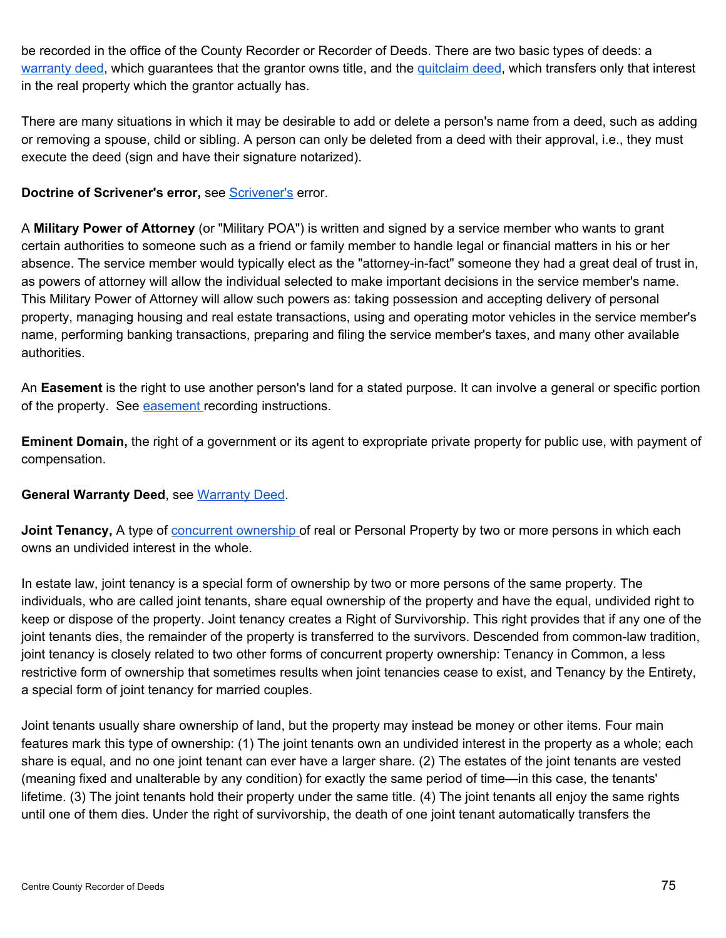be recorded in the office of the County Recorder or Recorder of Deeds. There are two basic types of deeds: a [warranty](#page-78-0) deed, which guarantees that the grantor owns title, and the [quitclaim](#page-76-0) deed, which transfers only that interest in the real property which the grantor actually has.

There are many situations in which it may be desirable to add or delete a person's name from a deed, such as adding or removing a spouse, child or sibling. A person can only be deleted from a deed with their approval, i.e., they must execute the deed (sign and have their signature notarized).

### **Doctrine of Scrivener's error,** see [Scrivener's](#page-77-0) error.

A **Military Power of Attorney** (or "Military POA") is written and signed by a service member who wants to grant certain authorities to someone such as a friend or family member to handle legal or financial matters in his or her absence. The service member would typically elect as the "attorney-in-fact" someone they had a great deal of trust in, as powers of attorney will allow the individual selected to make important decisions in the service member's name. This Military Power of Attorney will allow such powers as: taking possession and accepting delivery of personal property, managing housing and real estate transactions, using and operating motor vehicles in the service member's name, performing banking transactions, preparing and filing the service member's taxes, and many other available authorities.

An **Easement** is the right to use another person's land for a stated purpose. It can involve a general or specific portion of the property. See [easement](#page-21-0) recording instructions.

**Eminent Domain,** the right of a government or its agent to expropriate private property for public use, with payment of compensation.

### **General Warranty Deed**, see [Warranty](#page-78-0) Deed.

**Joint Tenancy,** A type of [concurrent](#page-71-0) ownership of real or Personal Property by two or more persons in which each owns an undivided interest in the whole.

In estate law, joint tenancy is a special form of ownership by two or more persons of the same property. The individuals, who are called joint tenants, share equal ownership of the property and have the equal, undivided right to keep or dispose of the property. Joint tenancy creates a Right of Survivorship. This right provides that if any one of the joint tenants dies, the remainder of the property is transferred to the survivors. Descended from common-law tradition, joint tenancy is closely related to two other forms of concurrent property ownership: Tenancy in Common, a less restrictive form of ownership that sometimes results when joint tenancies cease to exist, and Tenancy by the Entirety, a special form of joint tenancy for married couples.

Joint tenants usually share ownership of land, but the property may instead be money or other items. Four main features mark this type of ownership: (1) The joint tenants own an undivided interest in the property as a whole; each share is equal, and no one joint tenant can ever have a larger share. (2) The estates of the joint tenants are vested (meaning fixed and unalterable by any condition) for exactly the same period of time—in this case, the tenants' lifetime. (3) The joint tenants hold their property under the same title. (4) The joint tenants all enjoy the same rights until one of them dies. Under the right of survivorship, the death of one joint tenant automatically transfers the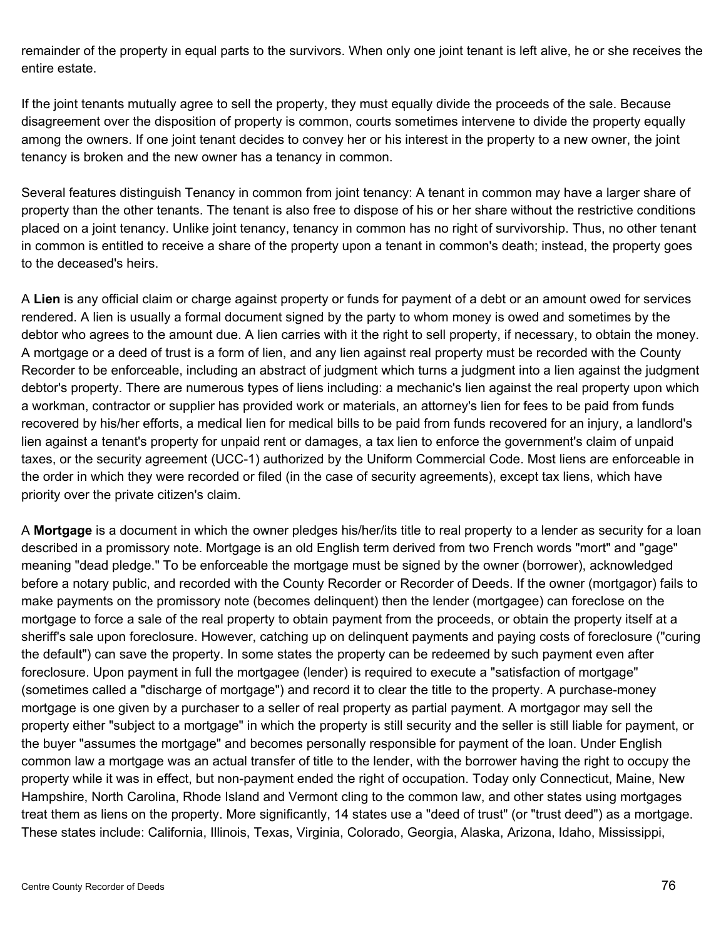remainder of the property in equal parts to the survivors. When only one joint tenant is left alive, he or she receives the entire estate.

If the joint tenants mutually agree to sell the property, they must equally divide the proceeds of the sale. Because disagreement over the disposition of property is common, courts sometimes intervene to divide the property equally among the owners. If one joint tenant decides to convey her or his interest in the property to a new owner, the joint tenancy is broken and the new owner has a tenancy in common.

Several features distinguish Tenancy in common from joint tenancy: A tenant in common may have a larger share of property than the other tenants. The tenant is also free to dispose of his or her share without the restrictive conditions placed on a joint tenancy. Unlike joint tenancy, tenancy in common has no right of survivorship. Thus, no other tenant in common is entitled to receive a share of the property upon a tenant in common's death; instead, the property goes to the deceased's heirs.

A **Lien** is any official claim or charge against property or funds for payment of a debt or an amount owed for services rendered. A lien is usually a formal document signed by the party to whom money is owed and sometimes by the debtor who agrees to the amount due. A lien carries with it the right to sell property, if necessary, to obtain the money. A mortgage or a deed of trust is a form of lien, and any lien against real property must be recorded with the County Recorder to be enforceable, including an abstract of judgment which turns a judgment into a lien against the judgment debtor's property. There are numerous types of liens including: a mechanic's lien against the real property upon which a workman, contractor or supplier has provided work or materials, an attorney's lien for fees to be paid from funds recovered by his/her efforts, a medical lien for medical bills to be paid from funds recovered for an injury, a landlord's lien against a tenant's property for unpaid rent or damages, a tax lien to enforce the government's claim of unpaid taxes, or the security agreement (UCC-1) authorized by the Uniform Commercial Code. Most liens are enforceable in the order in which they were recorded or filed (in the case of security agreements), except tax liens, which have priority over the private citizen's claim.

A **Mortgage** is a document in which the owner pledges his/her/its title to real property to a lender as security for a loan described in a promissory note. Mortgage is an old English term derived from two French words "mort" and "gage" meaning "dead pledge." To be enforceable the mortgage must be signed by the owner (borrower), acknowledged before a notary public, and recorded with the County Recorder or Recorder of Deeds. If the owner (mortgagor) fails to make payments on the promissory note (becomes delinquent) then the lender (mortgagee) can foreclose on the mortgage to force a sale of the real property to obtain payment from the proceeds, or obtain the property itself at a sheriff's sale upon foreclosure. However, catching up on delinquent payments and paying costs of foreclosure ("curing the default") can save the property. In some states the property can be redeemed by such payment even after foreclosure. Upon payment in full the mortgagee (lender) is required to execute a "satisfaction of mortgage" (sometimes called a "discharge of mortgage") and record it to clear the title to the property. A purchase-money mortgage is one given by a purchaser to a seller of real property as partial payment. A mortgagor may sell the property either "subject to a mortgage" in which the property is still security and the seller is still liable for payment, or the buyer "assumes the mortgage" and becomes personally responsible for payment of the loan. Under English common law a mortgage was an actual transfer of title to the lender, with the borrower having the right to occupy the property while it was in effect, but non-payment ended the right of occupation. Today only Connecticut, Maine, New Hampshire, North Carolina, Rhode Island and Vermont cling to the common law, and other states using mortgages treat them as liens on the property. More significantly, 14 states use a "deed of trust" (or "trust deed") as a mortgage. These states include: California, Illinois, Texas, Virginia, Colorado, Georgia, Alaska, Arizona, Idaho, Mississippi,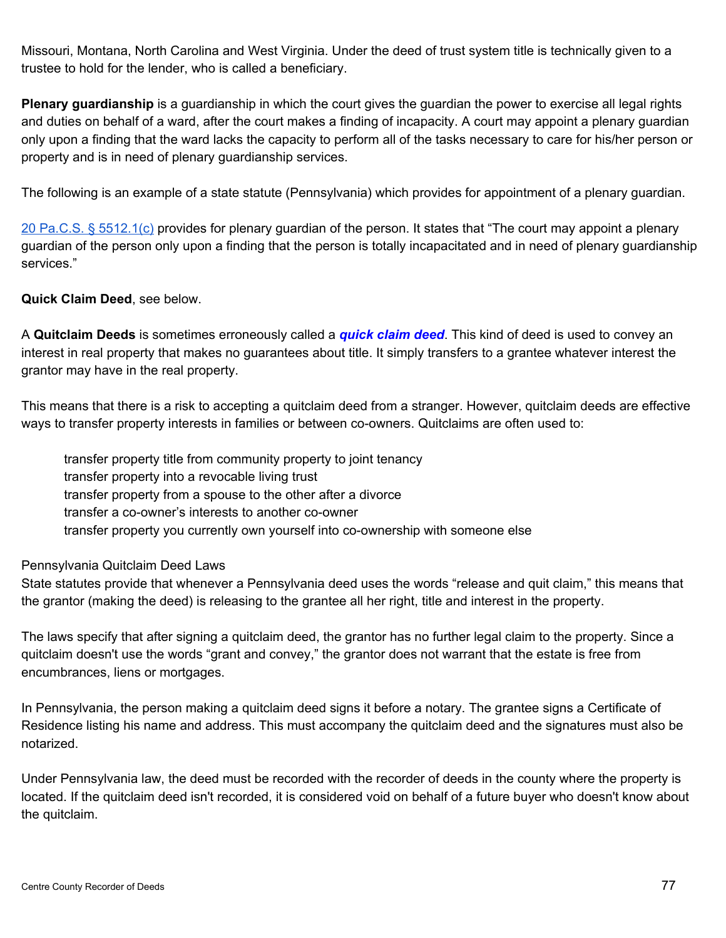Missouri, Montana, North Carolina and West Virginia. Under the deed of trust system title is technically given to a trustee to hold for the lender, who is called a beneficiary.

**Plenary guardianship** is a guardianship in which the court gives the guardian the power to exercise all legal rights and duties on behalf of a ward, after the court makes a finding of incapacity. A court may appoint a plenary guardian only upon a finding that the ward lacks the capacity to perform all of the tasks necessary to care for his/her person or property and is in need of plenary guardianship services.

The following is an example of a state statute (Pennsylvania) which provides for appointment of a plenary guardian.

20 Pa.C.S. § [5512.1\(c\)](https://www.legis.state.pa.us/cfdocs/legis/LI/consCheck.cfm?txtType=HTM&ttl=20&div=0&chpt=55) provides for plenary guardian of the person. It states that "The court may appoint a plenary guardian of the person only upon a finding that the person is totally incapacitated and in need of plenary guardianship services."

**Quick Claim Deed**, see below.

<span id="page-76-0"></span>A **Quitclaim Deeds** is sometimes erroneously called a *quick claim deed*. This kind of deed is used to convey an interest in real property that makes no guarantees about title. It simply transfers to a grantee whatever interest the grantor may have in the real property.

This means that there is a risk to accepting a quitclaim deed from a stranger. However, quitclaim deeds are effective ways to transfer property interests in families or between co-owners. Quitclaims are often used to:

transfer property title from community property to joint tenancy transfer property into a revocable living trust transfer property from a spouse to the other after a divorce transfer a co-owner's interests to another co-owner transfer property you currently own yourself into co-ownership with someone else

#### Pennsylvania Quitclaim Deed Laws

State statutes provide that whenever a Pennsylvania deed uses the words "release and quit claim," this means that the grantor (making the deed) is releasing to the grantee all her right, title and interest in the property.

The laws specify that after signing a quitclaim deed, the grantor has no further legal claim to the property. Since a quitclaim doesn't use the words "grant and convey," the grantor does not warrant that the estate is free from encumbrances, liens or mortgages.

In Pennsylvania, the person making a quitclaim deed signs it before a notary. The grantee signs a Certificate of Residence listing his name and address. This must accompany the quitclaim deed and the signatures must also be notarized.

Under Pennsylvania law, the deed must be recorded with the recorder of deeds in the county where the property is located. If the quitclaim deed isn't recorded, it is considered void on behalf of a future buyer who doesn't know about the quitclaim.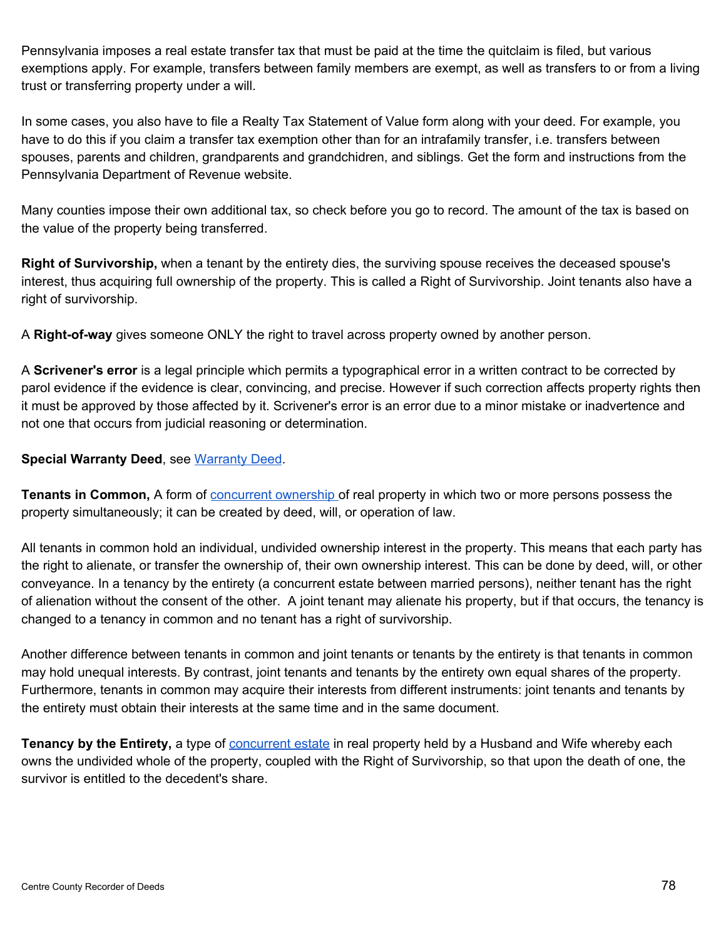Pennsylvania imposes a real estate transfer tax that must be paid at the time the quitclaim is filed, but various exemptions apply. For example, transfers between family members are exempt, as well as transfers to or from a living trust or transferring property under a will.

In some cases, you also have to file a Realty Tax Statement of Value form along with your deed. For example, you have to do this if you claim a transfer tax exemption other than for an intrafamily transfer, i.e. transfers between spouses, parents and children, grandparents and grandchidren, and siblings. Get the form and instructions from the Pennsylvania Department of Revenue website.

Many counties impose their own additional tax, so check before you go to record. The amount of the tax is based on the value of the property being transferred.

**Right of Survivorship,** when a tenant by the entirety dies, the surviving spouse receives the deceased spouse's interest, thus acquiring full ownership of the property. This is called a Right of Survivorship. Joint tenants also have a right of survivorship.

A **Right-of-way** gives someone ONLY the right to travel across property owned by another person.

<span id="page-77-0"></span>A **Scrivener's error** is a legal principle which permits a typographical error in a written contract to be corrected by parol evidence if the evidence is clear, convincing, and precise. However if such correction affects property rights then it must be approved by those affected by it. Scrivener's error is an error due to a minor mistake or inadvertence and not one that occurs from judicial reasoning or determination.

#### **Special Warranty Deed**, see [Warranty](#page-78-0) Deed.

**Tenants in Common,** A form of [concurrent](#page-71-0) ownership of real property in which two or more persons possess the property simultaneously; it can be created by deed, will, or operation of law.

All tenants in common hold an individual, undivided ownership interest in the property. This means that each party has the right to alienate, or transfer the ownership of, their own ownership interest. This can be done by deed, will, or other conveyance. In a tenancy by the entirety (a concurrent estate between married persons), neither tenant has the right of alienation without the consent of the other. A joint tenant may alienate his property, but if that occurs, the tenancy is changed to a tenancy in common and no tenant has a right of survivorship.

Another difference between tenants in common and joint tenants or tenants by the entirety is that tenants in common may hold unequal interests. By contrast, joint tenants and tenants by the entirety own equal shares of the property. Furthermore, tenants in common may acquire their interests from different instruments: joint tenants and tenants by the entirety must obtain their interests at the same time and in the same document.

**Tenancy by the Entirety,** a type of [concurrent](#page-71-0) estate in real property held by a Husband and Wife whereby each owns the undivided whole of the property, coupled with the Right of Survivorship, so that upon the death of one, the survivor is entitled to the decedent's share.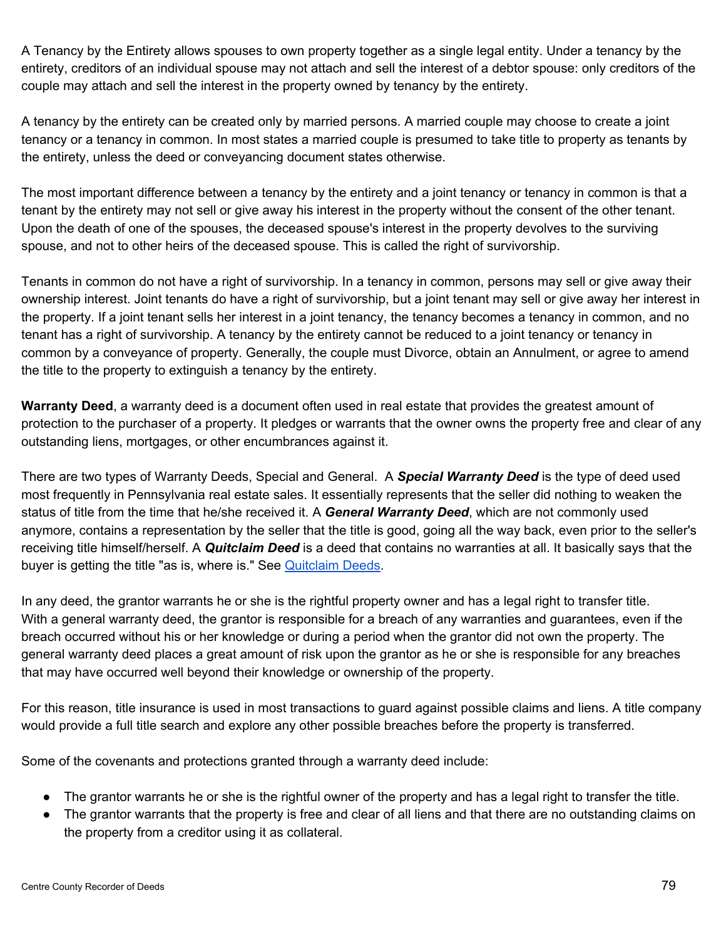A Tenancy by the Entirety allows spouses to own property together as a single legal entity. Under a tenancy by the entirety, creditors of an individual spouse may not attach and sell the interest of a debtor spouse: only creditors of the couple may attach and sell the interest in the property owned by tenancy by the entirety.

A tenancy by the entirety can be created only by married persons. A married couple may choose to create a joint tenancy or a tenancy in common. In most states a married couple is presumed to take title to property as tenants by the entirety, unless the deed or conveyancing document states otherwise.

The most important difference between a tenancy by the entirety and a joint tenancy or tenancy in common is that a tenant by the entirety may not sell or give away his interest in the property without the consent of the other tenant. Upon the death of one of the spouses, the deceased spouse's interest in the property devolves to the surviving spouse, and not to other heirs of the deceased spouse. This is called the right of survivorship.

Tenants in common do not have a right of survivorship. In a tenancy in common, persons may sell or give away their ownership interest. Joint tenants do have a right of survivorship, but a joint tenant may sell or give away her interest in the property. If a joint tenant sells her interest in a joint tenancy, the tenancy becomes a tenancy in common, and no tenant has a right of survivorship. A tenancy by the entirety cannot be reduced to a joint tenancy or tenancy in common by a conveyance of property. Generally, the couple must Divorce, obtain an Annulment, or agree to amend the title to the property to extinguish a tenancy by the entirety.

<span id="page-78-0"></span>**Warranty Deed**, a warranty deed is a document often used in real estate that provides the greatest amount of protection to the purchaser of a property. It pledges or warrants that the owner owns the property free and clear of any outstanding liens, mortgages, or other encumbrances against it.

There are two types of Warranty Deeds, Special and General. A *Special Warranty Deed* is the type of deed used most frequently in Pennsylvania real estate sales. It essentially represents that the seller did nothing to weaken the status of title from the time that he/she received it. A *General Warranty Deed*, which are not commonly used anymore, contains a representation by the seller that the title is good, going all the way back, even prior to the seller's receiving title himself/herself. A *Quitclaim Deed* is a deed that contains no warranties at all. It basically says that the buyer is getting the title "as is, where is." See [Quitclaim](#page-76-0) Deeds.

In any deed, the grantor warrants he or she is the rightful property owner and has a legal right to transfer title. With a general warranty deed, the grantor is responsible for a breach of any warranties and guarantees, even if the breach occurred without his or her knowledge or during a period when the grantor did not own the property. The general warranty deed places a great amount of risk upon the grantor as he or she is responsible for any breaches that may have occurred well beyond their knowledge or ownership of the property.

For this reason, title insurance is used in most transactions to guard against possible claims and liens. A title company would provide a full title search and explore any other possible breaches before the property is transferred.

Some of the covenants and protections granted through a warranty deed include:

- The grantor warrants he or she is the rightful owner of the property and has a legal right to transfer the title.
- The grantor warrants that the property is free and clear of all liens and that there are no outstanding claims on the property from a creditor using it as collateral.